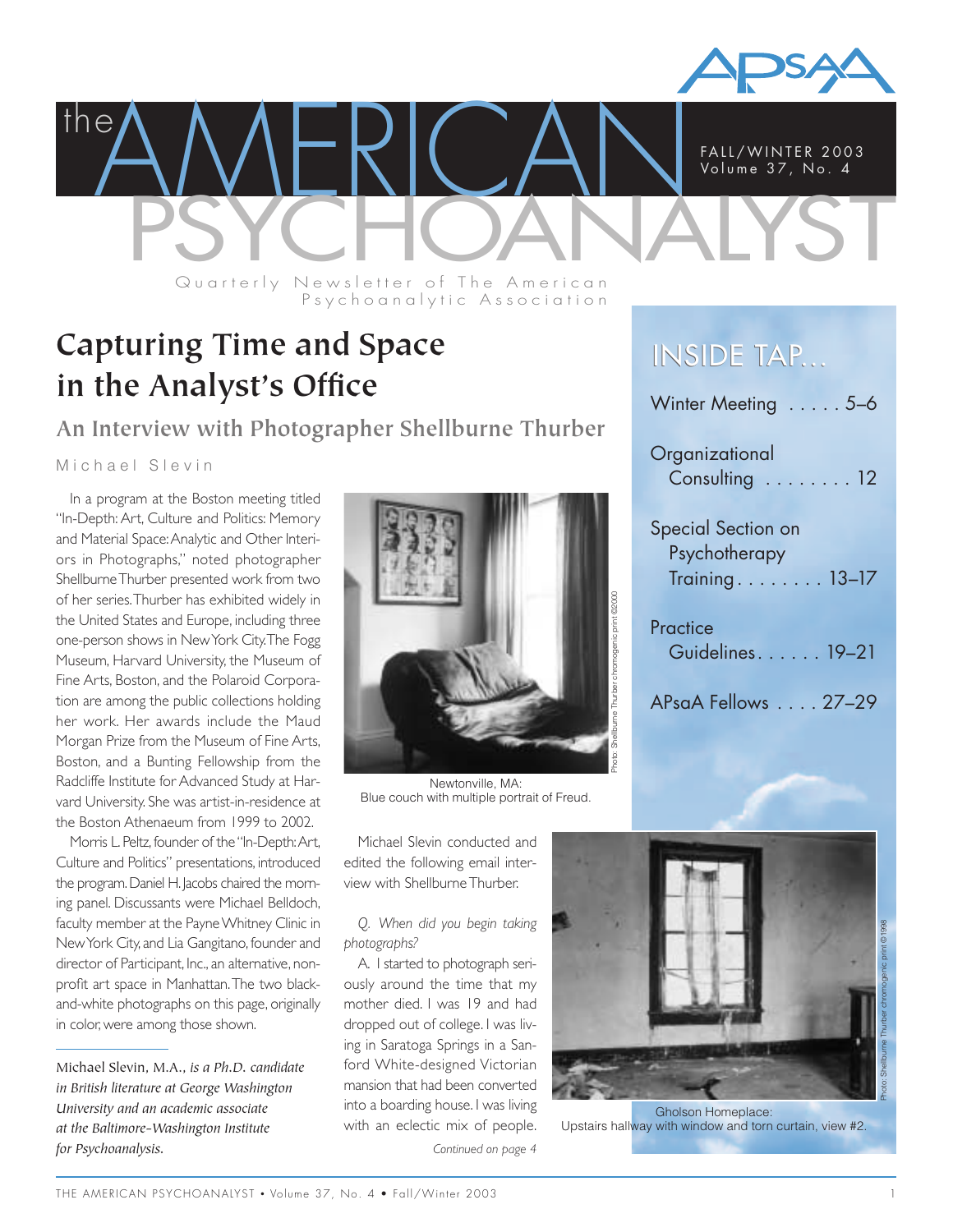

**PAMERICAN FALL/WINTER 2003** the FALL/WINTER 2003 Vo lume 37, No. 4 Quarterly Newsletter of The American

Psychoanalytic Association

**Capturing Time and Space in the Analyst's Office**

**An Interview with Photographer Shellburne Thurber**

Michael Slevin

In a program at the Boston meeting titled "In-Depth: Art, Culture and Politics: Memory and Material Space:Analytic and Other Interiors in Photographs," noted photographer Shellburne Thurber presented work from two of her series.Thurber has exhibited widely in the United States and Europe, including three one-person shows in New York City.The Fogg Museum, Harvard University, the Museum of Fine Arts, Boston, and the Polaroid Corporation are among the public collections holding her work. Her awards include the Maud Morgan Prize from the Museum of Fine Arts, Boston, and a Bunting Fellowship from the Radcliffe Institute for Advanced Study at Harvard University. She was artist-in-residence at the Boston Athenaeum from 1999 to 2002.

Morris L. Peltz, founder of the "In-Depth:Art, Culture and Politics" presentations, introduced the program. Daniel H. Jacobs chaired the morning panel. Discussants were Michael Belldoch, faculty member at the Payne Whitney Clinic in New York City, and Lia Gangitano, founder and director of Participant, Inc., an alternative, nonprofit art space in Manhattan.The two blackand-white photographs on this page, originally in color, were among those shown.

Michael Slevin, M.A., *is a Ph.D. candidate in British literature at George Washington University and an academic associate at the Baltimore-Washington Institute for Psychoanalysis.*



Newtonville, MA: Blue couch with multiple portrait of Freud.

Michael Slevin conducted and edited the following email interview with Shellburne Thurber.

*Q. When did you begin taking photographs?*

A. I started to photograph seriously around the time that my mother died. I was 19 and had dropped out of college. I was living in Saratoga Springs in a Sanford White-designed Victorian mansion that had been converted into a boarding house. I was living with an eclectic mix of people.



Gholson Homeplace: Upstairs hallway with window and torn curtain, view #2.

*Continued on page 4*

## INSIDE TAP...

Winter Meeting . . . . . 5-6 **Organizational** Consulting . . . . . . . . 12 Special Section on Psychotherapy Training. . . . . . . . 13–17 **Practice** Guidelines. . . . . . 19–21 APsaA Fellows . . . . 27–29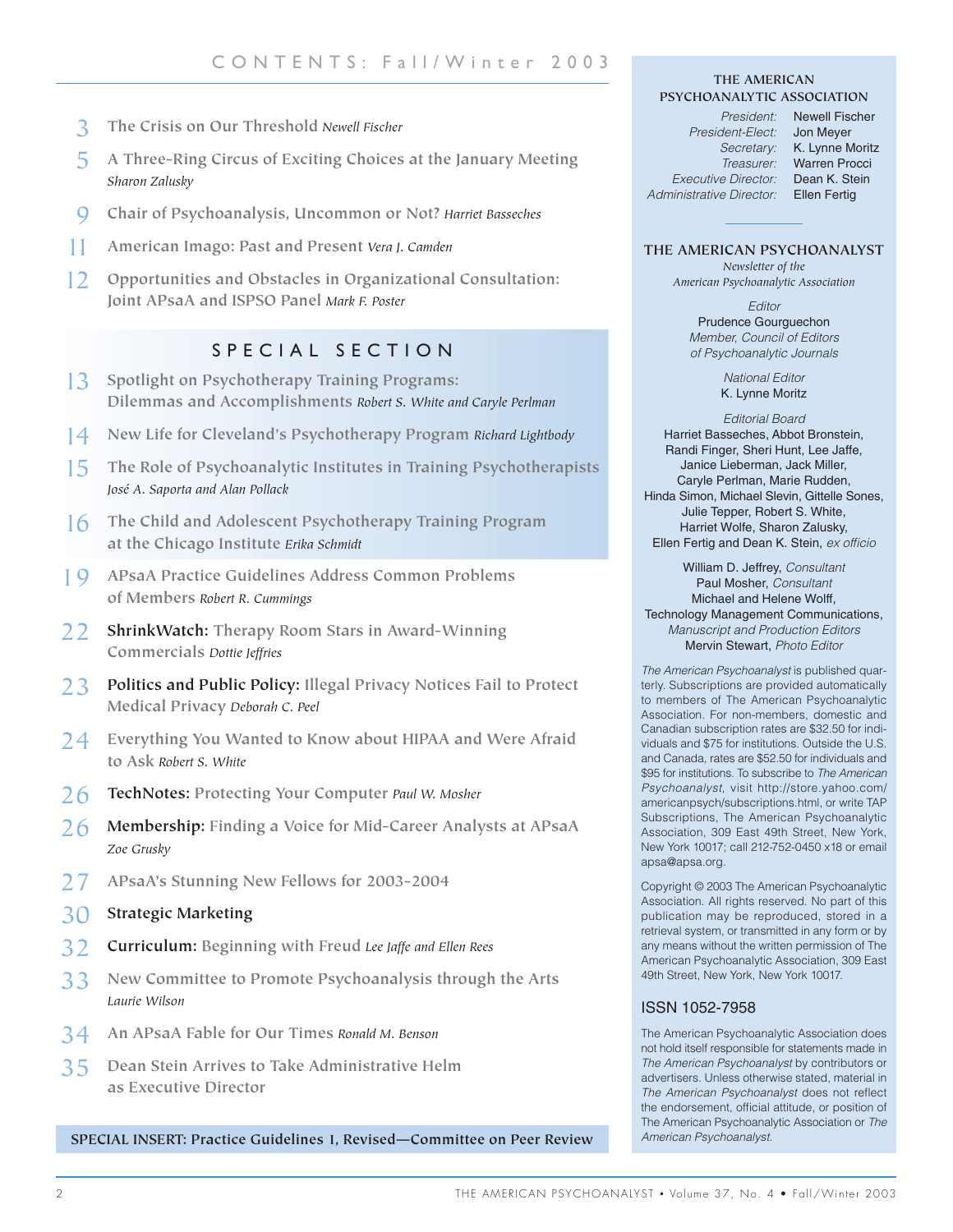- 3 **The Crisis on Our Threshold** *Newell Fischer*
- 5 **A Three-Ring Circus of Exciting Choices at the January Meeting** *Sharon Zalusky*
- 9 **Chair of Psychoanalysis, Uncommon or Not?** *Harriet Basseches*
- 11 **American Imago: Past and Present** *Vera J. Camden*
- 12 **Opportunities and Obstacles in Organizational Consultation: Joint APsaA and ISPSO Panel** *Mark F. Poster*

#### SPECIAL SECTION

- 13 **Spotlight on Psychotherapy Training Programs: Dilemmas and Accomplishments** *Robert S. White and Caryle Perlman*
- 14 **New Life for Cleveland's Psychotherapy Program** *Richard Lightbody*
- 15 **The Role of Psychoanalytic Institutes in Training Psychotherapists** *José A. Saporta and Alan Pollack*
- 16 **The Child and Adolescent Psychotherapy Training Program at the Chicago Institute** *Erika Schmidt*
- 19 **APsaA Practice Guidelines Address Common Problems of Members** *Robert R. Cummings*
- 22 **ShrinkWatch: Therapy Room Stars in Award-Winning Commercials** *Dottie Jeffries*
- 23 **Politics and Public Policy: Illegal Privacy Notices Fail to Protect Medical Privacy** *Deborah C. Peel*
- 24 **Everything You Wanted to Know about HIPAA and Were Afraid to Ask** *Robert S. White*
- 26 **TechNotes: Protecting Your Computer** *Paul W. Mosher*
- 26 **Membership: Finding a Voice for Mid-Career Analysts at APsaA**  *Zoe Grusky*
- 27 **APsaA's Stunning New Fellows for 2003-2004**
- 30 **Strategic Marketing**
- 32 **Curriculum: Beginning with Freud** *Lee Jaffe and Ellen Rees*
- 33 **New Committee to Promote Psychoanalysis through the Arts**  *Laurie Wilson*
- 34 **An APsaA Fable for Our Times** *Ronald M. Benson*
- 35 **Dean Stein Arrives to Take Administrative Helm as Executive Director**

**SPECIAL INSERT: Practice Guidelines 1, Revised—Committee on Peer Review** *American Psychoanalyst.*

#### **THE AMERICAN PSYCHOANALYTIC ASSOCIATION**

*President-Elect:* Jon Meyer *Executive Director:* Dean K. Stein *Administrative Director:* Ellen Fertig

*President:* Newell Fischer *Secretary:* K. Lynne Moritz *Treasurer:* Warren Procci

#### **THE AMERICAN PSYCHOANALYST**

*Newsletter of the American Psychoanalytic Association*

> *Editor* Prudence Gourguechon *Member, Council of Editors of Psychoanalytic Journals*

> > *National Editor* K. Lynne Moritz

*Editorial Board* Harriet Basseches, Abbot Bronstein, Randi Finger, Sheri Hunt, Lee Jaffe, Janice Lieberman, Jack Miller, Caryle Perlman, Marie Rudden, Hinda Simon, Michael Slevin, Gittelle Sones, Julie Tepper, Robert S. White, Harriet Wolfe, Sharon Zalusky, Ellen Fertig and Dean K. Stein, *ex officio*

William D. Jeffrey, *Consultant* Paul Mosher, *Consultant* Michael and Helene Wolff, Technology Management Communications, *Manuscript and Production Editors* Mervin Stewart, *Photo Editor*

*The American Psychoanalyst* is published quarterly. Subscriptions are provided automatically to members of The American Psychoanalytic Association. For non-members, domestic and Canadian subscription rates are \$32.50 for individuals and \$75 for institutions. Outside the U.S. and Canada, rates are \$52.50 for individuals and \$95 for institutions. To subscribe to *The American Psychoanalyst*, visit http://store.yahoo.com/ americanpsych/subscriptions.html, or write TAP Subscriptions, The American Psychoanalytic Association, 309 East 49th Street, New York, New York 10017; call 212-752-0450 x18 or email apsa@apsa.org.

Copyright © 2003 The American Psychoanalytic Association. All rights reserved. No part of this publication may be reproduced, stored in a retrieval system, or transmitted in any form or by any means without the written permission of The American Psychoanalytic Association, 309 East 49th Street, New York, New York 10017.

#### ISSN 1052-7958

The American Psychoanalytic Association does not hold itself responsible for statements made in *The American Psychoanalyst* by contributors or advertisers. Unless otherwise stated, material in *The American Psychoanalyst* does not reflect the endorsement, official attitude, or position of The American Psychoanalytic Association or *The*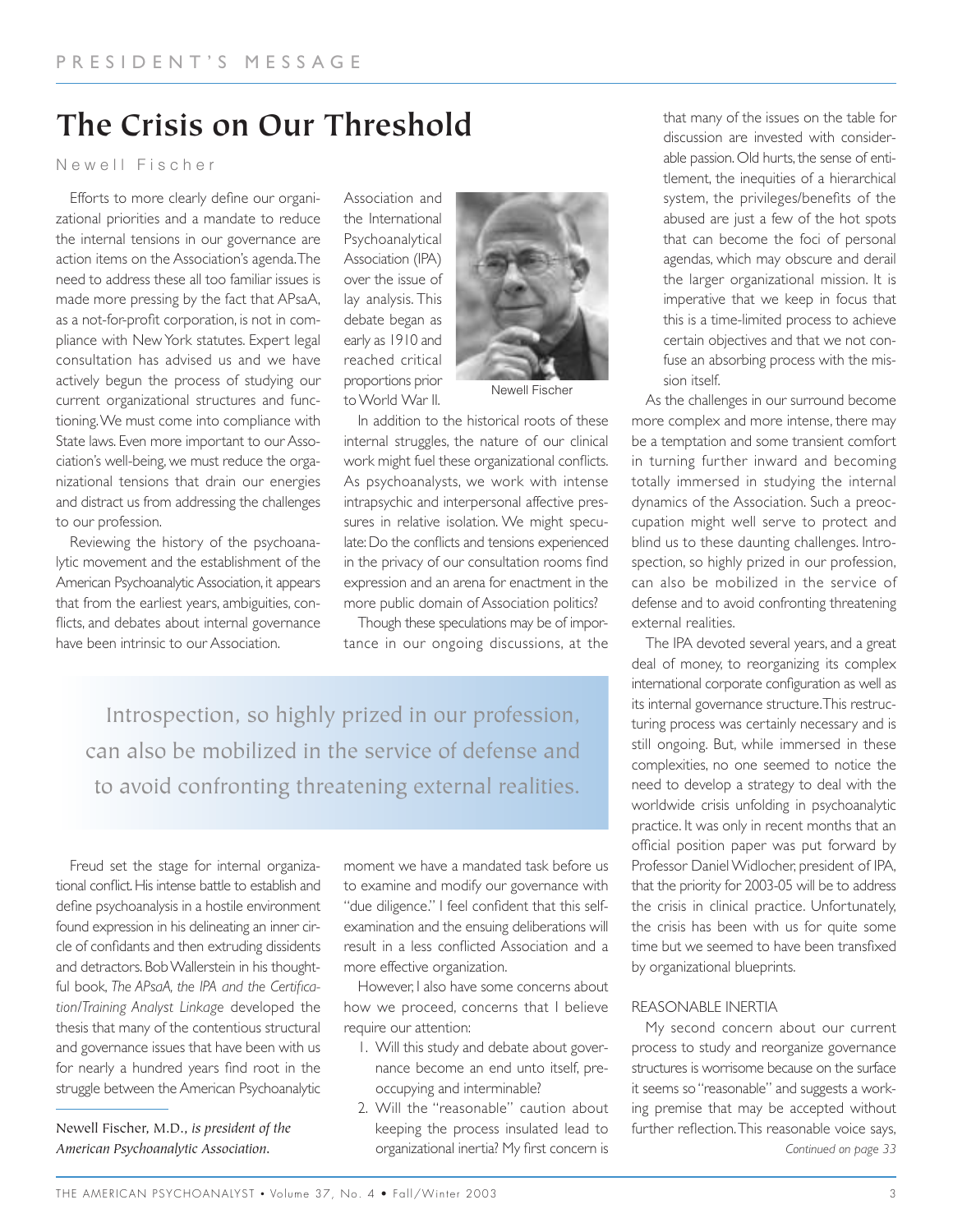# **The Crisis on Our Threshold**

Newell Fischer

Efforts to more clearly define our organizational priorities and a mandate to reduce the internal tensions in our governance are action items on the Association's agenda.The need to address these all too familiar issues is made more pressing by the fact that APsaA, as a not-for-profit corporation, is not in compliance with New York statutes. Expert legal consultation has advised us and we have actively begun the process of studying our current organizational structures and functioning.We must come into compliance with State laws. Even more important to our Association's well-being, we must reduce the organizational tensions that drain our energies and distract us from addressing the challenges to our profession.

Reviewing the history of the psychoanalytic movement and the establishment of the American Psychoanalytic Association, it appears that from the earliest years, ambiguities, conflicts, and debates about internal governance have been intrinsic to our Association.

Association and the International Psychoanalytical Association (IPA) over the issue of lay analysis. This debate began as early as 1910 and reached critical proportions prior to World War II.



Newell Fischer

In addition to the historical roots of these internal struggles, the nature of our clinical work might fuel these organizational conflicts. As psychoanalysts, we work with intense intrapsychic and interpersonal affective pressures in relative isolation. We might speculate: Do the conflicts and tensions experienced in the privacy of our consultation rooms find expression and an arena for enactment in the more public domain of Association politics?

Though these speculations may be of importance in our ongoing discussions, at the

Introspection, so highly prized in our profession, can also be mobilized in the service of defense and to avoid confronting threatening external realities.

Freud set the stage for internal organizational conflict. His intense battle to establish and define psychoanalysis in a hostile environment found expression in his delineating an inner circle of confidants and then extruding dissidents and detractors. Bob Wallerstein in his thoughtful book, *The APsaA, the IPA and the Certification/Training Analyst Linkage* developed the thesis that many of the contentious structural and governance issues that have been with us for nearly a hundred years find root in the struggle between the American Psychoanalytic

Newell Fischer, M.D., *is president of the American Psychoanalytic Association.*

moment we have a mandated task before us to examine and modify our governance with "due diligence." I feel confident that this selfexamination and the ensuing deliberations will result in a less conflicted Association and a more effective organization.

However, I also have some concerns about how we proceed, concerns that I believe require our attention:

- 1. Will this study and debate about governance become an end unto itself, preoccupying and interminable?
- 2. Will the "reasonable" caution about keeping the process insulated lead to organizational inertia? My first concern is

that many of the issues on the table for discussion are invested with considerable passion. Old hurts, the sense of entitlement, the inequities of a hierarchical system, the privileges/benefits of the abused are just a few of the hot spots that can become the foci of personal agendas, which may obscure and derail the larger organizational mission. It is imperative that we keep in focus that this is a time-limited process to achieve certain objectives and that we not confuse an absorbing process with the mission itself.

As the challenges in our surround become more complex and more intense, there may be a temptation and some transient comfort in turning further inward and becoming totally immersed in studying the internal dynamics of the Association. Such a preoccupation might well serve to protect and blind us to these daunting challenges. Introspection, so highly prized in our profession, can also be mobilized in the service of defense and to avoid confronting threatening external realities.

The IPA devoted several years, and a great deal of money, to reorganizing its complex international corporate configuration as well as its internal governance structure.This restructuring process was certainly necessary and is still ongoing. But, while immersed in these complexities, no one seemed to notice the need to develop a strategy to deal with the worldwide crisis unfolding in psychoanalytic practice. It was only in recent months that an official position paper was put forward by Professor Daniel Widlocher, president of IPA, that the priority for 2003-05 will be to address the crisis in clinical practice. Unfortunately, the crisis has been with us for quite some time but we seemed to have been transfixed by organizational blueprints.

#### REASONABLE INERTIA

My second concern about our current process to study and reorganize governance structures is worrisome because on the surface it seems so "reasonable" and suggests a working premise that may be accepted without further reflection.This reasonable voice says, *Continued on page 33*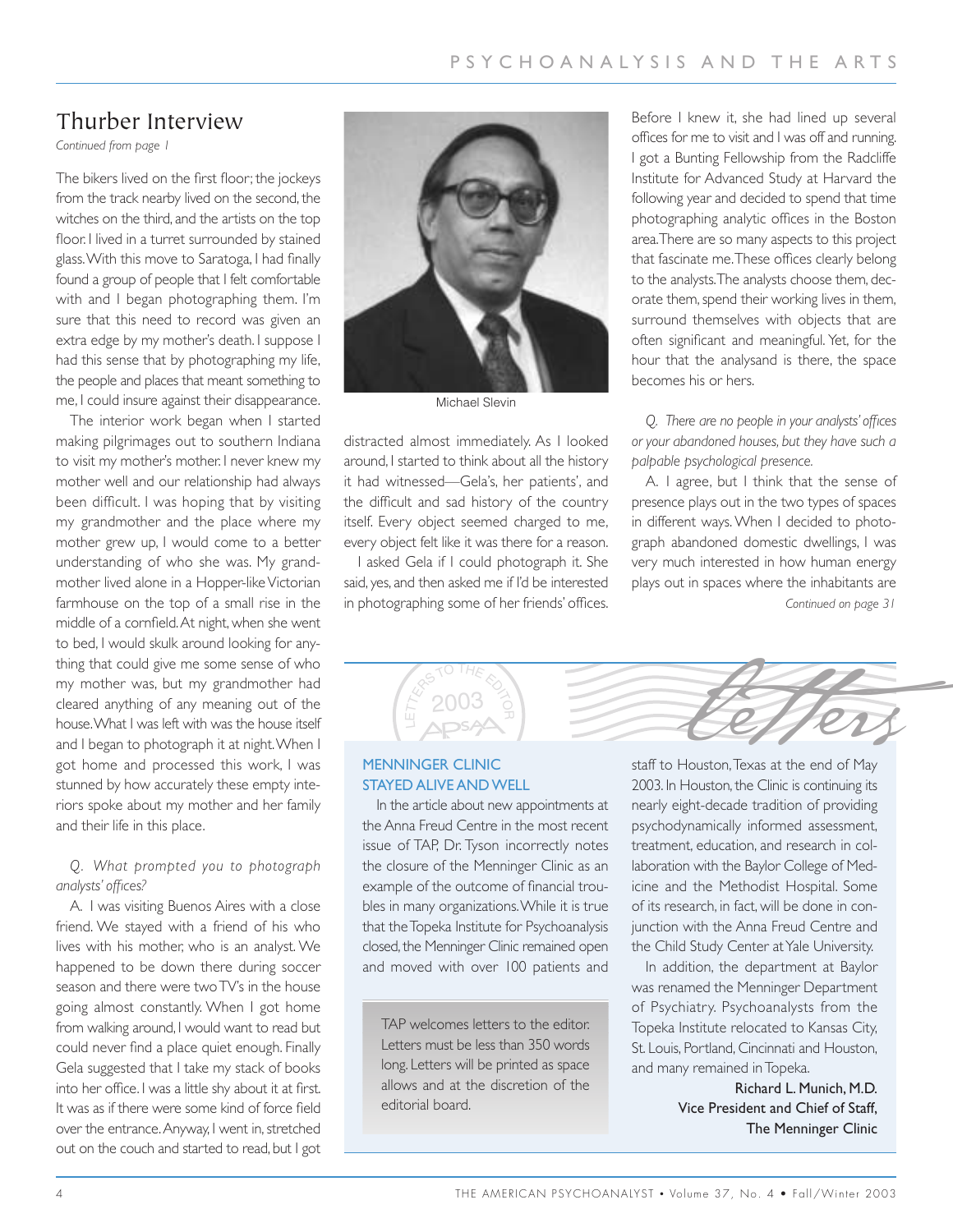## Thurber Interview

*Continued from page 1*

The bikers lived on the first floor; the jockeys from the track nearby lived on the second, the witches on the third, and the artists on the top floor. I lived in a turret surrounded by stained glass.With this move to Saratoga, I had finally found a group of people that I felt comfortable with and I began photographing them. I'm sure that this need to record was given an extra edge by my mother's death. I suppose I had this sense that by photographing my life, the people and places that meant something to me, I could insure against their disappearance.

The interior work began when I started making pilgrimages out to southern Indiana to visit my mother's mother. I never knew my mother well and our relationship had always been difficult. I was hoping that by visiting my grandmother and the place where my mother grew up, I would come to a better understanding of who she was. My grandmother lived alone in a Hopper-like Victorian farmhouse on the top of a small rise in the middle of a cornfield.At night, when she went to bed, I would skulk around looking for anything that could give me some sense of who my mother was, but my grandmother had cleared anything of any meaning out of the house.What I was left with was the house itself and I began to photograph it at night.When I got home and processed this work, I was stunned by how accurately these empty interiors spoke about my mother and her family and their life in this place.

#### *Q. What prompted you to photograph analysts' offices?*

A. I was visiting Buenos Aires with a close friend. We stayed with a friend of his who lives with his mother, who is an analyst. We happened to be down there during soccer season and there were two TV's in the house going almost constantly. When I got home from walking around, I would want to read but could never find a place quiet enough. Finally Gela suggested that I take my stack of books into her office. I was a little shy about it at first. It was as if there were some kind of force field over the entrance.Anyway, I went in, stretched out on the couch and started to read, but I got



Michael Slevin

distracted almost immediately. As I looked around, I started to think about all the history it had witnessed—Gela's, her patients', and the difficult and sad history of the country itself. Every object seemed charged to me, every object felt like it was there for a reason.

I asked Gela if I could photograph it. She said, yes, and then asked me if I'd be interested in photographing some of her friends' offices.

Before I knew it, she had lined up several offices for me to visit and I was off and running. I got a Bunting Fellowship from the Radcliffe Institute for Advanced Study at Harvard the following year and decided to spend that time photographing analytic offices in the Boston area.There are so many aspects to this project that fascinate me.These offices clearly belong to the analysts.The analysts choose them, decorate them, spend their working lives in them, surround themselves with objects that are often significant and meaningful. Yet, for the hour that the analysand is there, the space becomes his or hers.

*Q. There are no people in your analysts' offices or your abandoned houses, but they have such a palpable psychological presence.*

A. I agree, but I think that the sense of presence plays out in the two types of spaces in different ways. When I decided to photograph abandoned domestic dwellings, I was very much interested in how human energy plays out in spaces where the inhabitants are *Continued on page 31*



#### MENNINGER CLINIC STAYED ALIVE AND WELL

In the article about new appointments at the Anna Freud Centre in the most recent issue of TAP, Dr. Tyson incorrectly notes the closure of the Menninger Clinic as an example of the outcome of financial troubles in many organizations.While it is true that the Topeka Institute for Psychoanalysis closed, the Menninger Clinic remained open and moved with over 100 patients and

TAP welcomes letters to the editor. Letters must be less than 350 words long. Letters will be printed as space allows and at the discretion of the editorial board.

staff to Houston,Texas at the end of May 2003. In Houston, the Clinic is continuing its nearly eight-decade tradition of providing psychodynamically informed assessment, treatment, education, and research in collaboration with the Baylor College of Medicine and the Methodist Hospital. Some of its research, in fact, will be done in conjunction with the Anna Freud Centre and the Child Study Center at Yale University.

In addition, the department at Baylor was renamed the Menninger Department of Psychiatry. Psychoanalysts from the Topeka Institute relocated to Kansas City, St. Louis, Portland, Cincinnati and Houston, and many remained in Topeka.

> Richard L. Munich, M.D. Vice President and Chief of Staff, The Menninger Clinic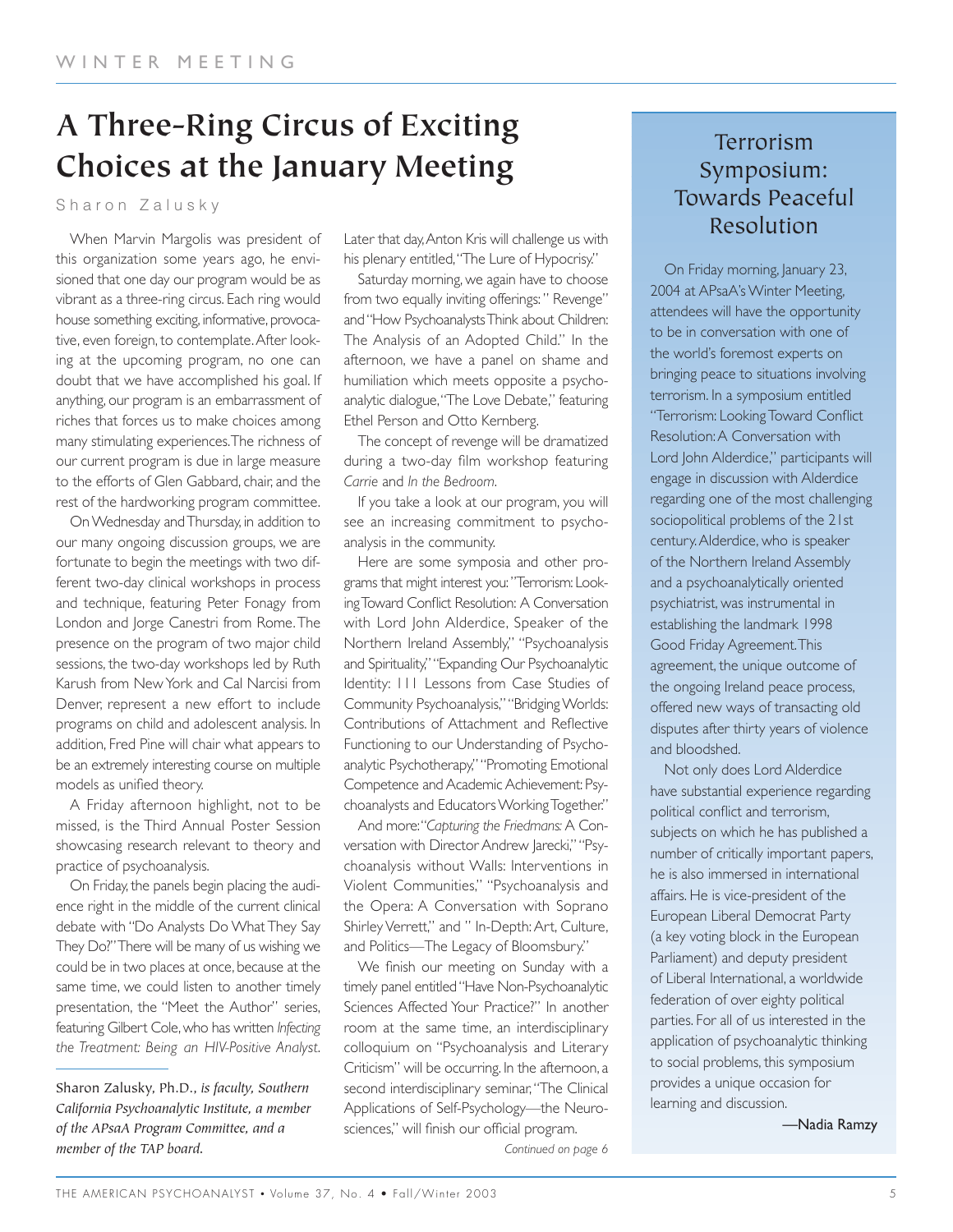# **A Three-Ring Circus of Exciting Choices at the January Meeting**

Sharon Zalusky

When Marvin Margolis was president of this organization some years ago, he envisioned that one day our program would be as vibrant as a three-ring circus. Each ring would house something exciting, informative, provocative, even foreign, to contemplate.After looking at the upcoming program, no one can doubt that we have accomplished his goal. If anything, our program is an embarrassment of riches that forces us to make choices among many stimulating experiences.The richness of our current program is due in large measure to the efforts of Glen Gabbard, chair, and the rest of the hardworking program committee.

On Wednesday and Thursday, in addition to our many ongoing discussion groups, we are fortunate to begin the meetings with two different two-day clinical workshops in process and technique, featuring Peter Fonagy from London and Jorge Canestri from Rome.The presence on the program of two major child sessions, the two-day workshops led by Ruth Karush from New York and Cal Narcisi from Denver, represent a new effort to include programs on child and adolescent analysis. In addition, Fred Pine will chair what appears to be an extremely interesting course on multiple models as unified theory.

A Friday afternoon highlight, not to be missed, is the Third Annual Poster Session showcasing research relevant to theory and practice of psychoanalysis.

On Friday, the panels begin placing the audience right in the middle of the current clinical debate with "Do Analysts Do What They Say They Do?" There will be many of us wishing we could be in two places at once, because at the same time, we could listen to another timely presentation, the "Meet the Author" series, featuring Gilbert Cole,who has written *Infecting the Treatment: Being an HIV-Positive Analyst*. Later that day,Anton Kris will challenge us with his plenary entitled,"The Lure of Hypocrisy."

Saturday morning, we again have to choose from two equally inviting offerings: " Revenge" and "How Psychoanalysts Think about Children: The Analysis of an Adopted Child." In the afternoon, we have a panel on shame and humiliation which meets opposite a psychoanalytic dialogue,"The Love Debate," featuring Ethel Person and Otto Kernberg.

The concept of revenge will be dramatized during a two-day film workshop featuring *Carrie* and *In the Bedroom*.

If you take a look at our program, you will see an increasing commitment to psychoanalysis in the community.

Here are some symposia and other programs that might interest you: "Terrorism: Looking Toward Conflict Resolution: A Conversation with Lord John Alderdice, Speaker of the Northern Ireland Assembly," "Psychoanalysis and Spirituality," "Expanding Our Psychoanalytic Identity: 111 Lessons from Case Studies of Community Psychoanalysis," "Bridging Worlds: Contributions of Attachment and Reflective Functioning to our Understanding of Psychoanalytic Psychotherapy," "Promoting Emotional Competence and Academic Achievement: Psychoanalysts and Educators Working Together."

And more:"*Capturing the Friedmans:* A Conversation with Director Andrew Jarecki," "Psychoanalysis without Walls: Interventions in Violent Communities," "Psychoanalysis and the Opera: A Conversation with Soprano Shirley Verrett," and " In-Depth: Art, Culture, and Politics—The Legacy of Bloomsbury."

We finish our meeting on Sunday with a timely panel entitled "Have Non-Psychoanalytic Sciences Affected Your Practice?" In another room at the same time, an interdisciplinary colloquium on "Psychoanalysis and Literary Criticism" will be occurring. In the afternoon, a second interdisciplinary seminar,"The Clinical Applications of Self-Psychology—the Neurosciences," will finish our official program.

## Terrorism Symposium: Towards Peaceful Resolution

On Friday morning, January 23, 2004 at APsaA's Winter Meeting, attendees will have the opportunity to be in conversation with one of the world's foremost experts on bringing peace to situations involving terrorism. In a symposium entitled "Terrorism: Looking Toward Conflict Resolution:A Conversation with Lord John Alderdice," participants will engage in discussion with Alderdice regarding one of the most challenging sociopolitical problems of the 21st century.Alderdice, who is speaker of the Northern Ireland Assembly and a psychoanalytically oriented psychiatrist, was instrumental in establishing the landmark 1998 Good Friday Agreement.This agreement, the unique outcome of the ongoing Ireland peace process, offered new ways of transacting old disputes after thirty years of violence and bloodshed.

Not only does Lord Alderdice have substantial experience regarding political conflict and terrorism, subjects on which he has published a number of critically important papers, he is also immersed in international affairs. He is vice-president of the European Liberal Democrat Party (a key voting block in the European Parliament) and deputy president of Liberal International, a worldwide federation of over eighty political parties. For all of us interested in the application of psychoanalytic thinking to social problems, this symposium provides a unique occasion for learning and discussion.

—Nadia Ramzy

Sharon Zalusky, Ph.D., *is faculty, Southern California Psychoanalytic Institute, a member of the APsaA Program Committee, and a member of the TAP board.*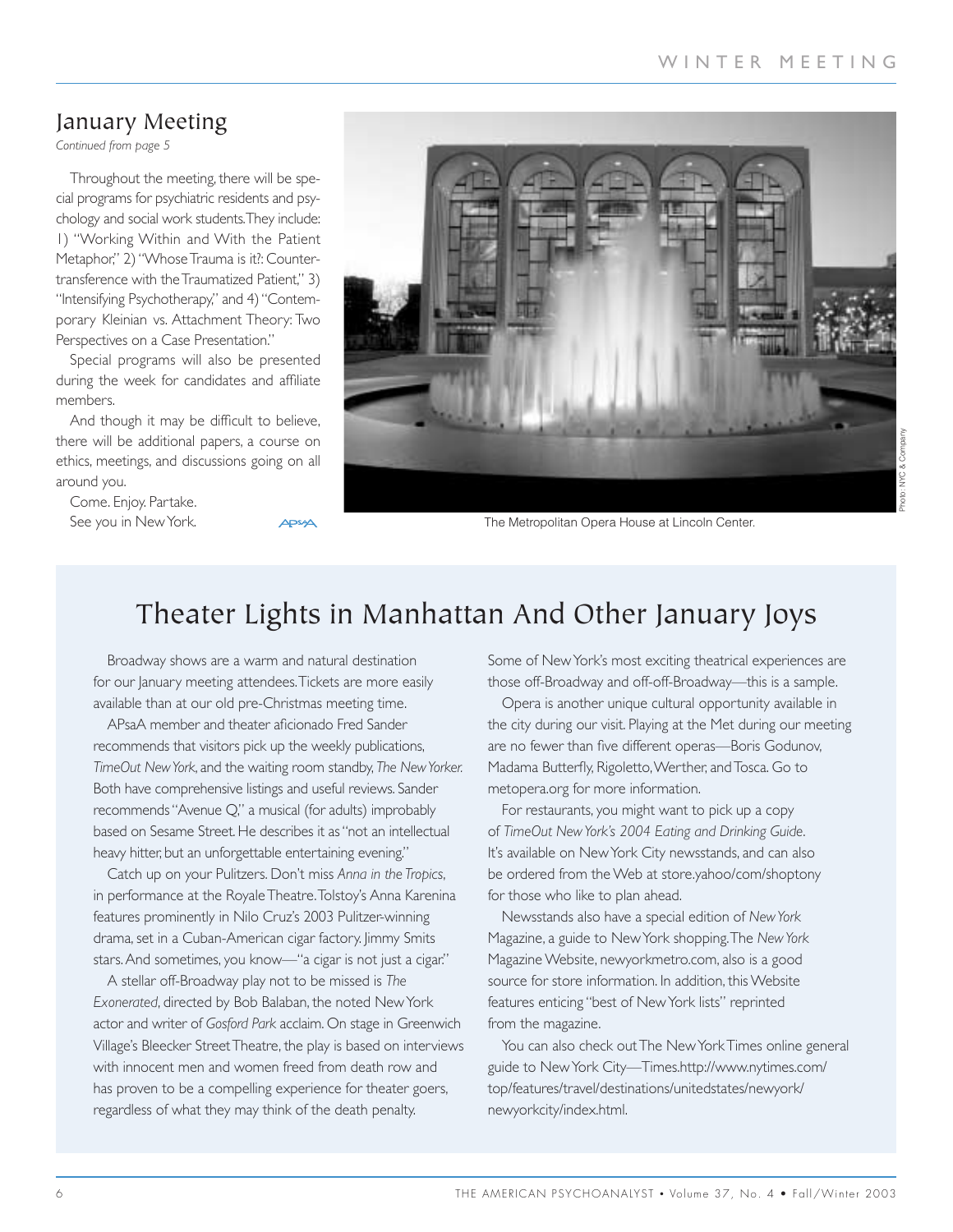## January Meeting

*Continued from page 5*

Throughout the meeting, there will be special programs for psychiatric residents and psychology and social work students.They include: 1) "Working Within and With the Patient Metaphor," 2) "Whose Trauma is it?: Countertransference with the Traumatized Patient," 3) "Intensifying Psychotherapy," and 4) "Contemporary Kleinian vs. Attachment Theory: Two Perspectives on a Case Presentation."

Special programs will also be presented during the week for candidates and affiliate members.

And though it may be difficult to believe, there will be additional papers, a course on ethics, meetings, and discussions going on all around you.

Come. Enjoy. Partake. See you in New York.



The Metropolitan Opera House at Lincoln Center.

# Theater Lights in Manhattan And Other January Joys

Broadway shows are a warm and natural destination for our January meeting attendees.Tickets are more easily available than at our old pre-Christmas meeting time.

APsaA member and theater aficionado Fred Sander recommends that visitors pick up the weekly publications, *TimeOut New York*, and the waiting room standby, *The New Yorker.* Both have comprehensive listings and useful reviews. Sander recommends "Avenue Q," a musical (for adults) improbably based on Sesame Street. He describes it as "not an intellectual heavy hitter, but an unforgettable entertaining evening."

Catch up on your Pulitzers. Don't miss *Anna in the Tropics*, in performance at the Royale Theatre.Tolstoy's Anna Karenina features prominently in Nilo Cruz's 2003 Pulitzer-winning drama, set in a Cuban-American cigar factory. Jimmy Smits stars.And sometimes, you know—"a cigar is not just a cigar."

A stellar off-Broadway play not to be missed is *The Exonerated*, directed by Bob Balaban, the noted New York actor and writer of *Gosford Park* acclaim. On stage in Greenwich Village's Bleecker Street Theatre, the play is based on interviews with innocent men and women freed from death row and has proven to be a compelling experience for theater goers, regardless of what they may think of the death penalty.

Some of New York's most exciting theatrical experiences are those off-Broadway and off-off-Broadway—this is a sample.

Opera is another unique cultural opportunity available in the city during our visit. Playing at the Met during our meeting are no fewer than five different operas—Boris Godunov, Madama Butterfly, Rigoletto,Werther, and Tosca. Go to metopera.org for more information.

For restaurants, you might want to pick up a copy of *TimeOut New York's 2004 Eating and Drinking Guide*. It's available on New York City newsstands, and can also be ordered from the Web at store.yahoo/com/shoptony for those who like to plan ahead.

Newsstands also have a special edition of *New York* Magazine, a guide to New York shopping.The *New York* Magazine Website, newyorkmetro.com, also is a good source for store information. In addition, this Website features enticing "best of New York lists" reprinted from the magazine.

You can also check out The New York Times online general guide to New York City—Times.http://www.nytimes.com/ top/features/travel/destinations/unitedstates/newyork/ newyorkcity/index.html.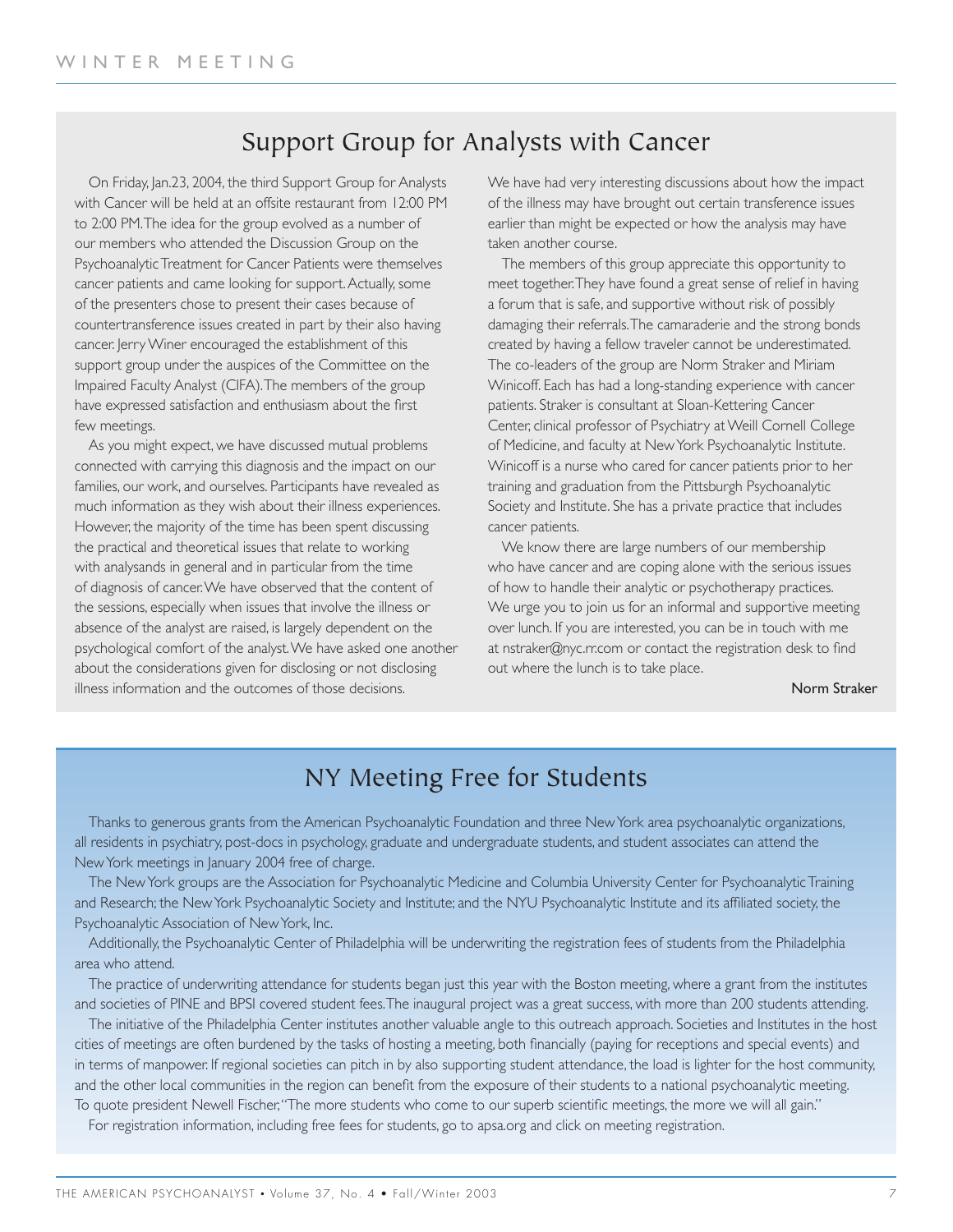## Support Group for Analysts with Cancer

On Friday, Jan.23, 2004, the third Support Group for Analysts with Cancer will be held at an offsite restaurant from 12:00 PM to 2:00 PM.The idea for the group evolved as a number of our members who attended the Discussion Group on the Psychoanalytic Treatment for Cancer Patients were themselves cancer patients and came looking for support.Actually, some of the presenters chose to present their cases because of countertransference issues created in part by their also having cancer. Jerry Winer encouraged the establishment of this support group under the auspices of the Committee on the Impaired Faculty Analyst (CIFA).The members of the group have expressed satisfaction and enthusiasm about the first few meetings.

As you might expect, we have discussed mutual problems connected with carrying this diagnosis and the impact on our families, our work, and ourselves. Participants have revealed as much information as they wish about their illness experiences. However, the majority of the time has been spent discussing the practical and theoretical issues that relate to working with analysands in general and in particular from the time of diagnosis of cancer.We have observed that the content of the sessions, especially when issues that involve the illness or absence of the analyst are raised, is largely dependent on the psychological comfort of the analyst.We have asked one another about the considerations given for disclosing or not disclosing illness information and the outcomes of those decisions.

We have had very interesting discussions about how the impact of the illness may have brought out certain transference issues earlier than might be expected or how the analysis may have taken another course.

The members of this group appreciate this opportunity to meet together.They have found a great sense of relief in having a forum that is safe, and supportive without risk of possibly damaging their referrals.The camaraderie and the strong bonds created by having a fellow traveler cannot be underestimated. The co-leaders of the group are Norm Straker and Miriam Winicoff. Each has had a long-standing experience with cancer patients. Straker is consultant at Sloan-Kettering Cancer Center, clinical professor of Psychiatry at Weill Cornell College of Medicine, and faculty at New York Psychoanalytic Institute. Winicoff is a nurse who cared for cancer patients prior to her training and graduation from the Pittsburgh Psychoanalytic Society and Institute. She has a private practice that includes cancer patients.

We know there are large numbers of our membership who have cancer and are coping alone with the serious issues of how to handle their analytic or psychotherapy practices. We urge you to join us for an informal and supportive meeting over lunch. If you are interested, you can be in touch with me at nstraker@nyc.rr.com or contact the registration desk to find out where the lunch is to take place.

Norm Straker

## NY Meeting Free for Students

Thanks to generous grants from the American Psychoanalytic Foundation and three New York area psychoanalytic organizations, all residents in psychiatry, post-docs in psychology, graduate and undergraduate students, and student associates can attend the New York meetings in January 2004 free of charge.

The New York groups are the Association for Psychoanalytic Medicine and Columbia University Center for Psychoanalytic Training and Research; the New York Psychoanalytic Society and Institute; and the NYU Psychoanalytic Institute and its affiliated society, the Psychoanalytic Association of New York, Inc.

Additionally, the Psychoanalytic Center of Philadelphia will be underwriting the registration fees of students from the Philadelphia area who attend.

The practice of underwriting attendance for students began just this year with the Boston meeting, where a grant from the institutes and societies of PINE and BPSI covered student fees.The inaugural project was a great success, with more than 200 students attending.

The initiative of the Philadelphia Center institutes another valuable angle to this outreach approach. Societies and Institutes in the host cities of meetings are often burdened by the tasks of hosting a meeting, both financially (paying for receptions and special events) and in terms of manpower. If regional societies can pitch in by also supporting student attendance, the load is lighter for the host community, and the other local communities in the region can benefit from the exposure of their students to a national psychoanalytic meeting. To quote president Newell Fischer,"The more students who come to our superb scientific meetings, the more we will all gain."

For registration information, including free fees for students, go to apsa.org and click on meeting registration.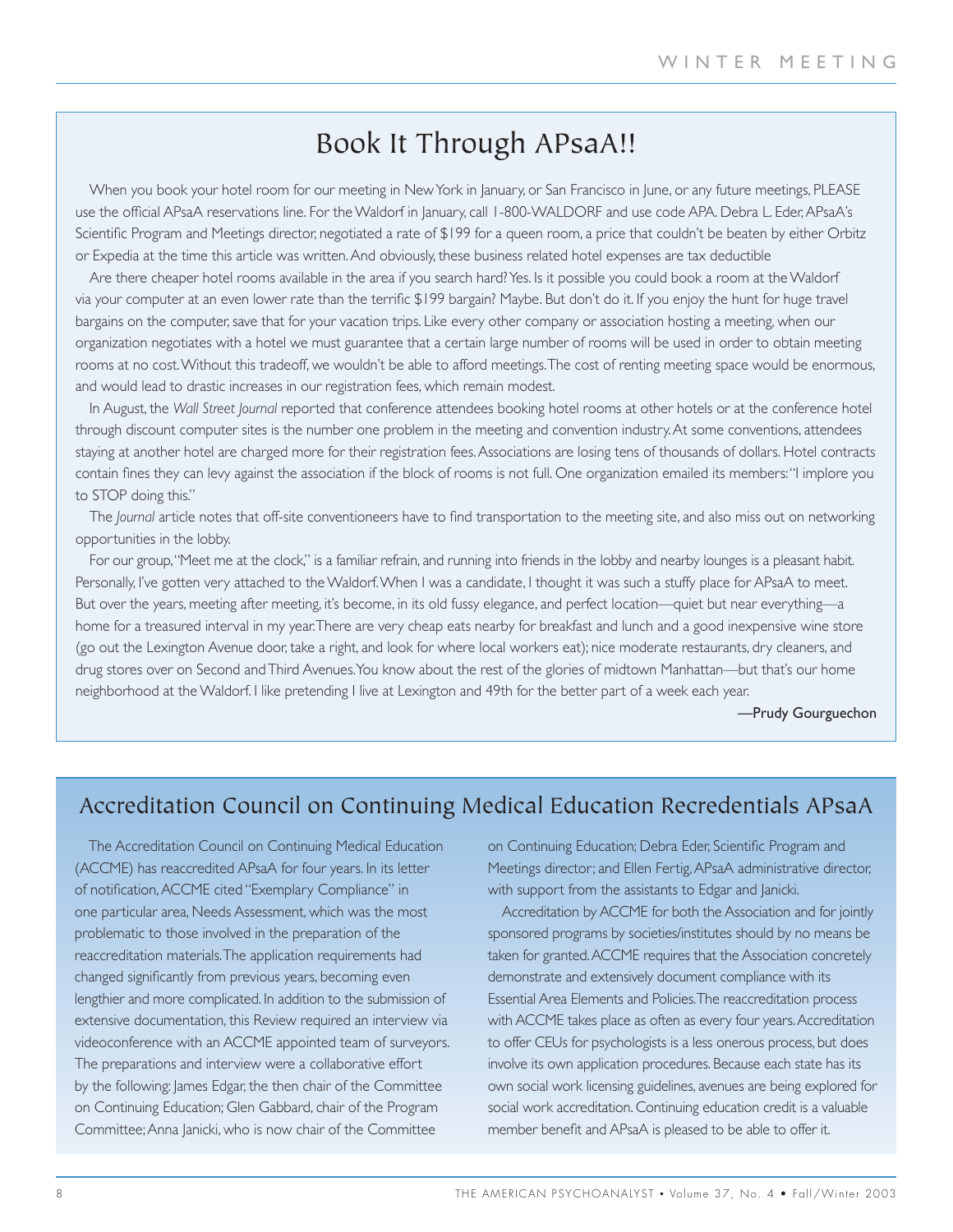## Book It Through APsaA!!

When you book your hotel room for our meeting in New York in January, or San Francisco in June, or any future meetings, PLEASE use the official APsaA reservations line. For the Waldorf in January, call 1-800-WALDORF and use code APA. Debra L. Eder, APsaA's Scientific Program and Meetings director, negotiated a rate of \$199 for a queen room, a price that couldn't be beaten by either Orbitz or Expedia at the time this article was written.And obviously, these business related hotel expenses are tax deductible

Are there cheaper hotel rooms available in the area if you search hard? Yes. Is it possible you could book a room at the Waldorf via your computer at an even lower rate than the terrific \$199 bargain? Maybe. But don't do it. If you enjoy the hunt for huge travel bargains on the computer, save that for your vacation trips. Like every other company or association hosting a meeting, when our organization negotiates with a hotel we must guarantee that a certain large number of rooms will be used in order to obtain meeting rooms at no cost.Without this tradeoff, we wouldn't be able to afford meetings.The cost of renting meeting space would be enormous, and would lead to drastic increases in our registration fees, which remain modest.

In August, the *Wall Street Journal* reported that conference attendees booking hotel rooms at other hotels or at the conference hotel through discount computer sites is the number one problem in the meeting and convention industry.At some conventions, attendees staying at another hotel are charged more for their registration fees.Associations are losing tens of thousands of dollars. Hotel contracts contain fines they can levy against the association if the block of rooms is not full. One organization emailed its members:"I implore you to STOP doing this."

The *Journal* article notes that off-site conventioneers have to find transportation to the meeting site, and also miss out on networking opportunities in the lobby.

For our group,"Meet me at the clock," is a familiar refrain, and running into friends in the lobby and nearby lounges is a pleasant habit. Personally, I've gotten very attached to the Waldorf. When I was a candidate, I thought it was such a stuffy place for APsaA to meet. But over the years, meeting after meeting, it's become, in its old fussy elegance, and perfect location—quiet but near everything—a home for a treasured interval in my year.There are very cheap eats nearby for breakfast and lunch and a good inexpensive wine store (go out the Lexington Avenue door, take a right, and look for where local workers eat); nice moderate restaurants, dry cleaners, and drug stores over on Second and Third Avenues.You know about the rest of the glories of midtown Manhattan—but that's our home neighborhood at the Waldorf. I like pretending I live at Lexington and 49th for the better part of a week each year.

—Prudy Gourguechon

## Accreditation Council on Continuing Medical Education Recredentials APsaA

The Accreditation Council on Continuing Medical Education (ACCME) has reaccredited APsaA for four years. In its letter of notification,ACCME cited "Exemplary Compliance" in one particular area, Needs Assessment, which was the most problematic to those involved in the preparation of the reaccreditation materials.The application requirements had changed significantly from previous years, becoming even lengthier and more complicated. In addition to the submission of extensive documentation, this Review required an interview via videoconference with an ACCME appointed team of surveyors. The preparations and interview were a collaborative effort by the following: James Edgar, the then chair of the Committee on Continuing Education; Glen Gabbard, chair of the Program Committee;Anna Janicki, who is now chair of the Committee

on Continuing Education; Debra Eder, Scientific Program and Meetings director; and Ellen Fertig, APsaA administrative director, with support from the assistants to Edgar and Janicki.

Accreditation by ACCME for both the Association and for jointly sponsored programs by societies/institutes should by no means be taken for granted.ACCME requires that the Association concretely demonstrate and extensively document compliance with its Essential Area Elements and Policies.The reaccreditation process with ACCME takes place as often as every four years.Accreditation to offer CEUs for psychologists is a less onerous process, but does involve its own application procedures. Because each state has its own social work licensing guidelines, avenues are being explored for social work accreditation. Continuing education credit is a valuable member benefit and APsaA is pleased to be able to offer it.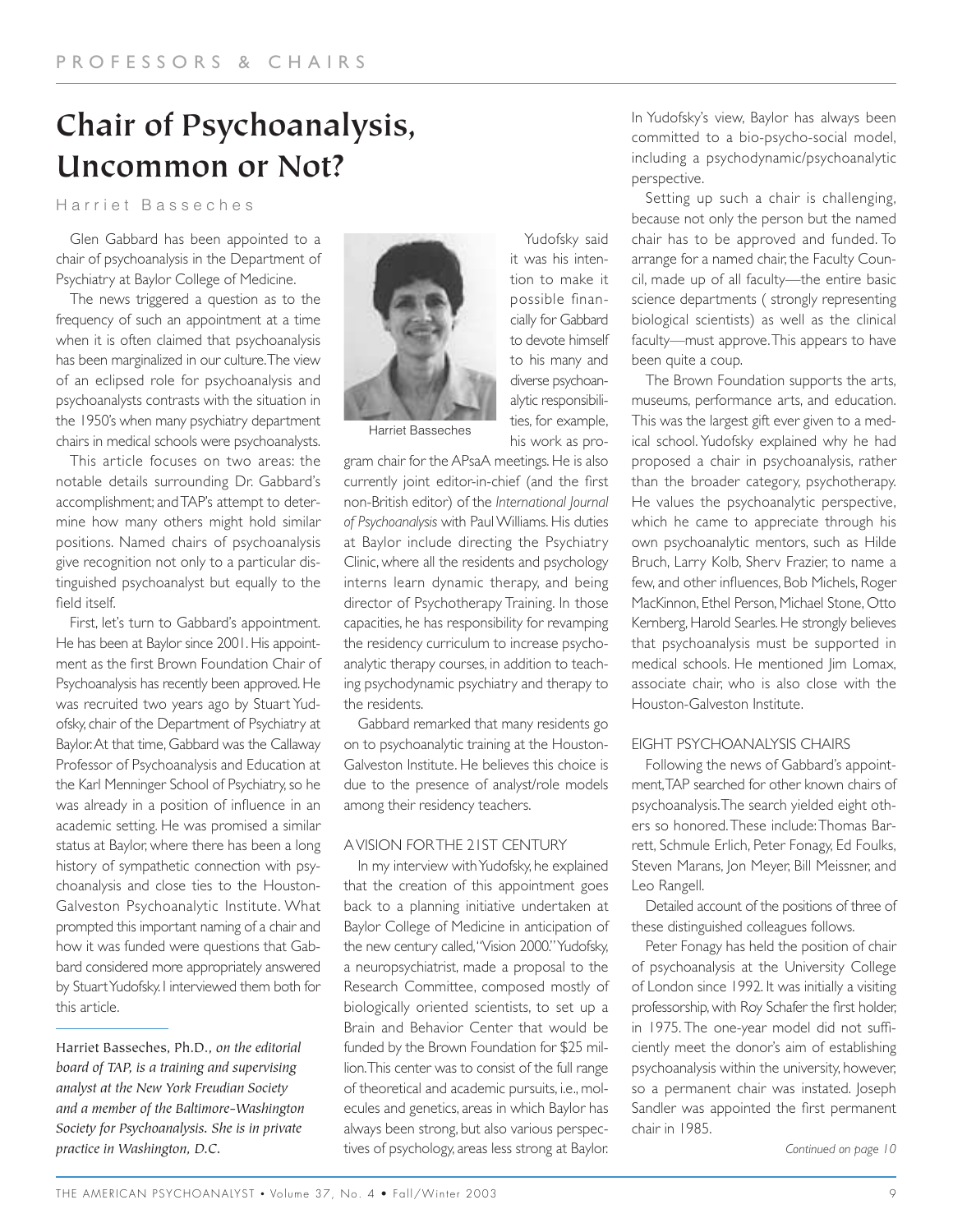# **Chair of Psychoanalysis, Uncommon or Not?**

#### Harriet Basseches

Glen Gabbard has been appointed to a chair of psychoanalysis in the Department of Psychiatry at Baylor College of Medicine.

The news triggered a question as to the frequency of such an appointment at a time when it is often claimed that psychoanalysis has been marginalized in our culture.The view of an eclipsed role for psychoanalysis and psychoanalysts contrasts with the situation in the 1950's when many psychiatry department chairs in medical schools were psychoanalysts.

This article focuses on two areas: the notable details surrounding Dr. Gabbard's accomplishment; and TAP's attempt to determine how many others might hold similar positions. Named chairs of psychoanalysis give recognition not only to a particular distinguished psychoanalyst but equally to the field itself.

First, let's turn to Gabbard's appointment. He has been at Baylor since 2001. His appointment as the first Brown Foundation Chair of Psychoanalysis has recently been approved. He was recruited two years ago by Stuart Yudofsky, chair of the Department of Psychiatry at Baylor.At that time, Gabbard was the Callaway Professor of Psychoanalysis and Education at the Karl Menninger School of Psychiatry, so he was already in a position of influence in an academic setting. He was promised a similar status at Baylor, where there has been a long history of sympathetic connection with psychoanalysis and close ties to the Houston-Galveston Psychoanalytic Institute. What prompted this important naming of a chair and how it was funded were questions that Gabbard considered more appropriately answered by Stuart Yudofsky. I interviewed them both for this article.

Harriet Basseches, Ph.D., *on the editorial board of TAP, is a training and supervising analyst at the New York Freudian Society and a member of the Baltimore-Washington Society for Psychoanalysis. She is in private practice in Washington, D.C.*



Harriet Basseches

gram chair for the APsaA meetings. He is also currently joint editor-in-chief (and the first non-British editor) of the *International Journal of Psychoanalysis* with Paul Williams. His duties at Baylor include directing the Psychiatry Clinic, where all the residents and psychology interns learn dynamic therapy, and being director of Psychotherapy Training. In those capacities, he has responsibility for revamping the residency curriculum to increase psychoanalytic therapy courses, in addition to teaching psychodynamic psychiatry and therapy to the residents.

Yudofsky said it was his intention to make it possible financially for Gabbard to devote himself to his many and diverse psychoanalytic responsibilities, for example, his work as pro-

Gabbard remarked that many residents go on to psychoanalytic training at the Houston-Galveston Institute. He believes this choice is due to the presence of analyst/role models among their residency teachers.

#### A VISION FOR THE 21ST CENTURY

In my interview with Yudofsky, he explained that the creation of this appointment goes back to a planning initiative undertaken at Baylor College of Medicine in anticipation of the new century called,"Vision 2000." Yudofsky, a neuropsychiatrist, made a proposal to the Research Committee, composed mostly of biologically oriented scientists, to set up a Brain and Behavior Center that would be funded by the Brown Foundation for \$25 million.This center was to consist of the full range of theoretical and academic pursuits, i.e., molecules and genetics, areas in which Baylor has always been strong, but also various perspectives of psychology, areas less strong at Baylor.

In Yudofsky's view, Baylor has always been committed to a bio-psycho-social model, including a psychodynamic/psychoanalytic perspective.

Setting up such a chair is challenging, because not only the person but the named chair has to be approved and funded. To arrange for a named chair, the Faculty Council, made up of all faculty—the entire basic science departments ( strongly representing biological scientists) as well as the clinical faculty—must approve.This appears to have been quite a coup.

The Brown Foundation supports the arts, museums, performance arts, and education. This was the largest gift ever given to a medical school. Yudofsky explained why he had proposed a chair in psychoanalysis, rather than the broader category, psychotherapy. He values the psychoanalytic perspective, which he came to appreciate through his own psychoanalytic mentors, such as Hilde Bruch, Larry Kolb, Sherv Frazier, to name a few, and other influences, Bob Michels, Roger MacKinnon, Ethel Person, Michael Stone, Otto Kernberg, Harold Searles. He strongly believes that psychoanalysis must be supported in medical schools. He mentioned Jim Lomax, associate chair, who is also close with the Houston-Galveston Institute.

#### EIGHT PSYCHOANALYSIS CHAIRS

Following the news of Gabbard's appointment,TAP searched for other known chairs of psychoanalysis.The search yielded eight others so honored.These include:Thomas Barrett, Schmule Erlich, Peter Fonagy, Ed Foulks, Steven Marans, Jon Meyer, Bill Meissner, and Leo Rangell.

Detailed account of the positions of three of these distinguished colleagues follows.

Peter Fonagy has held the position of chair of psychoanalysis at the University College of London since 1992. It was initially a visiting professorship, with Roy Schafer the first holder, in 1975. The one-year model did not sufficiently meet the donor's aim of establishing psychoanalysis within the university, however, so a permanent chair was instated. Joseph Sandler was appointed the first permanent chair in 1985.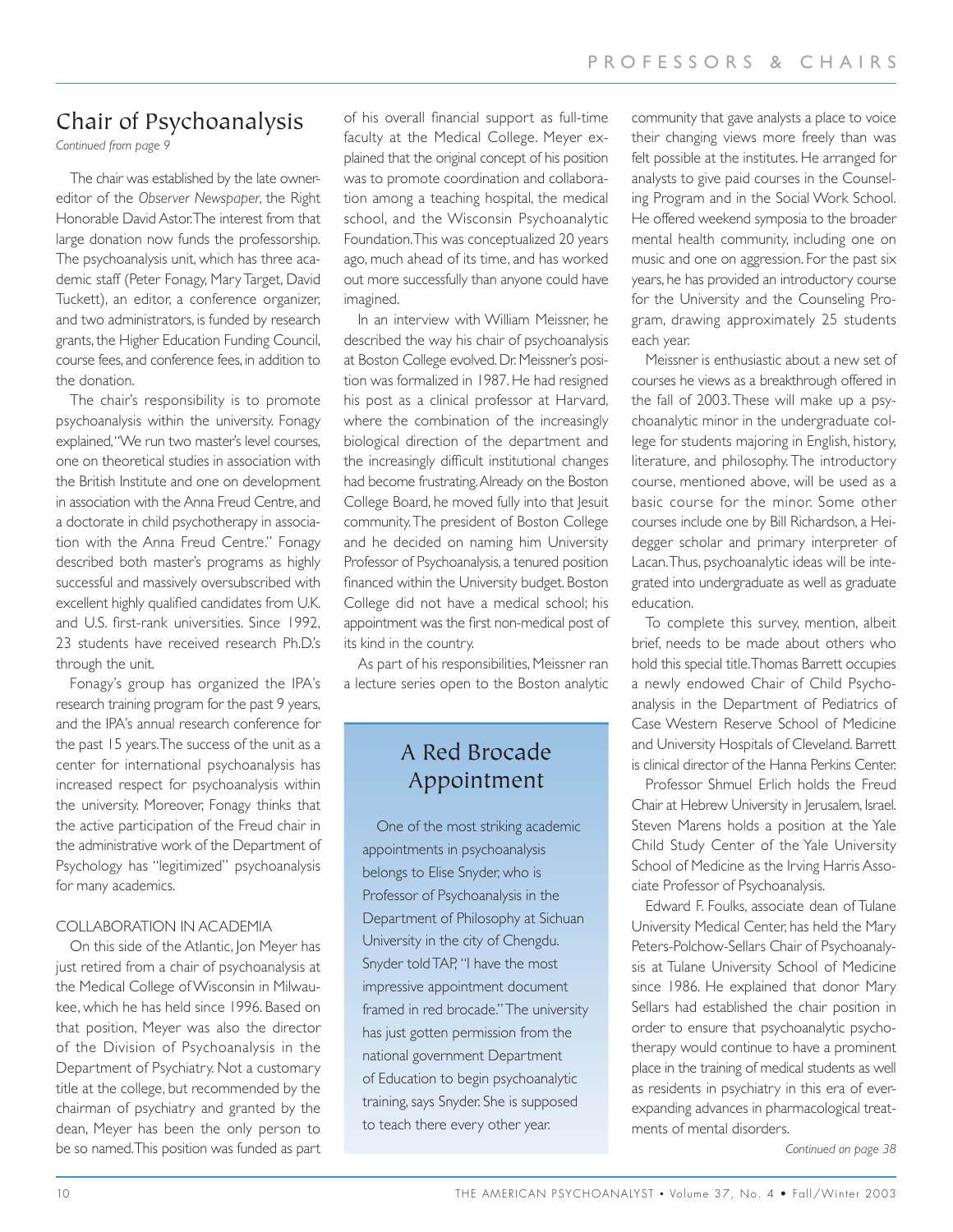## Chair of Psychoanalysis

*Continued from page 9*

The chair was established by the late ownereditor of the *Observer Newspaper*, the Right Honorable David Astor.The interest from that large donation now funds the professorship. The psychoanalysis unit, which has three academic staff (Peter Fonagy, Mary Target, David Tuckett), an editor, a conference organizer, and two administrators, is funded by research grants, the Higher Education Funding Council, course fees, and conference fees, in addition to the donation.

The chair's responsibility is to promote psychoanalysis within the university. Fonagy explained,"We run two master's level courses, one on theoretical studies in association with the British Institute and one on development in association with the Anna Freud Centre, and a doctorate in child psychotherapy in association with the Anna Freud Centre." Fonagy described both master's programs as highly successful and massively oversubscribed with excellent highly qualified candidates from U.K. and U.S. first-rank universities. Since 1992, 23 students have received research Ph.D.'s through the unit.

Fonagy's group has organized the IPA's research training program for the past 9 years, and the IPA's annual research conference for the past 15 years.The success of the unit as a center for international psychoanalysis has increased respect for psychoanalysis within the university. Moreover, Fonagy thinks that the active participation of the Freud chair in the administrative work of the Department of Psychology has "legitimized" psychoanalysis for many academics.

#### COLLABORATION IN ACADEMIA

On this side of the Atlantic, Jon Meyer has just retired from a chair of psychoanalysis at the Medical College of Wisconsin in Milwaukee, which he has held since 1996. Based on that position, Meyer was also the director of the Division of Psychoanalysis in the Department of Psychiatry. Not a customary title at the college, but recommended by the chairman of psychiatry and granted by the dean, Meyer has been the only person to be so named.This position was funded as part of his overall financial support as full-time faculty at the Medical College. Meyer explained that the original concept of his position was to promote coordination and collaboration among a teaching hospital, the medical school, and the Wisconsin Psychoanalytic Foundation.This was conceptualized 20 years ago, much ahead of its time, and has worked out more successfully than anyone could have imagined.

In an interview with William Meissner, he described the way his chair of psychoanalysis at Boston College evolved. Dr. Meissner's position was formalized in 1987. He had resigned his post as a clinical professor at Harvard, where the combination of the increasingly biological direction of the department and the increasingly difficult institutional changes had become frustrating.Already on the Boston College Board, he moved fully into that Jesuit community.The president of Boston College and he decided on naming him University Professor of Psychoanalysis, a tenured position financed within the University budget. Boston College did not have a medical school; his appointment was the first non-medical post of its kind in the country.

As part of his responsibilities, Meissner ran a lecture series open to the Boston analytic

## A Red Brocade Appointment

One of the most striking academic appointments in psychoanalysis belongs to Elise Snyder, who is Professor of Psychoanalysis in the Department of Philosophy at Sichuan University in the city of Chengdu. Snyder told TAP, "I have the most impressive appointment document framed in red brocade." The university has just gotten permission from the national government Department of Education to begin psychoanalytic training, says Snyder. She is supposed to teach there every other year.

community that gave analysts a place to voice their changing views more freely than was felt possible at the institutes. He arranged for analysts to give paid courses in the Counseling Program and in the Social Work School. He offered weekend symposia to the broader mental health community, including one on music and one on aggression. For the past six years, he has provided an introductory course for the University and the Counseling Program, drawing approximately 25 students each year.

Meissner is enthusiastic about a new set of courses he views as a breakthrough offered in the fall of 2003. These will make up a psychoanalytic minor in the undergraduate college for students majoring in English, history, literature, and philosophy. The introductory course, mentioned above, will be used as a basic course for the minor. Some other courses include one by Bill Richardson, a Heidegger scholar and primary interpreter of Lacan.Thus, psychoanalytic ideas will be integrated into undergraduate as well as graduate education.

To complete this survey, mention, albeit brief, needs to be made about others who hold this special title.Thomas Barrett occupies a newly endowed Chair of Child Psychoanalysis in the Department of Pediatrics of Case Western Reserve School of Medicine and University Hospitals of Cleveland. Barrett is clinical director of the Hanna Perkins Center.

Professor Shmuel Erlich holds the Freud Chair at Hebrew University in Jerusalem, Israel. Steven Marens holds a position at the Yale Child Study Center of the Yale University School of Medicine as the Irving Harris Associate Professor of Psychoanalysis.

Edward F. Foulks, associate dean of Tulane University Medical Center, has held the Mary Peters-Polchow-Sellars Chair of Psychoanalysis at Tulane University School of Medicine since 1986. He explained that donor Mary Sellars had established the chair position in order to ensure that psychoanalytic psychotherapy would continue to have a prominent place in the training of medical students as well as residents in psychiatry in this era of everexpanding advances in pharmacological treatments of mental disorders.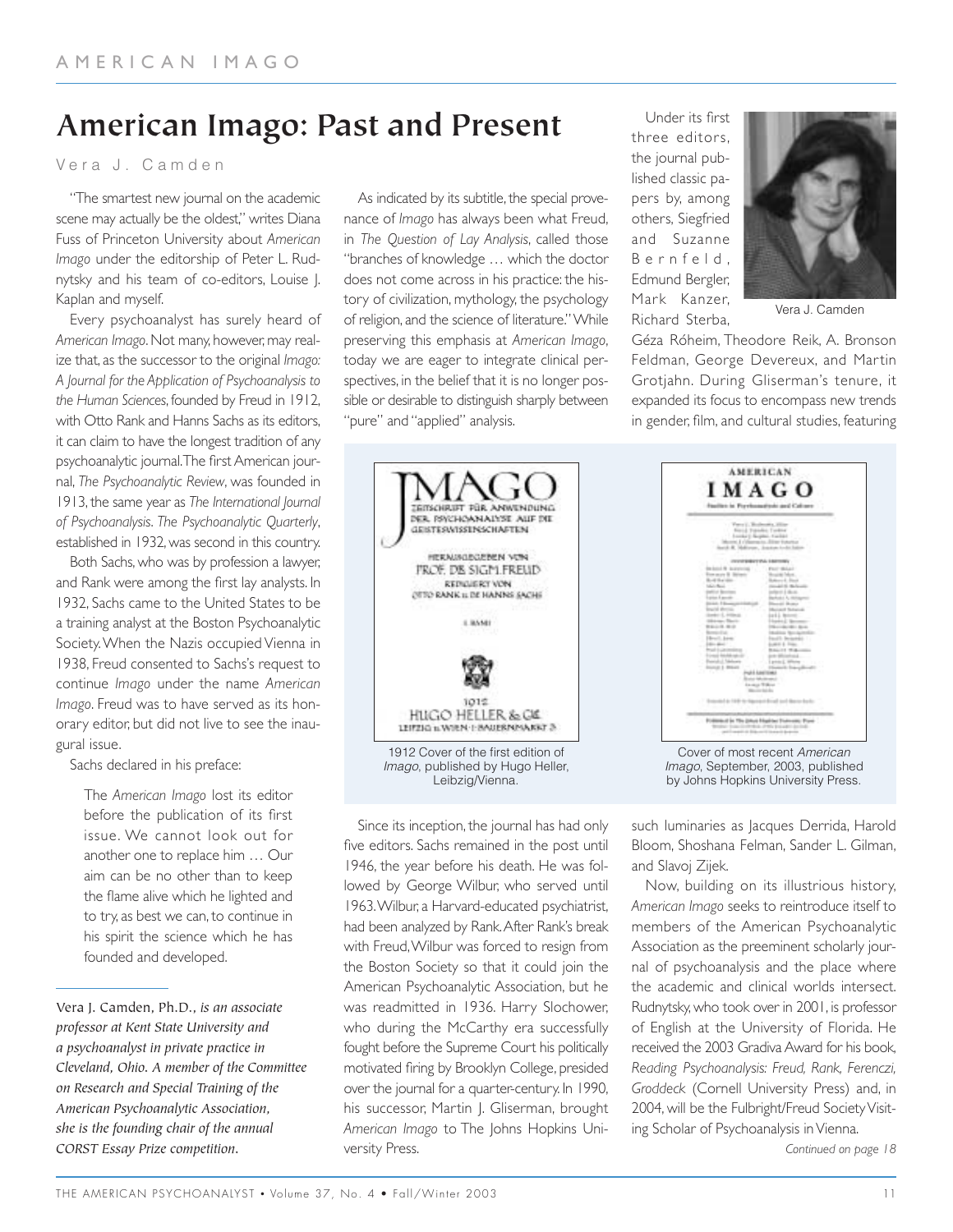## **American Imago: Past and Present**

V era J. Camden

"The smartest new journal on the academic scene may actually be the oldest," writes Diana Fuss of Princeton University about *American Imago* under the editorship of Peter L. Rudnytsky and his team of co-editors, Louise J. Kaplan and myself.

Every psychoanalyst has surely heard of *American Imago*. Not many, however, may realize that, as the successor to the original *Imago: A Journal for the Application of Psychoanalysis to the Human Sciences*, founded by Freud in 1912, with Otto Rank and Hanns Sachs as its editors, it can claim to have the longest tradition of any psychoanalytic journal.The first American journal, *The Psychoanalytic Review*, was founded in 1913, the same year as *The International Journal of Psychoanalysis*. *The Psychoanalytic Quarterly*, established in 1932, was second in this country.

Both Sachs, who was by profession a lawyer, and Rank were among the first lay analysts. In 1932, Sachs came to the United States to be a training analyst at the Boston Psychoanalytic Society.When the Nazis occupied Vienna in 1938, Freud consented to Sachs's request to continue *Imago* under the name *American Imago*. Freud was to have served as its honorary editor, but did not live to see the inaugural issue.

Sachs declared in his preface:

The *American Imago* lost its editor before the publication of its first issue. We cannot look out for another one to replace him … Our aim can be no other than to keep the flame alive which he lighted and to try, as best we can, to continue in his spirit the science which he has founded and developed.

As indicated by its subtitle, the special provenance of *Imago* has always been what Freud, in *The Question of Lay Analysis*, called those "branches of knowledge … which the doctor does not come across in his practice: the history of civilization, mythology, the psychology of religion, and the science of literature." While preserving this emphasis at *American Imago*, today we are eager to integrate clinical perspectives, in the belief that it is no longer possible or desirable to distinguish sharply between "pure" and "applied" analysis.

Under its first three editors, the journal published classic papers by, among others, Siegfried and Suzanne Bernfeld, Edmund Bergler, Mark Kanzer, Richard Sterba,



Vera J. Camden

Géza Róheim, Theodore Reik, A. Bronson Feldman, George Devereux, and Martin Grotjahn. During Gliserman's tenure, it expanded its focus to encompass new trends in gender, film, and cultural studies, featuring



Since its inception, the journal has had only five editors. Sachs remained in the post until 1946, the year before his death. He was followed by George Wilbur, who served until 1963.Wilbur, a Harvard-educated psychiatrist, had been analyzed by Rank.After Rank's break with Freud,Wilbur was forced to resign from the Boston Society so that it could join the American Psychoanalytic Association, but he was readmitted in 1936. Harry Slochower, who during the McCarthy era successfully fought before the Supreme Court his politically motivated firing by Brooklyn College, presided over the journal for a quarter-century. In 1990, his successor, Martin J. Gliserman, brought *American Imago* to The Johns Hopkins University Press.

such luminaries as Jacques Derrida, Harold Bloom, Shoshana Felman, Sander L. Gilman, and Slavoj Zijek.

Now, building on its illustrious history, *American Imago* seeks to reintroduce itself to members of the American Psychoanalytic Association as the preeminent scholarly journal of psychoanalysis and the place where the academic and clinical worlds intersect. Rudnytsky, who took over in 2001, is professor of English at the University of Florida. He received the 2003 Gradiva Award for his book, *Reading Psychoanalysis: Freud, Rank, Ferenczi, Groddeck* (Cornell University Press) and, in 2004, will be the Fulbright/Freud Society Visiting Scholar of Psychoanalysis in Vienna.

Vera J. Camden, Ph.D., *is an associate professor at Kent State University and a psychoanalyst in private practice in Cleveland, Ohio. A member of the Committee on Research and Special Training of the American Psychoanalytic Association, she is the founding chair of the annual CORST Essay Prize competition.*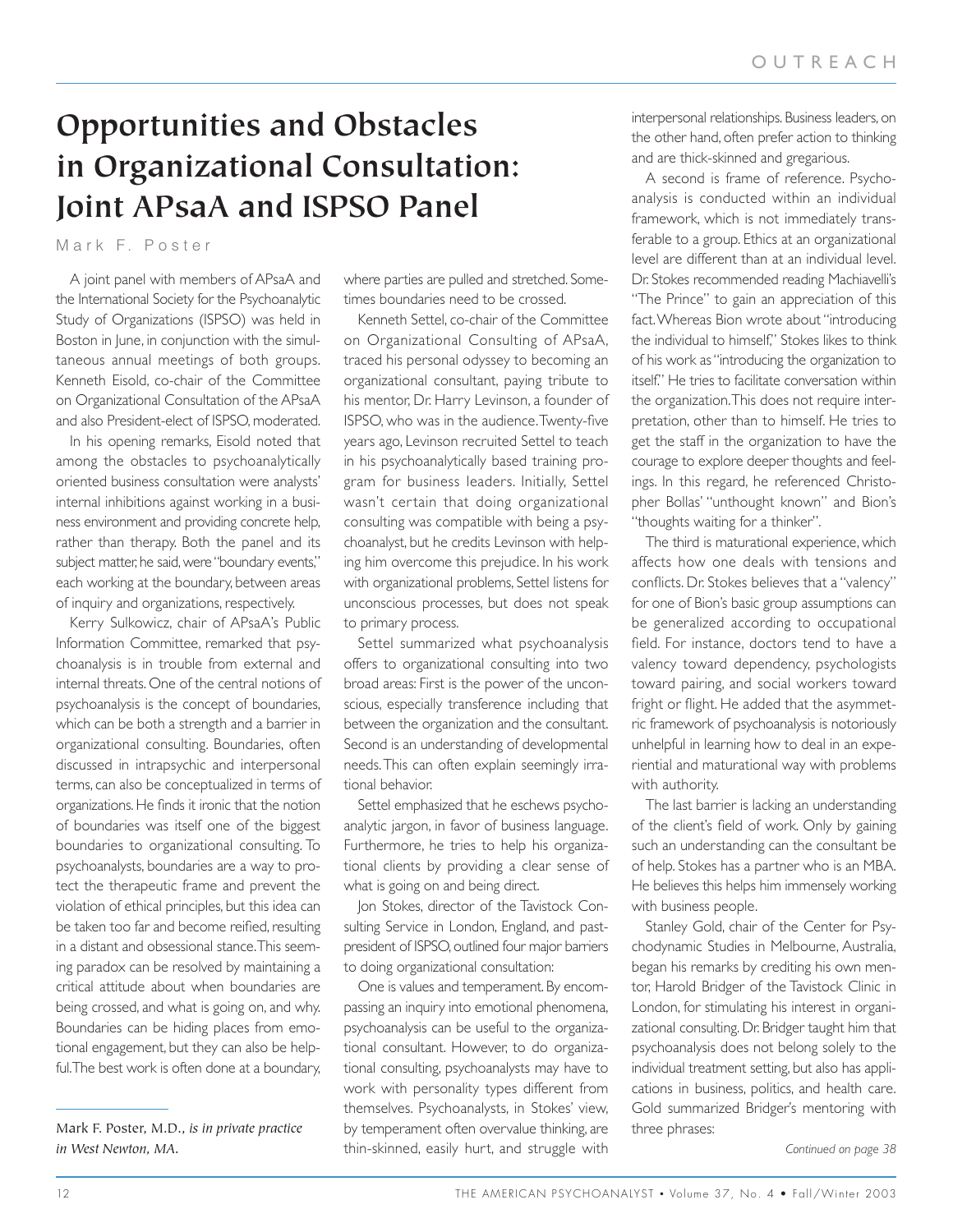# **Opportunities and Obstacles in Organizational Consultation: Joint APsaA and ISPSO Panel**

Mark F. Poster

A joint panel with members of APsaA and the International Society for the Psychoanalytic Study of Organizations (ISPSO) was held in Boston in June, in conjunction with the simultaneous annual meetings of both groups. Kenneth Eisold, co-chair of the Committee on Organizational Consultation of the APsaA and also President-elect of ISPSO, moderated.

In his opening remarks, Eisold noted that among the obstacles to psychoanalytically oriented business consultation were analysts' internal inhibitions against working in a business environment and providing concrete help, rather than therapy. Both the panel and its subject matter, he said, were "boundary events," each working at the boundary, between areas of inquiry and organizations, respectively.

Kerry Sulkowicz, chair of APsaA's Public Information Committee, remarked that psychoanalysis is in trouble from external and internal threats. One of the central notions of psychoanalysis is the concept of boundaries, which can be both a strength and a barrier in organizational consulting. Boundaries, often discussed in intrapsychic and interpersonal terms, can also be conceptualized in terms of organizations. He finds it ironic that the notion of boundaries was itself one of the biggest boundaries to organizational consulting. To psychoanalysts, boundaries are a way to protect the therapeutic frame and prevent the violation of ethical principles, but this idea can be taken too far and become reified, resulting in a distant and obsessional stance.This seeming paradox can be resolved by maintaining a critical attitude about when boundaries are being crossed, and what is going on, and why. Boundaries can be hiding places from emotional engagement, but they can also be helpful.The best work is often done at a boundary, where parties are pulled and stretched. Sometimes boundaries need to be crossed.

Kenneth Settel, co-chair of the Committee on Organizational Consulting of APsaA, traced his personal odyssey to becoming an organizational consultant, paying tribute to his mentor, Dr. Harry Levinson, a founder of ISPSO, who was in the audience.Twenty-five years ago, Levinson recruited Settel to teach in his psychoanalytically based training program for business leaders. Initially, Settel wasn't certain that doing organizational consulting was compatible with being a psychoanalyst, but he credits Levinson with helping him overcome this prejudice. In his work with organizational problems, Settel listens for unconscious processes, but does not speak to primary process.

Settel summarized what psychoanalysis offers to organizational consulting into two broad areas: First is the power of the unconscious, especially transference including that between the organization and the consultant. Second is an understanding of developmental needs.This can often explain seemingly irrational behavior.

Settel emphasized that he eschews psychoanalytic jargon, in favor of business language. Furthermore, he tries to help his organizational clients by providing a clear sense of what is going on and being direct.

Jon Stokes, director of the Tavistock Consulting Service in London, England, and pastpresident of ISPSO, outlined four major barriers to doing organizational consultation:

One is values and temperament. By encompassing an inquiry into emotional phenomena, psychoanalysis can be useful to the organizational consultant. However, to do organizational consulting, psychoanalysts may have to work with personality types different from themselves. Psychoanalysts, in Stokes' view, by temperament often overvalue thinking, are thin-skinned, easily hurt, and struggle with

interpersonal relationships. Business leaders, on the other hand, often prefer action to thinking and are thick-skinned and gregarious.

A second is frame of reference. Psychoanalysis is conducted within an individual framework, which is not immediately transferable to a group. Ethics at an organizational level are different than at an individual level. Dr. Stokes recommended reading Machiavelli's "The Prince" to gain an appreciation of this fact.Whereas Bion wrote about "introducing the individual to himself," Stokes likes to think of his work as "introducing the organization to itself." He tries to facilitate conversation within the organization.This does not require interpretation, other than to himself. He tries to get the staff in the organization to have the courage to explore deeper thoughts and feelings. In this regard, he referenced Christopher Bollas' "unthought known" and Bion's "thoughts waiting for a thinker".

The third is maturational experience, which affects how one deals with tensions and conflicts. Dr. Stokes believes that a "valency" for one of Bion's basic group assumptions can be generalized according to occupational field. For instance, doctors tend to have a valency toward dependency, psychologists toward pairing, and social workers toward fright or flight. He added that the asymmetric framework of psychoanalysis is notoriously unhelpful in learning how to deal in an experiential and maturational way with problems with authority.

The last barrier is lacking an understanding of the client's field of work. Only by gaining such an understanding can the consultant be of help. Stokes has a partner who is an MBA. He believes this helps him immensely working with business people.

Stanley Gold, chair of the Center for Psychodynamic Studies in Melbourne, Australia, began his remarks by crediting his own mentor, Harold Bridger of the Tavistock Clinic in London, for stimulating his interest in organizational consulting. Dr. Bridger taught him that psychoanalysis does not belong solely to the individual treatment setting, but also has applications in business, politics, and health care. Gold summarized Bridger's mentoring with three phrases:

Mark F. Poster, M.D., *is in private practice in West Newton, MA.*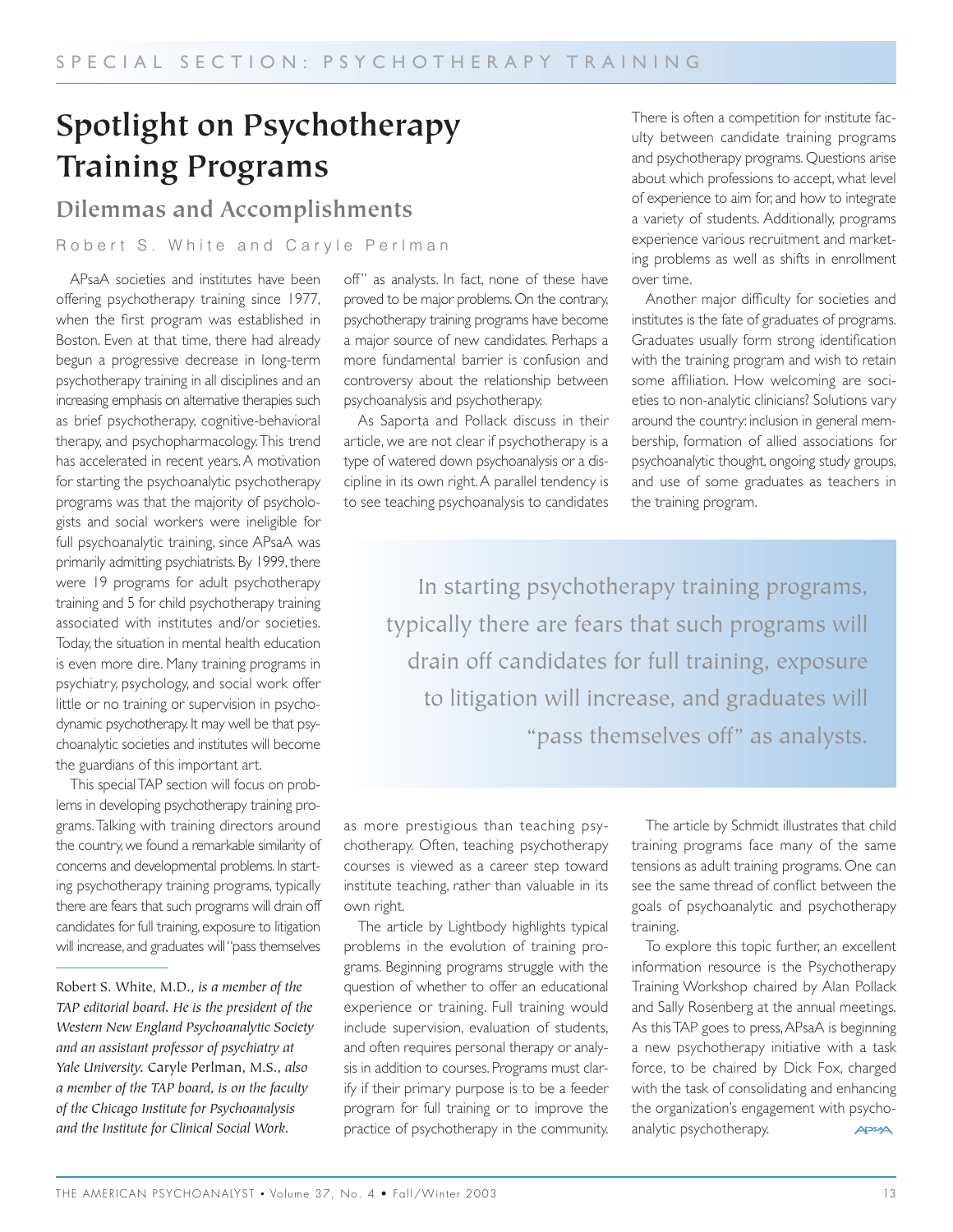# **Spotlight on Psychotherapy Training Programs**

## **Dilemmas and Accomplishments**

#### Robert S. White and Caryle Perlman

APsaA societies and institutes have been offering psychotherapy training since 1977, when the first program was established in Boston. Even at that time, there had already begun a progressive decrease in long-term psychotherapy training in all disciplines and an increasing emphasis on alternative therapies such as brief psychotherapy, cognitive-behavioral therapy, and psychopharmacology.This trend has accelerated in recent years. A motivation for starting the psychoanalytic psychotherapy programs was that the majority of psychologists and social workers were ineligible for full psychoanalytic training, since APsaA was primarily admitting psychiatrists. By 1999, there were 19 programs for adult psychotherapy training and 5 for child psychotherapy training associated with institutes and/or societies. Today, the situation in mental health education is even more dire. Many training programs in psychiatry, psychology, and social work offer little or no training or supervision in psychodynamic psychotherapy. It may well be that psychoanalytic societies and institutes will become the guardians of this important art.

This special TAP section will focus on problems in developing psychotherapy training programs.Talking with training directors around the country, we found a remarkable similarity of concerns and developmental problems. In starting psychotherapy training programs, typically there are fears that such programs will drain off candidates for full training, exposure to litigation will increase, and graduates will "pass themselves

Robert S. White, M.D., *is a member of the TAP editorial board. He is the president of the Western New England Psychoanalytic Society and an assistant professor of psychiatry at Yale University.* Caryle Perlman, M.S., *also a member of the TAP board, is on the faculty of the Chicago Institute for Psychoanalysis and the Institute for Clinical Social Work.*

off" as analysts. In fact, none of these have proved to be major problems. On the contrary, psychotherapy training programs have become a major source of new candidates. Perhaps a more fundamental barrier is confusion and controversy about the relationship between psychoanalysis and psychotherapy.

As Saporta and Pollack discuss in their article, we are not clear if psychotherapy is a type of watered down psychoanalysis or a discipline in its own right.A parallel tendency is to see teaching psychoanalysis to candidates

There is often a competition for institute faculty between candidate training programs and psychotherapy programs. Questions arise about which professions to accept, what level of experience to aim for, and how to integrate a variety of students. Additionally, programs experience various recruitment and marketing problems as well as shifts in enrollment over time.

Another major difficulty for societies and institutes is the fate of graduates of programs. Graduates usually form strong identification with the training program and wish to retain some affiliation. How welcoming are societies to non-analytic clinicians? Solutions vary around the country: inclusion in general membership, formation of allied associations for psychoanalytic thought, ongoing study groups, and use of some graduates as teachers in the training program.

In starting psychotherapy training programs, typically there are fears that such programs will drain off candidates for full training, exposure to litigation will increase, and graduates will "pass themselves off" as analysts.

as more prestigious than teaching psychotherapy. Often, teaching psychotherapy courses is viewed as a career step toward institute teaching, rather than valuable in its own right.

The article by Lightbody highlights typical problems in the evolution of training programs. Beginning programs struggle with the question of whether to offer an educational experience or training. Full training would include supervision, evaluation of students, and often requires personal therapy or analysis in addition to courses. Programs must clarify if their primary purpose is to be a feeder program for full training or to improve the practice of psychotherapy in the community.

The article by Schmidt illustrates that child training programs face many of the same tensions as adult training programs. One can see the same thread of conflict between the goals of psychoanalytic and psychotherapy training.

To explore this topic further, an excellent information resource is the Psychotherapy Training Workshop chaired by Alan Pollack and Sally Rosenberg at the annual meetings. As this TAP goes to press, APsaA is beginning a new psychotherapy initiative with a task force, to be chaired by Dick Fox, charged with the task of consolidating and enhancing the organization's engagement with psychoanalytic psychotherapy. **APSAA**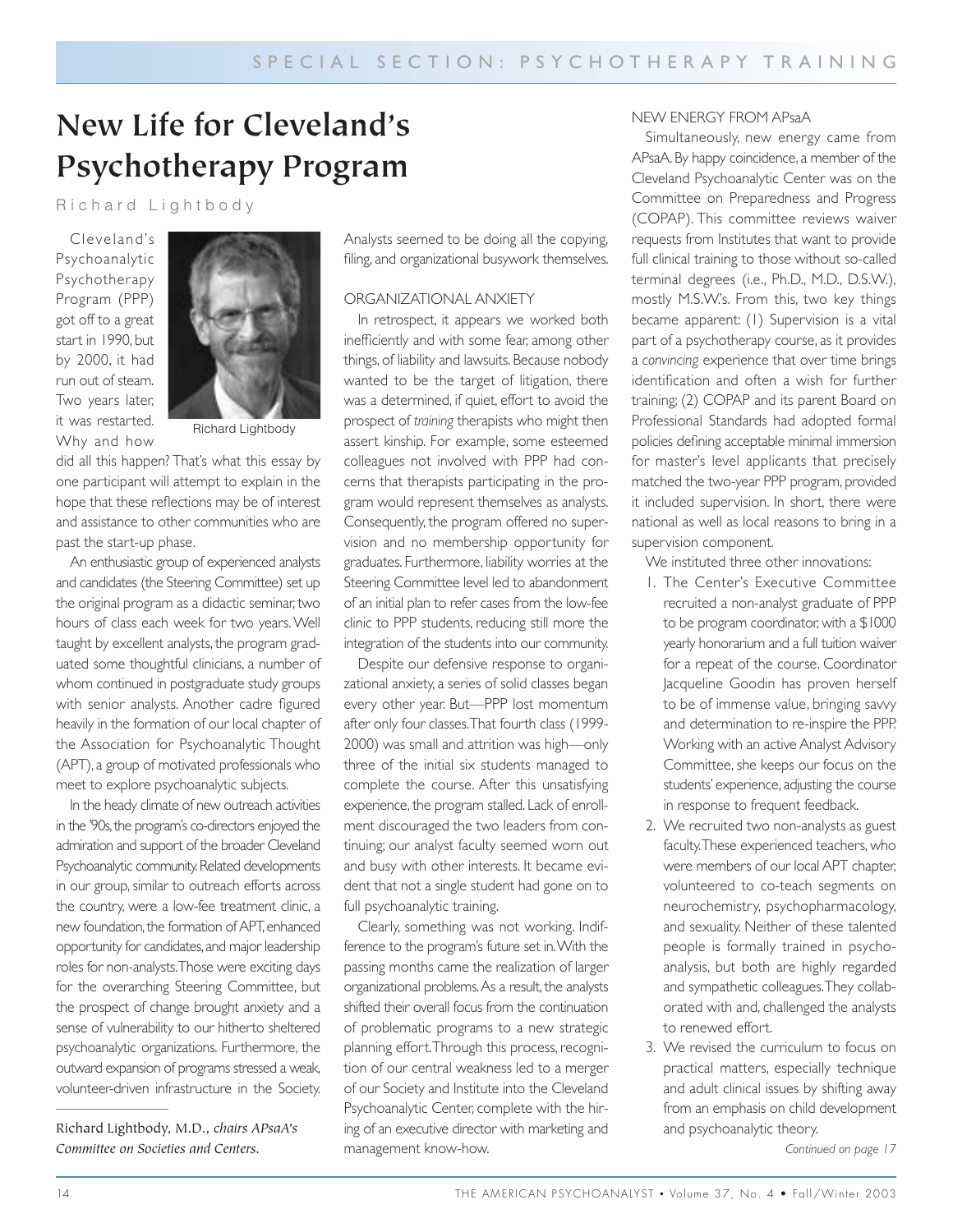# **New Life for Cleveland's Psychotherapy Program**

#### Richard Lightbody

Cleveland's Psychoanalytic Psychotherapy Program (PPP) got off to a great start in 1990, but by 2000, it had run out of steam. Two years later, it was restarted. Why and how



Richard Lightbody

did all this happen? That's what this essay by one participant will attempt to explain in the hope that these reflections may be of interest and assistance to other communities who are past the start-up phase.

An enthusiastic group of experienced analysts and candidates (the Steering Committee) set up the original program as a didactic seminar, two hours of class each week for two years. Well taught by excellent analysts, the program graduated some thoughtful clinicians, a number of whom continued in postgraduate study groups with senior analysts. Another cadre figured heavily in the formation of our local chapter of the Association for Psychoanalytic Thought (APT), a group of motivated professionals who meet to explore psychoanalytic subjects.

In the heady climate of new outreach activities in the '90s, the program's co-directors enjoyed the admiration and support of the broader Cleveland Psychoanalytic community.Related developments in our group, similar to outreach efforts across the country, were a low-fee treatment clinic, a new foundation, the formation of APT, enhanced opportunity for candidates,and major leadership roles for non-analysts.Those were exciting days for the overarching Steering Committee, but the prospect of change brought anxiety and a sense of vulnerability to our hitherto sheltered psychoanalytic organizations. Furthermore, the outward expansion of programs stressed a weak, volunteer-driven infrastructure in the Society.

Richard Lightbody, M.D., *chairs APsaA's Committee on Societies and Centers.*

Analysts seemed to be doing all the copying, filing, and organizational busywork themselves.

#### ORGANIZATIONAL ANXIETY

In retrospect, it appears we worked both inefficiently and with some fear, among other things, of liability and lawsuits. Because nobody wanted to be the target of litigation, there was a determined, if quiet, effort to avoid the prospect of *training* therapists who might then assert kinship. For example, some esteemed colleagues not involved with PPP had concerns that therapists participating in the program would represent themselves as analysts. Consequently, the program offered no supervision and no membership opportunity for graduates. Furthermore, liability worries at the Steering Committee level led to abandonment of an initial plan to refer cases from the low-fee clinic to PPP students, reducing still more the integration of the students into our community.

Despite our defensive response to organizational anxiety, a series of solid classes began every other year. But—PPP lost momentum after only four classes.That fourth class (1999- 2000) was small and attrition was high—only three of the initial six students managed to complete the course. After this unsatisfying experience, the program stalled. Lack of enrollment discouraged the two leaders from continuing; our analyst faculty seemed worn out and busy with other interests. It became evident that not a single student had gone on to full psychoanalytic training.

Clearly, something was not working. Indifference to the program's future set in.With the passing months came the realization of larger organizational problems.As a result, the analysts shifted their overall focus from the continuation of problematic programs to a new strategic planning effort.Through this process, recognition of our central weakness led to a merger of our Society and Institute into the Cleveland Psychoanalytic Center, complete with the hiring of an executive director with marketing and management know-how.

#### NEW ENERGY FROM APsaA

Simultaneously, new energy came from APsaA. By happy coincidence, a member of the Cleveland Psychoanalytic Center was on the Committee on Preparedness and Progress (COPAP). This committee reviews waiver requests from Institutes that want to provide full clinical training to those without so-called terminal degrees (i.e., Ph.D., M.D., D.S.W.), mostly M.S.W.'s. From this, two key things became apparent: (1) Supervision is a vital part of a psychotherapy course, as it provides a *convincing* experience that over time brings identification and often a wish for further training; (2) COPAP and its parent Board on Professional Standards had adopted formal policies defining acceptable minimal immersion for master's level applicants that precisely matched the two-year PPP program, provided it included supervision. In short, there were national as well as local reasons to bring in a supervision component.

We instituted three other innovations:

- 1. The Center's Executive Committee recruited a non-analyst graduate of PPP to be program coordinator, with a \$1000 yearly honorarium and a full tuition waiver for a repeat of the course. Coordinator Jacqueline Goodin has proven herself to be of immense value, bringing savvy and determination to re-inspire the PPP. Working with an active Analyst Advisory Committee, she keeps our focus on the students' experience, adjusting the course in response to frequent feedback.
- 2. We recruited two non-analysts as guest faculty.These experienced teachers, who were members of our local APT chapter, volunteered to co-teach segments on neurochemistry, psychopharmacology, and sexuality. Neither of these talented people is formally trained in psychoanalysis, but both are highly regarded and sympathetic colleagues.They collaborated with and, challenged the analysts to renewed effort.
- 3. We revised the curriculum to focus on practical matters, especially technique and adult clinical issues by shifting away from an emphasis on child development and psychoanalytic theory.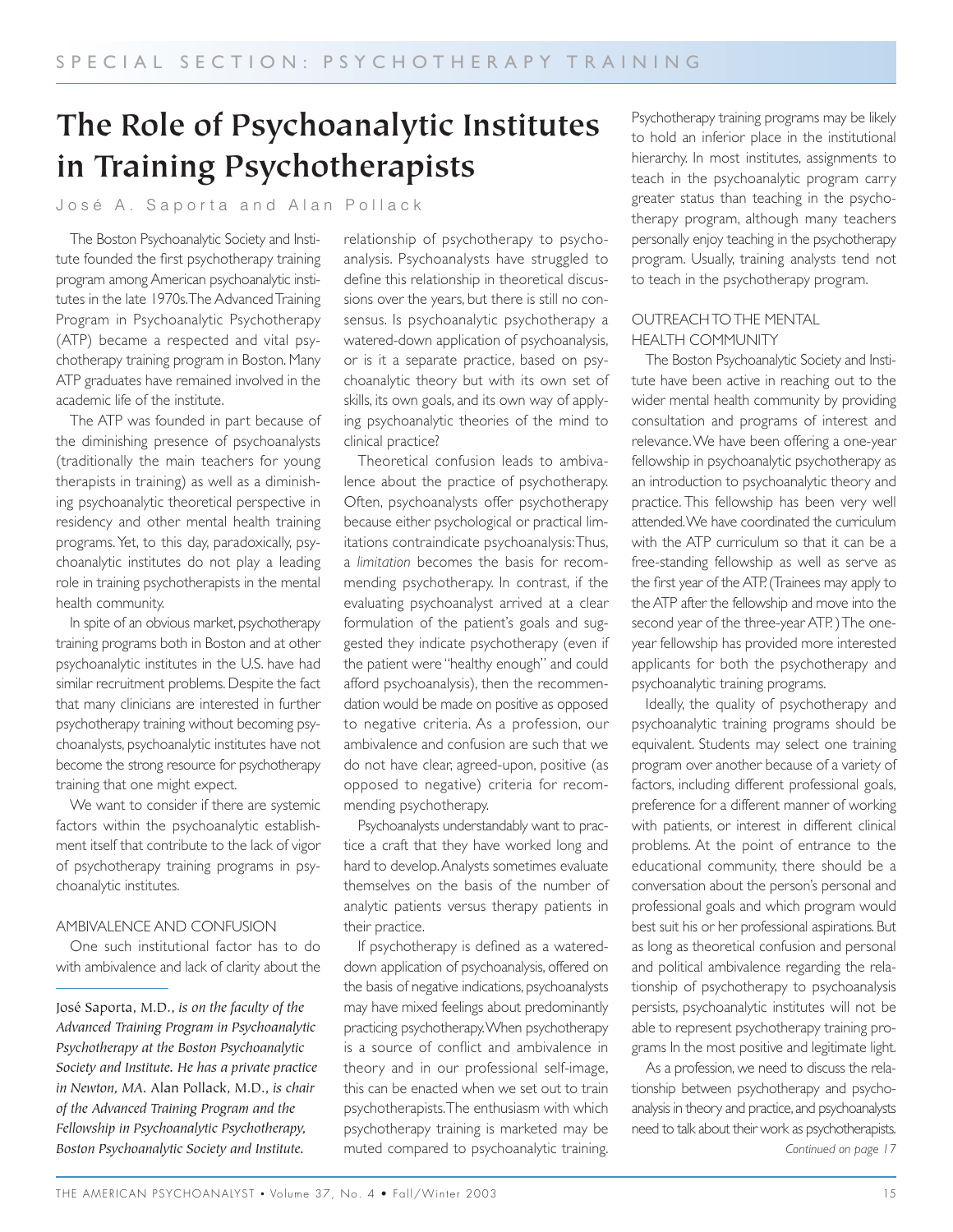# **The Role of Psychoanalytic Institutes in Training Psychotherapists**

#### José A. Saporta and Alan Pollack

The Boston Psychoanalytic Society and Institute founded the first psychotherapy training program among American psychoanalytic institutes in the late 1970s.The Advanced Training Program in Psychoanalytic Psychotherapy (ATP) became a respected and vital psychotherapy training program in Boston. Many ATP graduates have remained involved in the academic life of the institute.

The ATP was founded in part because of the diminishing presence of psychoanalysts (traditionally the main teachers for young therapists in training) as well as a diminishing psychoanalytic theoretical perspective in residency and other mental health training programs.Yet, to this day, paradoxically, psychoanalytic institutes do not play a leading role in training psychotherapists in the mental health community.

In spite of an obvious market, psychotherapy training programs both in Boston and at other psychoanalytic institutes in the U.S. have had similar recruitment problems. Despite the fact that many clinicians are interested in further psychotherapy training without becoming psychoanalysts, psychoanalytic institutes have not become the strong resource for psychotherapy training that one might expect.

We want to consider if there are systemic factors within the psychoanalytic establishment itself that contribute to the lack of vigor of psychotherapy training programs in psychoanalytic institutes.

#### AMBIVALENCE AND CONFUSION

One such institutional factor has to do with ambivalence and lack of clarity about the

José Saporta, M.D., *is on the faculty of the Advanced Training Program in Psychoanalytic Psychotherapy at the Boston Psychoanalytic Society and Institute. He has a private practice in Newton, MA.* Alan Pollack, M.D., *is chair of the Advanced Training Program and the Fellowship in Psychoanalytic Psychotherapy, Boston Psychoanalytic Society and Institute.*

relationship of psychotherapy to psychoanalysis. Psychoanalysts have struggled to define this relationship in theoretical discussions over the years, but there is still no consensus. Is psychoanalytic psychotherapy a watered-down application of psychoanalysis, or is it a separate practice, based on psychoanalytic theory but with its own set of skills, its own goals, and its own way of applying psychoanalytic theories of the mind to clinical practice?

Theoretical confusion leads to ambivalence about the practice of psychotherapy. Often, psychoanalysts offer psychotherapy because either psychological or practical limitations contraindicate psychoanalysis:Thus, a *limitation* becomes the basis for recommending psychotherapy. In contrast, if the evaluating psychoanalyst arrived at a clear formulation of the patient's goals and suggested they indicate psychotherapy (even if the patient were "healthy enough" and could afford psychoanalysis), then the recommendation would be made on positive as opposed to negative criteria. As a profession, our ambivalence and confusion are such that we do not have clear, agreed-upon, positive (as opposed to negative) criteria for recommending psychotherapy.

Psychoanalysts understandably want to practice a craft that they have worked long and hard to develop.Analysts sometimes evaluate themselves on the basis of the number of analytic patients versus therapy patients in their practice.

If psychotherapy is defined as a watereddown application of psychoanalysis, offered on the basis of negative indications, psychoanalysts may have mixed feelings about predominantly practicing psychotherapy.When psychotherapy is a source of conflict and ambivalence in theory and in our professional self-image, this can be enacted when we set out to train psychotherapists.The enthusiasm with which psychotherapy training is marketed may be muted compared to psychoanalytic training.

Psychotherapy training programs may be likely to hold an inferior place in the institutional hierarchy. In most institutes, assignments to teach in the psychoanalytic program carry greater status than teaching in the psychotherapy program, although many teachers personally enjoy teaching in the psychotherapy program. Usually, training analysts tend not to teach in the psychotherapy program.

#### OUTREACH TO THE MENTAL HEALTH COMMUNITY

The Boston Psychoanalytic Society and Institute have been active in reaching out to the wider mental health community by providing consultation and programs of interest and relevance.We have been offering a one-year fellowship in psychoanalytic psychotherapy as an introduction to psychoanalytic theory and practice. This fellowship has been very well attended.We have coordinated the curriculum with the ATP curriculum so that it can be a free-standing fellowship as well as serve as the first year of the ATP. (Trainees may apply to the ATP after the fellowship and move into the second year of the three-year ATP. ) The oneyear fellowship has provided more interested applicants for both the psychotherapy and psychoanalytic training programs.

Ideally, the quality of psychotherapy and psychoanalytic training programs should be equivalent. Students may select one training program over another because of a variety of factors, including different professional goals, preference for a different manner of working with patients, or interest in different clinical problems. At the point of entrance to the educational community, there should be a conversation about the person's personal and professional goals and which program would best suit his or her professional aspirations. But as long as theoretical confusion and personal and political ambivalence regarding the relationship of psychotherapy to psychoanalysis persists, psychoanalytic institutes will not be able to represent psychotherapy training programs In the most positive and legitimate light.

As a profession, we need to discuss the relationship between psychotherapy and psychoanalysis in theory and practice,and psychoanalysts need to talk about their work as psychotherapists. *Continued on page 17*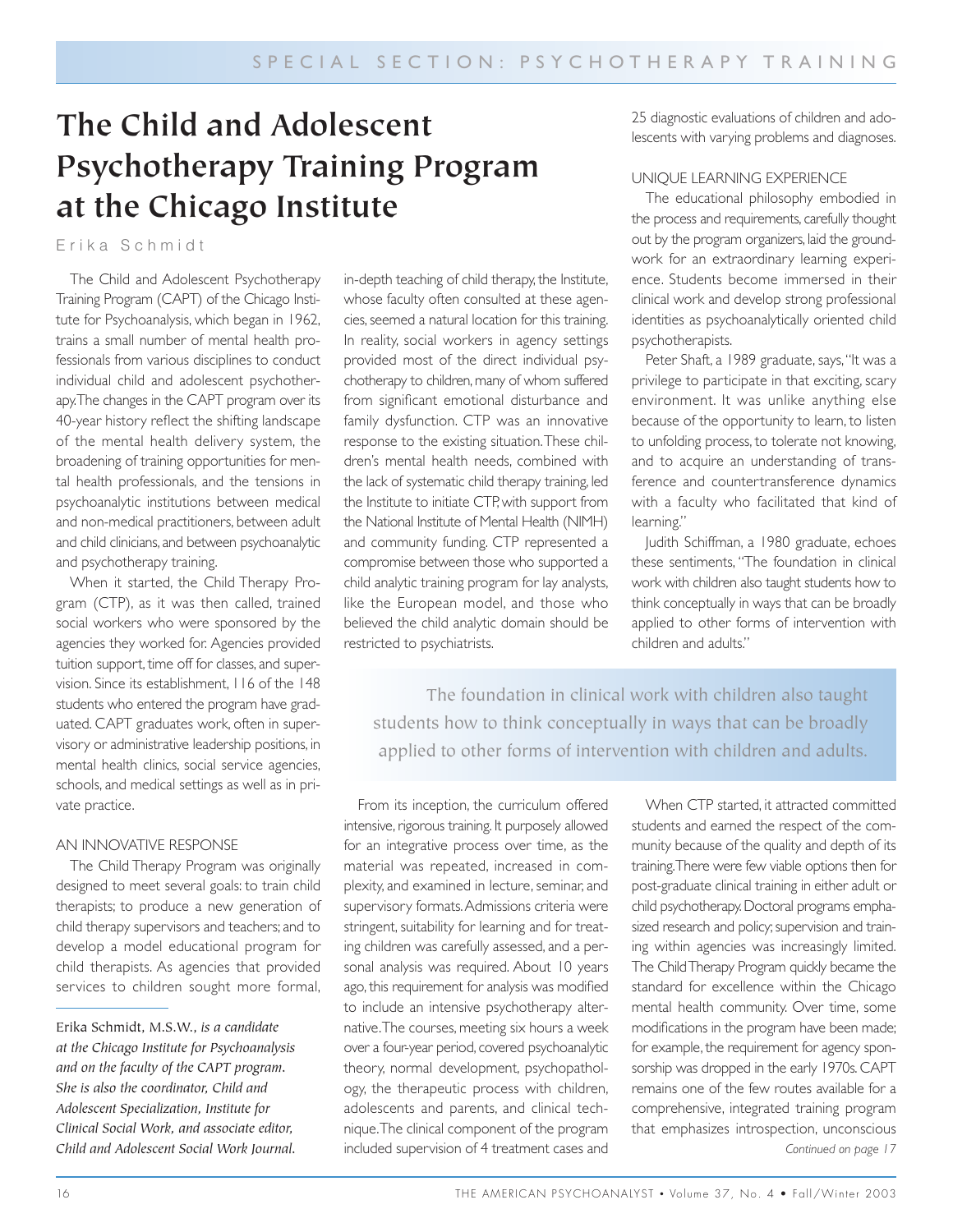# **The Child and Adolescent Psychotherapy Training Program at the Chicago Institute**

Erika Schmidt

The Child and Adolescent Psychotherapy Training Program (CAPT) of the Chicago Institute for Psychoanalysis, which began in 1962, trains a small number of mental health professionals from various disciplines to conduct individual child and adolescent psychotherapy.The changes in the CAPT program over its 40-year history reflect the shifting landscape of the mental health delivery system, the broadening of training opportunities for mental health professionals, and the tensions in psychoanalytic institutions between medical and non-medical practitioners, between adult and child clinicians, and between psychoanalytic and psychotherapy training.

When it started, the Child Therapy Program (CTP), as it was then called, trained social workers who were sponsored by the agencies they worked for. Agencies provided tuition support, time off for classes, and supervision. Since its establishment, 116 of the 148 students who entered the program have graduated. CAPT graduates work, often in supervisory or administrative leadership positions, in mental health clinics, social service agencies, schools, and medical settings as well as in private practice.

#### AN INNOVATIVE RESPONSE

The Child Therapy Program was originally designed to meet several goals: to train child therapists; to produce a new generation of child therapy supervisors and teachers; and to develop a model educational program for child therapists. As agencies that provided services to children sought more formal, in-depth teaching of child therapy, the Institute, whose faculty often consulted at these agencies, seemed a natural location for this training. In reality, social workers in agency settings provided most of the direct individual psychotherapy to children, many of whom suffered from significant emotional disturbance and family dysfunction. CTP was an innovative response to the existing situation.These children's mental health needs, combined with the lack of systematic child therapy training, led the Institute to initiate CTP, with support from the National Institute of Mental Health (NIMH) and community funding. CTP represented a compromise between those who supported a child analytic training program for lay analysts, like the European model, and those who believed the child analytic domain should be restricted to psychiatrists.

25 diagnostic evaluations of children and adolescents with varying problems and diagnoses.

#### UNIQUE LEARNING EXPERIENCE

The educational philosophy embodied in the process and requirements, carefully thought out by the program organizers, laid the groundwork for an extraordinary learning experience. Students become immersed in their clinical work and develop strong professional identities as psychoanalytically oriented child psychotherapists.

Peter Shaft, a 1989 graduate, says, "It was a privilege to participate in that exciting, scary environment. It was unlike anything else because of the opportunity to learn, to listen to unfolding process, to tolerate not knowing, and to acquire an understanding of transference and countertransference dynamics with a faculty who facilitated that kind of learning."

Judith Schiffman, a 1980 graduate, echoes these sentiments, "The foundation in clinical work with children also taught students how to think conceptually in ways that can be broadly applied to other forms of intervention with children and adults."

The foundation in clinical work with children also taught students how to think conceptually in ways that can be broadly applied to other forms of intervention with children and adults.

From its inception, the curriculum offered intensive, rigorous training. It purposely allowed for an integrative process over time, as the material was repeated, increased in complexity, and examined in lecture, seminar, and supervisory formats.Admissions criteria were stringent, suitability for learning and for treating children was carefully assessed, and a personal analysis was required. About 10 years ago, this requirement for analysis was modified to include an intensive psychotherapy alternative.The courses, meeting six hours a week over a four-year period, covered psychoanalytic theory, normal development, psychopathology, the therapeutic process with children, adolescents and parents, and clinical technique.The clinical component of the program included supervision of 4 treatment cases and

When CTP started, it attracted committed students and earned the respect of the community because of the quality and depth of its training.There were few viable options then for post-graduate clinical training in either adult or child psychotherapy. Doctoral programs emphasized research and policy; supervision and training within agencies was increasingly limited. The Child Therapy Program quickly became the standard for excellence within the Chicago mental health community. Over time, some modifications in the program have been made; for example, the requirement for agency sponsorship was dropped in the early 1970s. CAPT remains one of the few routes available for a comprehensive, integrated training program that emphasizes introspection, unconscious *Continued on page 17*

Erika Schmidt, M.S.W., *is a candidate at the Chicago Institute for Psychoanalysis and on the faculty of the CAPT program. She is also the coordinator, Child and Adolescent Specialization, Institute for Clinical Social Work, and associate editor, Child and Adolescent Social Work Journal.*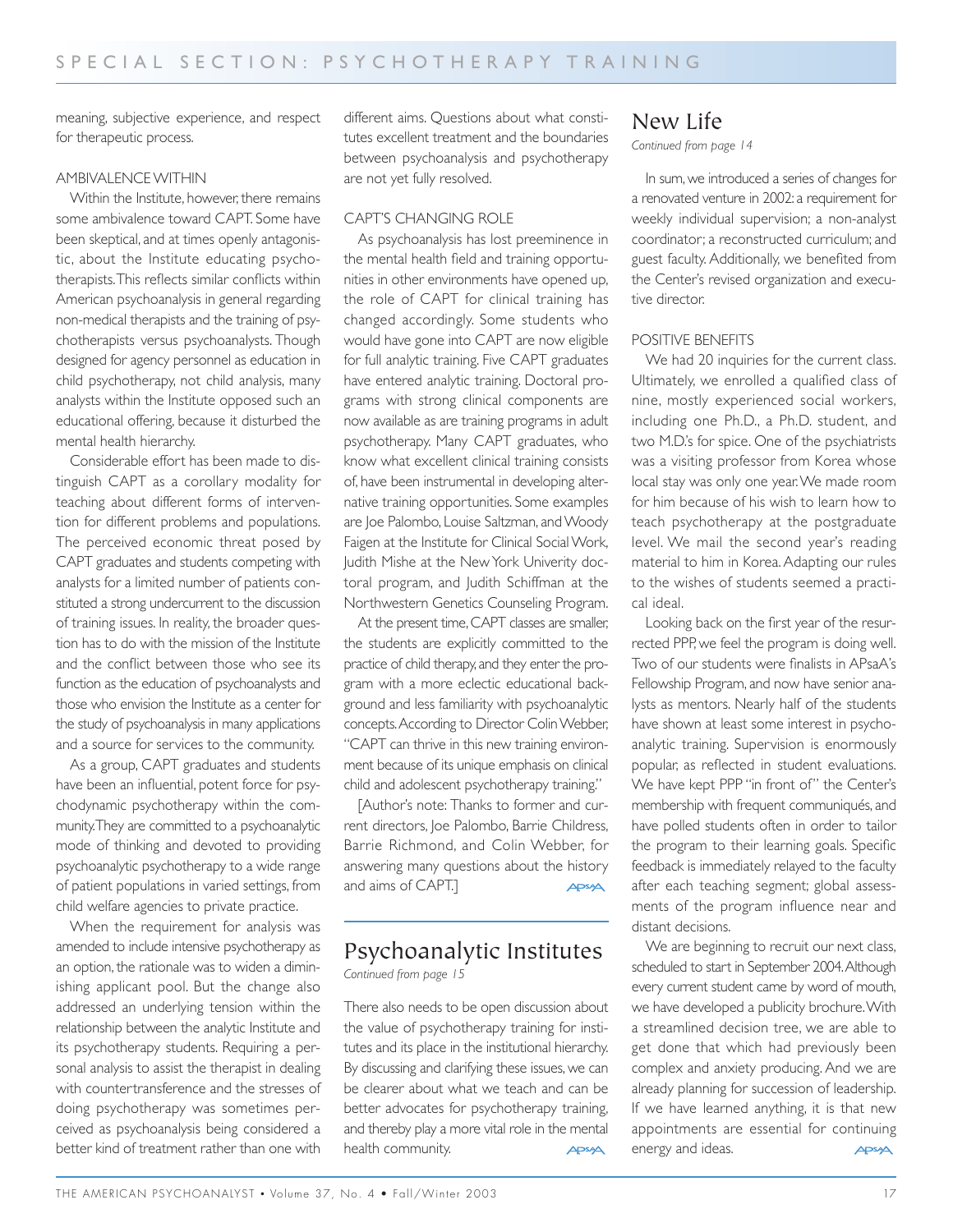meaning, subjective experience, and respect for therapeutic process.

#### AMBIVALENCE WITHIN

Within the Institute, however, there remains some ambivalence toward CAPT. Some have been skeptical, and at times openly antagonistic, about the Institute educating psychotherapists.This reflects similar conflicts within American psychoanalysis in general regarding non-medical therapists and the training of psychotherapists versus psychoanalysts. Though designed for agency personnel as education in child psychotherapy, not child analysis, many analysts within the Institute opposed such an educational offering, because it disturbed the mental health hierarchy.

Considerable effort has been made to distinguish CAPT as a corollary modality for teaching about different forms of intervention for different problems and populations. The perceived economic threat posed by CAPT graduates and students competing with analysts for a limited number of patients constituted a strong undercurrent to the discussion of training issues. In reality, the broader question has to do with the mission of the Institute and the conflict between those who see its function as the education of psychoanalysts and those who envision the Institute as a center for the study of psychoanalysis in many applications and a source for services to the community.

As a group, CAPT graduates and students have been an influential, potent force for psychodynamic psychotherapy within the community.They are committed to a psychoanalytic mode of thinking and devoted to providing psychoanalytic psychotherapy to a wide range of patient populations in varied settings, from child welfare agencies to private practice.

When the requirement for analysis was amended to include intensive psychotherapy as an option, the rationale was to widen a diminishing applicant pool. But the change also addressed an underlying tension within the relationship between the analytic Institute and its psychotherapy students. Requiring a personal analysis to assist the therapist in dealing with countertransference and the stresses of doing psychotherapy was sometimes perceived as psychoanalysis being considered a better kind of treatment rather than one with different aims. Questions about what constitutes excellent treatment and the boundaries between psychoanalysis and psychotherapy are not yet fully resolved.

#### CAPT'S CHANGING ROLE

As psychoanalysis has lost preeminence in the mental health field and training opportunities in other environments have opened up, the role of CAPT for clinical training has changed accordingly. Some students who would have gone into CAPT are now eligible for full analytic training. Five CAPT graduates have entered analytic training. Doctoral programs with strong clinical components are now available as are training programs in adult psychotherapy. Many CAPT graduates, who know what excellent clinical training consists of, have been instrumental in developing alternative training opportunities. Some examples are Joe Palombo, Louise Saltzman, and Woody Faigen at the Institute for Clinical Social Work, Judith Mishe at the New York Univerity doctoral program, and Judith Schiffman at the Northwestern Genetics Counseling Program.

At the present time, CAPT classes are smaller, the students are explicitly committed to the practice of child therapy,and they enter the program with a more eclectic educational background and less familiarity with psychoanalytic concepts.According to Director Colin Webber, "CAPT can thrive in this new training environment because of its unique emphasis on clinical child and adolescent psychotherapy training."

[Author's note: Thanks to former and current directors, Joe Palombo, Barrie Childress, Barrie Richmond, and Colin Webber, for answering many questions about the history and aims of CAPT.] **APSA** 

## Psychoanalytic Institutes

*Continued from page 15*

There also needs to be open discussion about the value of psychotherapy training for institutes and its place in the institutional hierarchy. By discussing and clarifying these issues, we can be clearer about what we teach and can be better advocates for psychotherapy training, and thereby play a more vital role in the mental health community. **APSA** 

#### New Life

*Continued from page 14*

In sum, we introduced a series of changes for a renovated venture in 2002: a requirement for weekly individual supervision; a non-analyst coordinator; a reconstructed curriculum; and guest faculty. Additionally, we benefited from the Center's revised organization and executive director.

#### POSITIVE BENEFITS

We had 20 inquiries for the current class. Ultimately, we enrolled a qualified class of nine, mostly experienced social workers, including one Ph.D., a Ph.D. student, and two M.D.'s for spice. One of the psychiatrists was a visiting professor from Korea whose local stay was only one year.We made room for him because of his wish to learn how to teach psychotherapy at the postgraduate level. We mail the second year's reading material to him in Korea. Adapting our rules to the wishes of students seemed a practical ideal.

Looking back on the first year of the resurrected PPP, we feel the program is doing well. Two of our students were finalists in APsaA's Fellowship Program, and now have senior analysts as mentors. Nearly half of the students have shown at least some interest in psychoanalytic training. Supervision is enormously popular, as reflected in student evaluations. We have kept PPP "in front of" the Center's membership with frequent communiqués, and have polled students often in order to tailor the program to their learning goals. Specific feedback is immediately relayed to the faculty after each teaching segment; global assessments of the program influence near and distant decisions.

We are beginning to recruit our next class, scheduled to start in September 2004.Although every current student came by word of mouth, we have developed a publicity brochure.With a streamlined decision tree, we are able to get done that which had previously been complex and anxiety producing. And we are already planning for succession of leadership. If we have learned anything, it is that new appointments are essential for continuing energy and ideas. **APSA**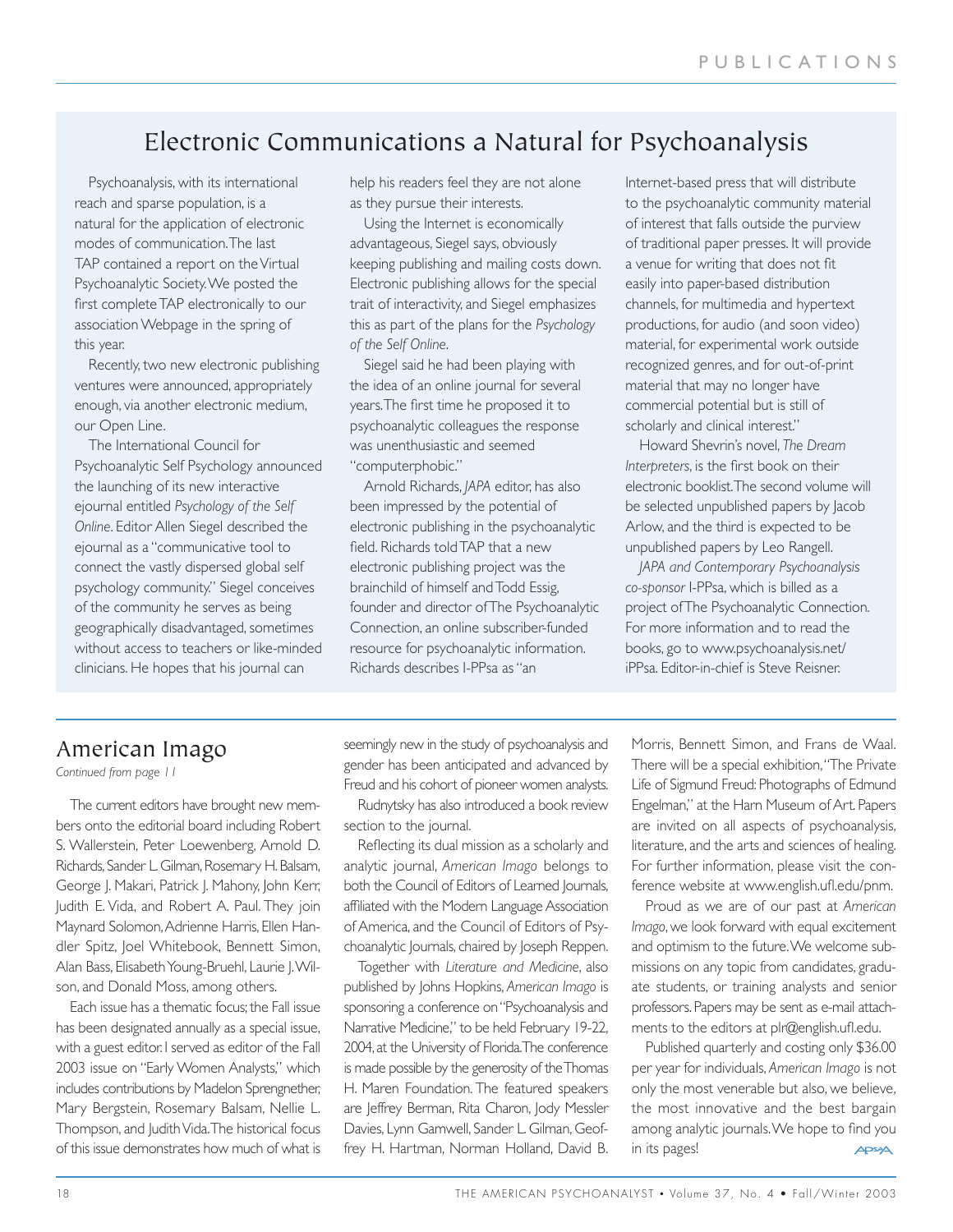## Electronic Communications a Natural for Psychoanalysis

Psychoanalysis, with its international reach and sparse population, is a natural for the application of electronic modes of communication.The last TAP contained a report on the Virtual Psychoanalytic Society.We posted the first complete TAP electronically to our association Webpage in the spring of this year.

Recently, two new electronic publishing ventures were announced, appropriately enough, via another electronic medium, our Open Line.

The International Council for Psychoanalytic Self Psychology announced the launching of its new interactive ejournal entitled *Psychology of the Self Online*. Editor Allen Siegel described the ejournal as a "communicative tool to connect the vastly dispersed global self psychology community." Siegel conceives of the community he serves as being geographically disadvantaged, sometimes without access to teachers or like-minded clinicians. He hopes that his journal can

help his readers feel they are not alone as they pursue their interests.

Using the Internet is economically advantageous, Siegel says, obviously keeping publishing and mailing costs down. Electronic publishing allows for the special trait of interactivity, and Siegel emphasizes this as part of the plans for the *Psychology of the Self Online*.

Siegel said he had been playing with the idea of an online journal for several years.The first time he proposed it to psychoanalytic colleagues the response was unenthusiastic and seemed "computerphobic."

Arnold Richards, *JAPA* editor, has also been impressed by the potential of electronic publishing in the psychoanalytic field. Richards told TAP that a new electronic publishing project was the brainchild of himself and Todd Essig, founder and director of The Psychoanalytic Connection, an online subscriber-funded resource for psychoanalytic information. Richards describes I-PPsa as "an

Internet-based press that will distribute to the psychoanalytic community material of interest that falls outside the purview of traditional paper presses. It will provide a venue for writing that does not fit easily into paper-based distribution channels, for multimedia and hypertext productions, for audio (and soon video) material, for experimental work outside recognized genres, and for out-of-print material that may no longer have commercial potential but is still of scholarly and clinical interest."

Howard Shevrin's novel, *The Dream Interpreters*, is the first book on their electronic booklist.The second volume will be selected unpublished papers by Jacob Arlow, and the third is expected to be unpublished papers by Leo Rangell.

*JAPA and Contemporary Psychoanalysis co-sponsor* I-PPsa, which is billed as a project of The Psychoanalytic Connection. For more information and to read the books, go to www.psychoanalysis.net/ iPPsa. Editor-in-chief is Steve Reisner.

## American Imago

*Continued from page 11*

The current editors have brought new members onto the editorial board including Robert S. Wallerstein, Peter Loewenberg, Arnold D. Richards, Sander L. Gilman, Rosemary H. Balsam, George J. Makari, Patrick J. Mahony, John Kerr, Judith E. Vida, and Robert A. Paul. They join Maynard Solomon,Adrienne Harris, Ellen Handler Spitz, Joel Whitebook, Bennett Simon, Alan Bass, Elisabeth Young-Bruehl, Laurie J.Wilson, and Donald Moss, among others.

Each issue has a thematic focus; the Fall issue has been designated annually as a special issue, with a guest editor. I served as editor of the Fall 2003 issue on "Early Women Analysts," which includes contributions by Madelon Sprengnether, Mary Bergstein, Rosemary Balsam, Nellie L. Thompson, and Judith Vida.The historical focus of this issue demonstrates how much of what is seemingly new in the study of psychoanalysis and gender has been anticipated and advanced by Freud and his cohort of pioneer women analysts.

Rudnytsky has also introduced a book review section to the journal.

Reflecting its dual mission as a scholarly and analytic journal, *American Imago* belongs to both the Council of Editors of Learned Journals, affiliated with the Modern Language Association of America, and the Council of Editors of Psychoanalytic Journals, chaired by Joseph Reppen.

Together with *Literature and Medicine*, also published by Johns Hopkins, *American Imago* is sponsoring a conference on "Psychoanalysis and Narrative Medicine," to be held February 19-22, 2004,at the University of Florida.The conference is made possible by the generosity of the Thomas H. Maren Foundation. The featured speakers are Jeffrey Berman, Rita Charon, Jody Messler Davies, Lynn Gamwell, Sander L. Gilman, Geoffrey H. Hartman, Norman Holland, David B.

Morris, Bennett Simon, and Frans de Waal. There will be a special exhibition,"The Private Life of Sigmund Freud: Photographs of Edmund Engelman," at the Harn Museum of Art. Papers are invited on all aspects of psychoanalysis, literature, and the arts and sciences of healing. For further information, please visit the conference website at www.english.ufl.edu/pnm.

Proud as we are of our past at *American Imago*, we look forward with equal excitement and optimism to the future.We welcome submissions on any topic from candidates, graduate students, or training analysts and senior professors. Papers may be sent as e-mail attachments to the editors at plr@english.ufl.edu.

Published quarterly and costing only \$36.00 per year for individuals, *American Imago* is not only the most venerable but also, we believe, the most innovative and the best bargain among analytic journals.We hope to find you in its pages! APSA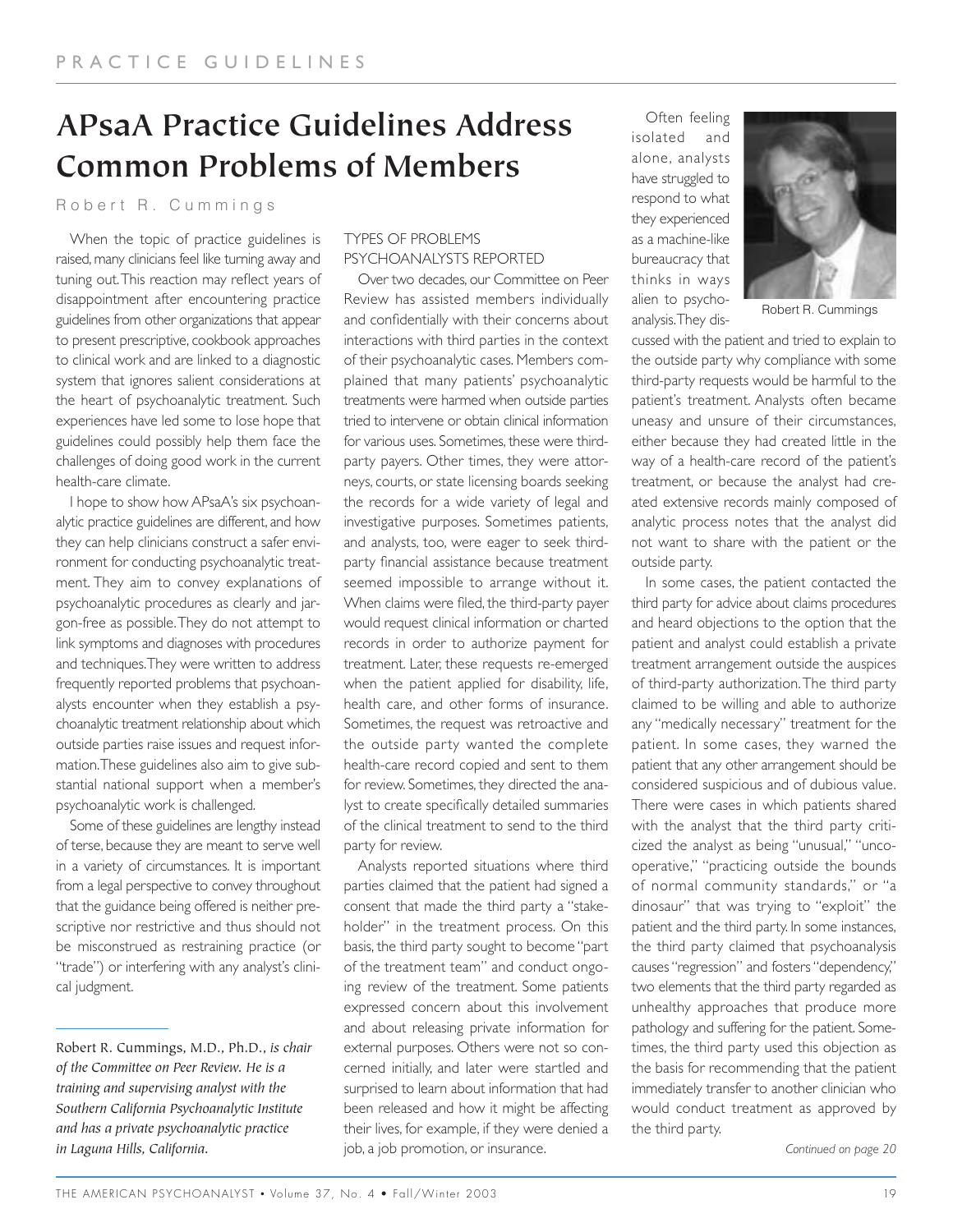# **APsaA Practice Guidelines Address Common Problems of Members**

#### Robert R. Cummings

When the topic of practice guidelines is raised, many clinicians feel like turning away and tuning out.This reaction may reflect years of disappointment after encountering practice guidelines from other organizations that appear to present prescriptive, cookbook approaches to clinical work and are linked to a diagnostic system that ignores salient considerations at the heart of psychoanalytic treatment. Such experiences have led some to lose hope that guidelines could possibly help them face the challenges of doing good work in the current health-care climate.

I hope to show how APsaA's six psychoanalytic practice guidelines are different, and how they can help clinicians construct a safer environment for conducting psychoanalytic treatment. They aim to convey explanations of psychoanalytic procedures as clearly and jargon-free as possible.They do not attempt to link symptoms and diagnoses with procedures and techniques.They were written to address frequently reported problems that psychoanalysts encounter when they establish a psychoanalytic treatment relationship about which outside parties raise issues and request information.These guidelines also aim to give substantial national support when a member's psychoanalytic work is challenged.

Some of these guidelines are lengthy instead of terse, because they are meant to serve well in a variety of circumstances. It is important from a legal perspective to convey throughout that the guidance being offered is neither prescriptive nor restrictive and thus should not be misconstrued as restraining practice (or "trade") or interfering with any analyst's clinical judgment.

#### TYPES OF PROBLEMS PSYCHOANALYSTS REPORTED

Over two decades, our Committee on Peer Review has assisted members individually and confidentially with their concerns about interactions with third parties in the context of their psychoanalytic cases. Members complained that many patients' psychoanalytic treatments were harmed when outside parties tried to intervene or obtain clinical information for various uses. Sometimes, these were thirdparty payers. Other times, they were attorneys, courts, or state licensing boards seeking the records for a wide variety of legal and investigative purposes. Sometimes patients, and analysts, too, were eager to seek thirdparty financial assistance because treatment seemed impossible to arrange without it. When claims were filed, the third-party payer would request clinical information or charted records in order to authorize payment for treatment. Later, these requests re-emerged when the patient applied for disability, life, health care, and other forms of insurance. Sometimes, the request was retroactive and the outside party wanted the complete health-care record copied and sent to them for review. Sometimes, they directed the analyst to create specifically detailed summaries of the clinical treatment to send to the third party for review.

Analysts reported situations where third parties claimed that the patient had signed a consent that made the third party a "stakeholder" in the treatment process. On this basis, the third party sought to become "part of the treatment team" and conduct ongoing review of the treatment. Some patients expressed concern about this involvement and about releasing private information for external purposes. Others were not so concerned initially, and later were startled and surprised to learn about information that had been released and how it might be affecting their lives, for example, if they were denied a job, a job promotion, or insurance.

Often feeling isolated and alone, analysts have struggled to respond to what they experienced as a machine-like bureaucracy that thinks in ways alien to psychoanalysis.They dis-



Robert R. Cummings

cussed with the patient and tried to explain to the outside party why compliance with some third-party requests would be harmful to the patient's treatment. Analysts often became uneasy and unsure of their circumstances, either because they had created little in the way of a health-care record of the patient's treatment, or because the analyst had created extensive records mainly composed of analytic process notes that the analyst did not want to share with the patient or the outside party.

In some cases, the patient contacted the third party for advice about claims procedures and heard objections to the option that the patient and analyst could establish a private treatment arrangement outside the auspices of third-party authorization.The third party claimed to be willing and able to authorize any "medically necessary" treatment for the patient. In some cases, they warned the patient that any other arrangement should be considered suspicious and of dubious value. There were cases in which patients shared with the analyst that the third party criticized the analyst as being "unusual," "uncooperative," "practicing outside the bounds of normal community standards," or "a dinosaur" that was trying to "exploit" the patient and the third party. In some instances, the third party claimed that psychoanalysis causes "regression" and fosters "dependency," two elements that the third party regarded as unhealthy approaches that produce more pathology and suffering for the patient. Sometimes, the third party used this objection as the basis for recommending that the patient immediately transfer to another clinician who would conduct treatment as approved by the third party.

Robert R. Cummings, M.D., Ph.D., *is chair of the Committee on Peer Review. He is a training and supervising analyst with the Southern California Psychoanalytic Institute and has a private psychoanalytic practice in Laguna Hills, California.*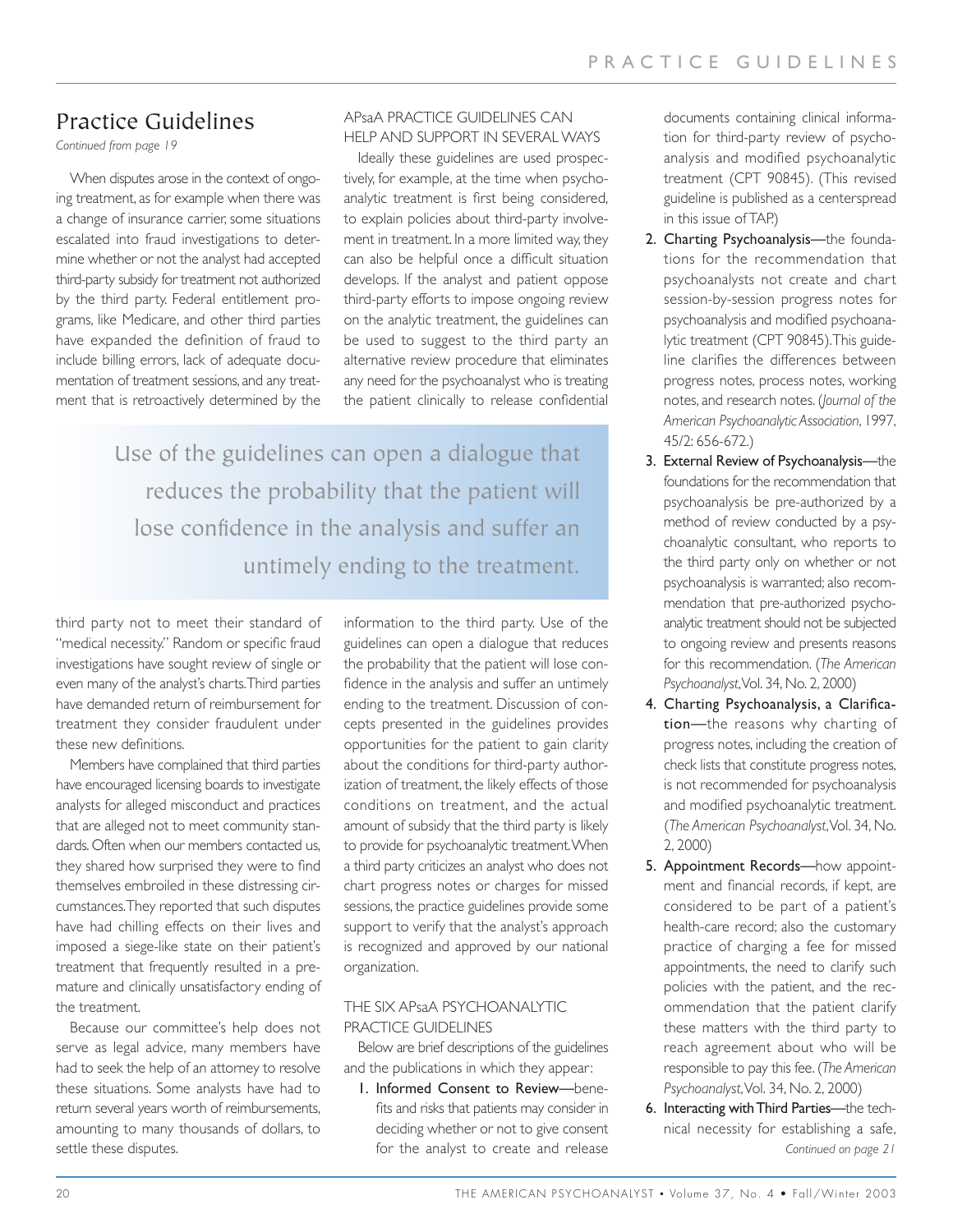## Practice Guidelines

*Continued from page 19*

When disputes arose in the context of ongoing treatment, as for example when there was a change of insurance carrier, some situations escalated into fraud investigations to determine whether or not the analyst had accepted third-party subsidy for treatment not authorized by the third party. Federal entitlement programs, like Medicare, and other third parties have expanded the definition of fraud to include billing errors, lack of adequate documentation of treatment sessions, and any treatment that is retroactively determined by the

#### APsaA PRACTICE GUIDELINES CAN HELP AND SUPPORT IN SEVERAL WAYS

Ideally these guidelines are used prospectively, for example, at the time when psychoanalytic treatment is first being considered, to explain policies about third-party involvement in treatment. In a more limited way, they can also be helpful once a difficult situation develops. If the analyst and patient oppose third-party efforts to impose ongoing review on the analytic treatment, the guidelines can be used to suggest to the third party an alternative review procedure that eliminates any need for the psychoanalyst who is treating the patient clinically to release confidential

Use of the guidelines can open a dialogue that reduces the probability that the patient will lose confidence in the analysis and suffer an untimely ending to the treatment.

third party not to meet their standard of "medical necessity." Random or specific fraud investigations have sought review of single or even many of the analyst's charts.Third parties have demanded return of reimbursement for treatment they consider fraudulent under these new definitions.

Members have complained that third parties have encouraged licensing boards to investigate analysts for alleged misconduct and practices that are alleged not to meet community standards. Often when our members contacted us, they shared how surprised they were to find themselves embroiled in these distressing circumstances.They reported that such disputes have had chilling effects on their lives and imposed a siege-like state on their patient's treatment that frequently resulted in a premature and clinically unsatisfactory ending of the treatment.

Because our committee's help does not serve as legal advice, many members have had to seek the help of an attorney to resolve these situations. Some analysts have had to return several years worth of reimbursements, amounting to many thousands of dollars, to settle these disputes.

information to the third party. Use of the guidelines can open a dialogue that reduces the probability that the patient will lose confidence in the analysis and suffer an untimely ending to the treatment. Discussion of concepts presented in the guidelines provides opportunities for the patient to gain clarity about the conditions for third-party authorization of treatment, the likely effects of those conditions on treatment, and the actual amount of subsidy that the third party is likely to provide for psychoanalytic treatment.When a third party criticizes an analyst who does not chart progress notes or charges for missed sessions, the practice guidelines provide some support to verify that the analyst's approach is recognized and approved by our national organization.

#### THE SIX APsaA PSYCHOANALYTIC PRACTICE GUIDELINES

Below are brief descriptions of the guidelines and the publications in which they appear:

1. Informed Consent to Review—benefits and risks that patients may consider in deciding whether or not to give consent for the analyst to create and release

documents containing clinical information for third-party review of psychoanalysis and modified psychoanalytic treatment (CPT 90845). (This revised guideline is published as a centerspread in this issue of TAP.)

- 2. Charting Psychoanalysis—the foundations for the recommendation that psychoanalysts not create and chart session-by-session progress notes for psychoanalysis and modified psychoanalytic treatment (CPT 90845).This guideline clarifies the differences between progress notes, process notes, working notes, and research notes. (*Journal of the American Psychoanalytic Association*, 1997, 45/2: 656-672.)
- 3. External Review of Psychoanalysis—the foundations for the recommendation that psychoanalysis be pre-authorized by a method of review conducted by a psychoanalytic consultant, who reports to the third party only on whether or not psychoanalysis is warranted; also recommendation that pre-authorized psychoanalytic treatment should not be subjected to ongoing review and presents reasons for this recommendation. (*The American Psychoanalyst*,Vol. 34, No. 2, 2000)
- 4. Charting Psychoanalysis, a Clarification—the reasons why charting of progress notes, including the creation of check lists that constitute progress notes, is not recommended for psychoanalysis and modified psychoanalytic treatment. (*The American Psychoanalyst*,Vol. 34, No. 2, 2000)
- 5. Appointment Records—how appointment and financial records, if kept, are considered to be part of a patient's health-care record; also the customary practice of charging a fee for missed appointments, the need to clarify such policies with the patient, and the recommendation that the patient clarify these matters with the third party to reach agreement about who will be responsible to pay this fee. (*The American Psychoanalyst*,Vol. 34, No. 2, 2000)
- 6. Interacting with Third Parties—the technical necessity for establishing a safe, *Continued on page 21*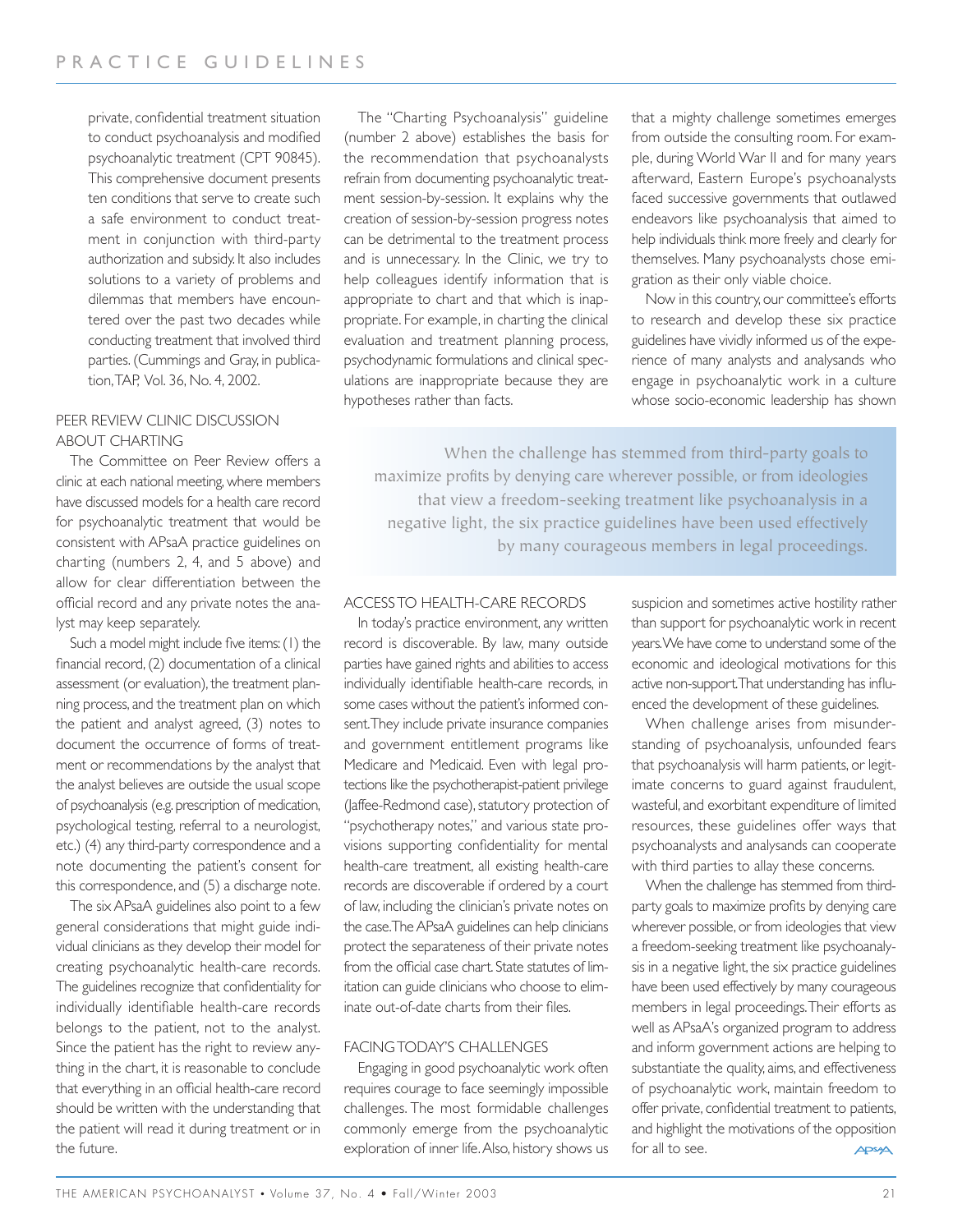private, confidential treatment situation to conduct psychoanalysis and modified psychoanalytic treatment (CPT 90845). This comprehensive document presents ten conditions that serve to create such a safe environment to conduct treatment in conjunction with third-party authorization and subsidy. It also includes solutions to a variety of problems and dilemmas that members have encountered over the past two decades while conducting treatment that involved third parties. (Cummings and Gray, in publication,TAP, Vol. 36, No. 4, 2002.

#### PEER REVIEW CLINIC DISCUSSION ABOUT CHARTING

The Committee on Peer Review offers a clinic at each national meeting, where members have discussed models for a health care record for psychoanalytic treatment that would be consistent with APsaA practice guidelines on charting (numbers 2, 4, and 5 above) and allow for clear differentiation between the official record and any private notes the analyst may keep separately.

Such a model might include five items:(1) the financial record, (2) documentation of a clinical assessment (or evaluation), the treatment planning process, and the treatment plan on which the patient and analyst agreed, (3) notes to document the occurrence of forms of treatment or recommendations by the analyst that the analyst believes are outside the usual scope of psychoanalysis (e.g.prescription of medication, psychological testing, referral to a neurologist, etc.) (4) any third-party correspondence and a note documenting the patient's consent for this correspondence, and (5) a discharge note.

The six APsaA guidelines also point to a few general considerations that might guide individual clinicians as they develop their model for creating psychoanalytic health-care records. The guidelines recognize that confidentiality for individually identifiable health-care records belongs to the patient, not to the analyst. Since the patient has the right to review anything in the chart, it is reasonable to conclude that everything in an official health-care record should be written with the understanding that the patient will read it during treatment or in the future.

The "Charting Psychoanalysis" guideline (number 2 above) establishes the basis for the recommendation that psychoanalysts refrain from documenting psychoanalytic treatment session-by-session. It explains why the creation of session-by-session progress notes can be detrimental to the treatment process and is unnecessary. In the Clinic, we try to help colleagues identify information that is appropriate to chart and that which is inappropriate. For example, in charting the clinical evaluation and treatment planning process, psychodynamic formulations and clinical speculations are inappropriate because they are hypotheses rather than facts.

that a mighty challenge sometimes emerges from outside the consulting room. For example, during World War II and for many years afterward, Eastern Europe's psychoanalysts faced successive governments that outlawed endeavors like psychoanalysis that aimed to help individuals think more freely and clearly for themselves. Many psychoanalysts chose emigration as their only viable choice.

Now in this country, our committee's efforts to research and develop these six practice guidelines have vividly informed us of the experience of many analysts and analysands who engage in psychoanalytic work in a culture whose socio-economic leadership has shown

When the challenge has stemmed from third-party goals to maximize profits by denying care wherever possible, or from ideologies that view a freedom-seeking treatment like psychoanalysis in a negative light, the six practice guidelines have been used effectively by many courageous members in legal proceedings.

#### ACCESS TO HEALTH-CARE RECORDS

In today's practice environment, any written record is discoverable. By law, many outside parties have gained rights and abilities to access individually identifiable health-care records, in some cases without the patient's informed consent.They include private insurance companies and government entitlement programs like Medicare and Medicaid. Even with legal protections like the psychotherapist-patient privilege (Jaffee-Redmond case), statutory protection of "psychotherapy notes," and various state provisions supporting confidentiality for mental health-care treatment, all existing health-care records are discoverable if ordered by a court of law, including the clinician's private notes on the case.The APsaA guidelines can help clinicians protect the separateness of their private notes from the official case chart. State statutes of limitation can guide clinicians who choose to eliminate out-of-date charts from their files.

#### FACING TODAY'S CHALLENGES

Engaging in good psychoanalytic work often requires courage to face seemingly impossible challenges. The most formidable challenges commonly emerge from the psychoanalytic exploration of inner life.Also, history shows us suspicion and sometimes active hostility rather than support for psychoanalytic work in recent years.We have come to understand some of the economic and ideological motivations for this active non-support.That understanding has influenced the development of these guidelines.

When challenge arises from misunderstanding of psychoanalysis, unfounded fears that psychoanalysis will harm patients, or legitimate concerns to guard against fraudulent, wasteful, and exorbitant expenditure of limited resources, these guidelines offer ways that psychoanalysts and analysands can cooperate with third parties to allay these concerns.

When the challenge has stemmed from thirdparty goals to maximize profits by denying care wherever possible, or from ideologies that view a freedom-seeking treatment like psychoanalysis in a negative light, the six practice guidelines have been used effectively by many courageous members in legal proceedings.Their efforts as well as APsaA's organized program to address and inform government actions are helping to substantiate the quality, aims, and effectiveness of psychoanalytic work, maintain freedom to offer private, confidential treatment to patients, and highlight the motivations of the opposition for all to see. APSA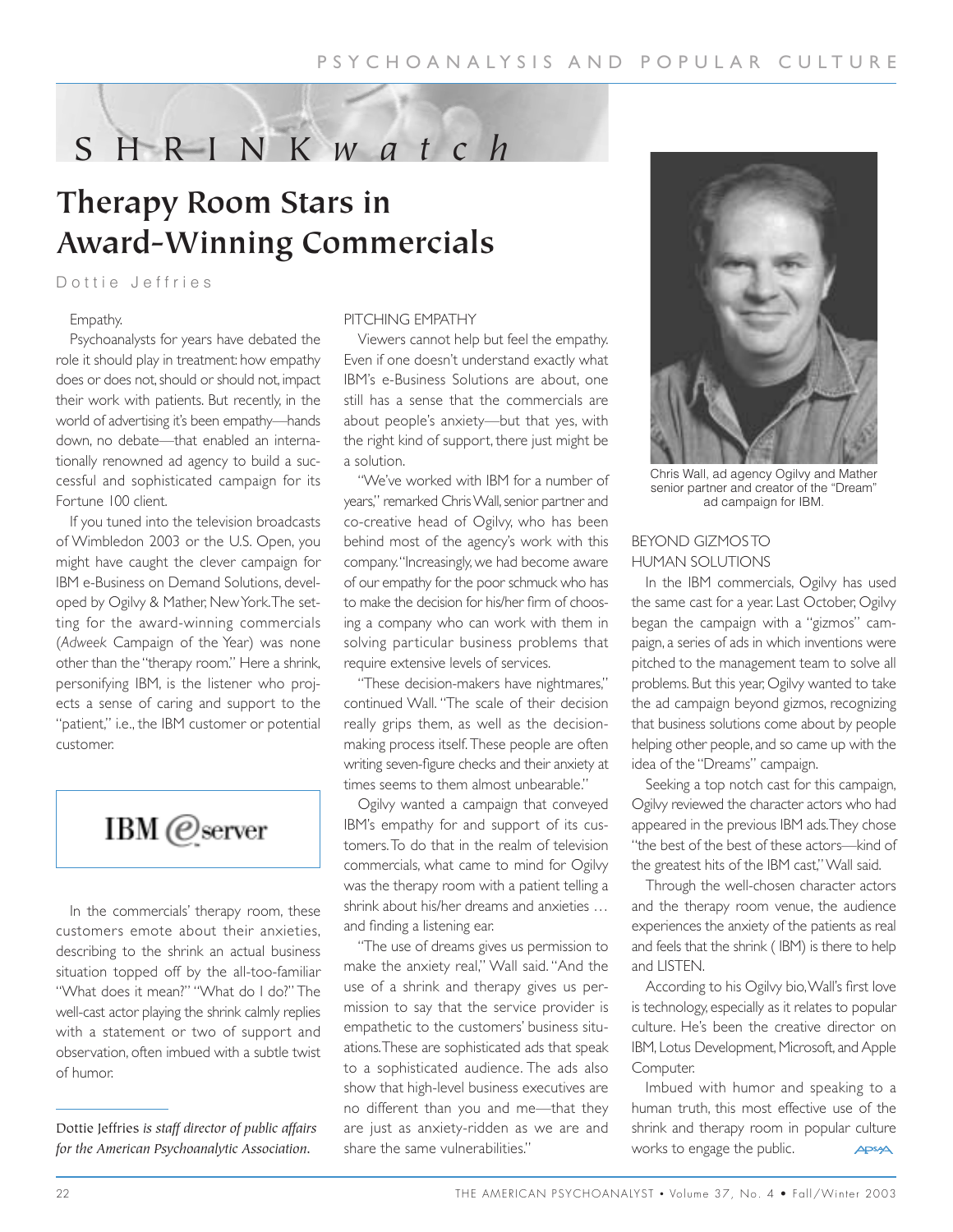# SHRINK *watch*

# **Therapy Room Stars in Award-Winning Commercials**

#### Dottie Jeffries

#### Empathy.

Psychoanalysts for years have debated the role it should play in treatment: how empathy does or does not, should or should not, impact their work with patients. But recently, in the world of advertising it's been empathy—hands down, no debate—that enabled an internationally renowned ad agency to build a successful and sophisticated campaign for its Fortune 100 client.

If you tuned into the television broadcasts of Wimbledon 2003 or the U.S. Open, you might have caught the clever campaign for IBM e-Business on Demand Solutions, developed by Ogilvy & Mather, New York.The setting for the award-winning commercials (*Adweek* Campaign of the Year) was none other than the "therapy room." Here a shrink, personifying IBM, is the listener who projects a sense of caring and support to the "patient," i.e., the IBM customer or potential customer.

# IBM @server

In the commercials' therapy room, these customers emote about their anxieties, describing to the shrink an actual business situation topped off by the all-too-familiar "What does it mean?" "What do I do?" The well-cast actor playing the shrink calmly replies with a statement or two of support and observation, often imbued with a subtle twist of humor.

Dottie Jeffries *is staff director of public affairs for the American Psychoanalytic Association.*

#### PITCHING EMPATHY

Viewers cannot help but feel the empathy. Even if one doesn't understand exactly what IBM's e-Business Solutions are about, one still has a sense that the commercials are about people's anxiety—but that yes, with the right kind of support, there just might be a solution.

"We've worked with IBM for a number of years," remarked Chris Wall, senior partner and co-creative head of Ogilvy, who has been behind most of the agency's work with this company."Increasingly, we had become aware of our empathy for the poor schmuck who has to make the decision for his/her firm of choosing a company who can work with them in solving particular business problems that require extensive levels of services.

"These decision-makers have nightmares," continued Wall. "The scale of their decision really grips them, as well as the decisionmaking process itself. These people are often writing seven-figure checks and their anxiety at times seems to them almost unbearable."

Ogilvy wanted a campaign that conveyed IBM's empathy for and support of its customers.To do that in the realm of television commercials, what came to mind for Ogilvy was the therapy room with a patient telling a shrink about his/her dreams and anxieties … and finding a listening ear.

"The use of dreams gives us permission to make the anxiety real," Wall said. "And the use of a shrink and therapy gives us permission to say that the service provider is empathetic to the customers' business situations.These are sophisticated ads that speak to a sophisticated audience. The ads also show that high-level business executives are no different than you and me—that they are just as anxiety-ridden as we are and share the same vulnerabilities."



Chris Wall, ad agency Ogilvy and Mather senior partner and creator of the "Dream" ad campaign for IBM.

#### BEYOND GIZMOS TO HUMAN SOLUTIONS

In the IBM commercials, Ogilvy has used the same cast for a year. Last October, Ogilvy began the campaign with a "gizmos" campaign, a series of ads in which inventions were pitched to the management team to solve all problems. But this year, Ogilvy wanted to take the ad campaign beyond gizmos, recognizing that business solutions come about by people helping other people, and so came up with the idea of the "Dreams" campaign.

Seeking a top notch cast for this campaign, Ogilvy reviewed the character actors who had appeared in the previous IBM ads.They chose "the best of the best of these actors—kind of the greatest hits of the IBM cast," Wall said.

Through the well-chosen character actors and the therapy room venue, the audience experiences the anxiety of the patients as real and feels that the shrink ( IBM) is there to help and LISTEN.

According to his Ogilvy bio,Wall's first love is technology, especially as it relates to popular culture. He's been the creative director on IBM, Lotus Development, Microsoft, and Apple Computer.

Imbued with humor and speaking to a human truth, this most effective use of the shrink and therapy room in popular culture works to engage the public. APSA

22 THE AMERICAN PSYCHOANALYST • Volume 37, No. 4 • Fall/Winter 2003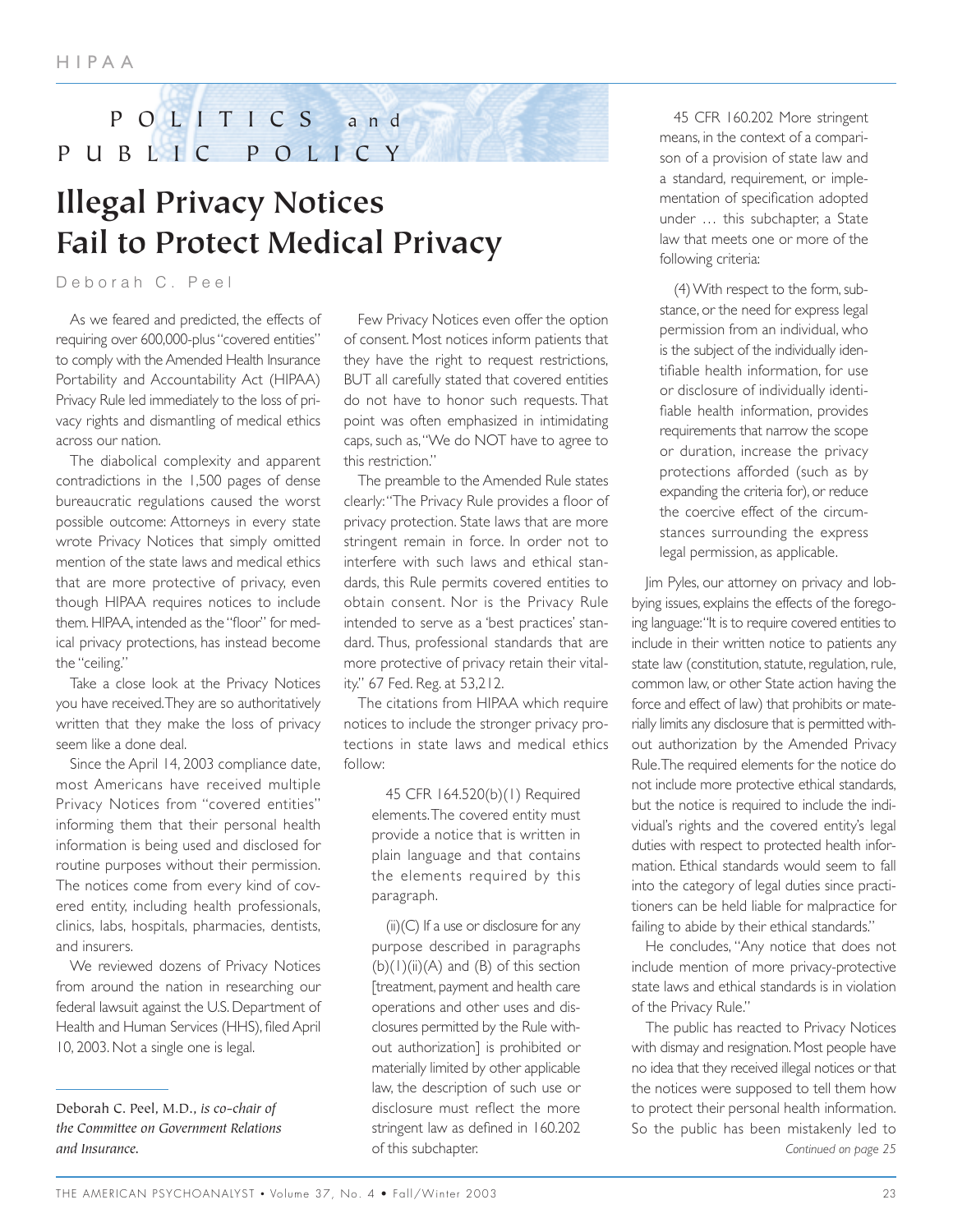## POLITICS and PUBLIC POLICY

# **Illegal Privacy Notices Fail to Protect Medical Privacy**

Deborah C. Peel

As we feared and predicted, the effects of requiring over 600,000-plus "covered entities" to comply with the Amended Health Insurance Portability and Accountability Act (HIPAA) Privacy Rule led immediately to the loss of privacy rights and dismantling of medical ethics across our nation.

The diabolical complexity and apparent contradictions in the 1,500 pages of dense bureaucratic regulations caused the worst possible outcome: Attorneys in every state wrote Privacy Notices that simply omitted mention of the state laws and medical ethics that are more protective of privacy, even though HIPAA requires notices to include them. HIPAA, intended as the "floor" for medical privacy protections, has instead become the "ceiling."

Take a close look at the Privacy Notices you have received.They are so authoritatively written that they make the loss of privacy seem like a done deal.

Since the April 14, 2003 compliance date, most Americans have received multiple Privacy Notices from "covered entities" informing them that their personal health information is being used and disclosed for routine purposes without their permission. The notices come from every kind of covered entity, including health professionals, clinics, labs, hospitals, pharmacies, dentists, and insurers.

We reviewed dozens of Privacy Notices from around the nation in researching our federal lawsuit against the U.S. Department of Health and Human Services (HHS), filed April 10, 2003. Not a single one is legal.

Few Privacy Notices even offer the option of consent. Most notices inform patients that they have the right to request restrictions, BUT all carefully stated that covered entities do not have to honor such requests. That point was often emphasized in intimidating caps, such as,"We do NOT have to agree to this restriction."

The preamble to the Amended Rule states clearly:"The Privacy Rule provides a floor of privacy protection. State laws that are more stringent remain in force. In order not to interfere with such laws and ethical standards, this Rule permits covered entities to obtain consent. Nor is the Privacy Rule intended to serve as a 'best practices' standard. Thus, professional standards that are more protective of privacy retain their vitality." 67 Fed. Reg. at 53,212.

The citations from HIPAA which require notices to include the stronger privacy protections in state laws and medical ethics follow:

45 CFR 164.520(b)(1) Required elements.The covered entity must provide a notice that is written in plain language and that contains the elements required by this paragraph.

 $(ii)(C)$  If a use or disclosure for any purpose described in paragraphs  $(b)(1)(ii)(A)$  and  $(B)$  of this section [treatment, payment and health care operations and other uses and disclosures permitted by the Rule without authorization] is prohibited or materially limited by other applicable law, the description of such use or disclosure must reflect the more stringent law as defined in 160.202 of this subchapter.

45 CFR 160.202 More stringent means, in the context of a comparison of a provision of state law and a standard, requirement, or implementation of specification adopted under … this subchapter, a State law that meets one or more of the following criteria:

(4) With respect to the form, substance, or the need for express legal permission from an individual, who is the subject of the individually identifiable health information, for use or disclosure of individually identifiable health information, provides requirements that narrow the scope or duration, increase the privacy protections afforded (such as by expanding the criteria for), or reduce the coercive effect of the circumstances surrounding the express legal permission, as applicable.

Jim Pyles, our attorney on privacy and lobbying issues, explains the effects of the foregoing language:"It is to require covered entities to include in their written notice to patients any state law (constitution, statute, regulation, rule, common law, or other State action having the force and effect of law) that prohibits or materially limits any disclosure that is permitted without authorization by the Amended Privacy Rule.The required elements for the notice do not include more protective ethical standards, but the notice is required to include the individual's rights and the covered entity's legal duties with respect to protected health information. Ethical standards would seem to fall into the category of legal duties since practitioners can be held liable for malpractice for failing to abide by their ethical standards."

He concludes, "Any notice that does not include mention of more privacy-protective state laws and ethical standards is in violation of the Privacy Rule."

The public has reacted to Privacy Notices with dismay and resignation. Most people have no idea that they received illegal notices or that the notices were supposed to tell them how to protect their personal health information. So the public has been mistakenly led to *Continued on page 25*

Deborah C. Peel, M.D., *is co-chair of the Committee on Government Relations and Insurance.*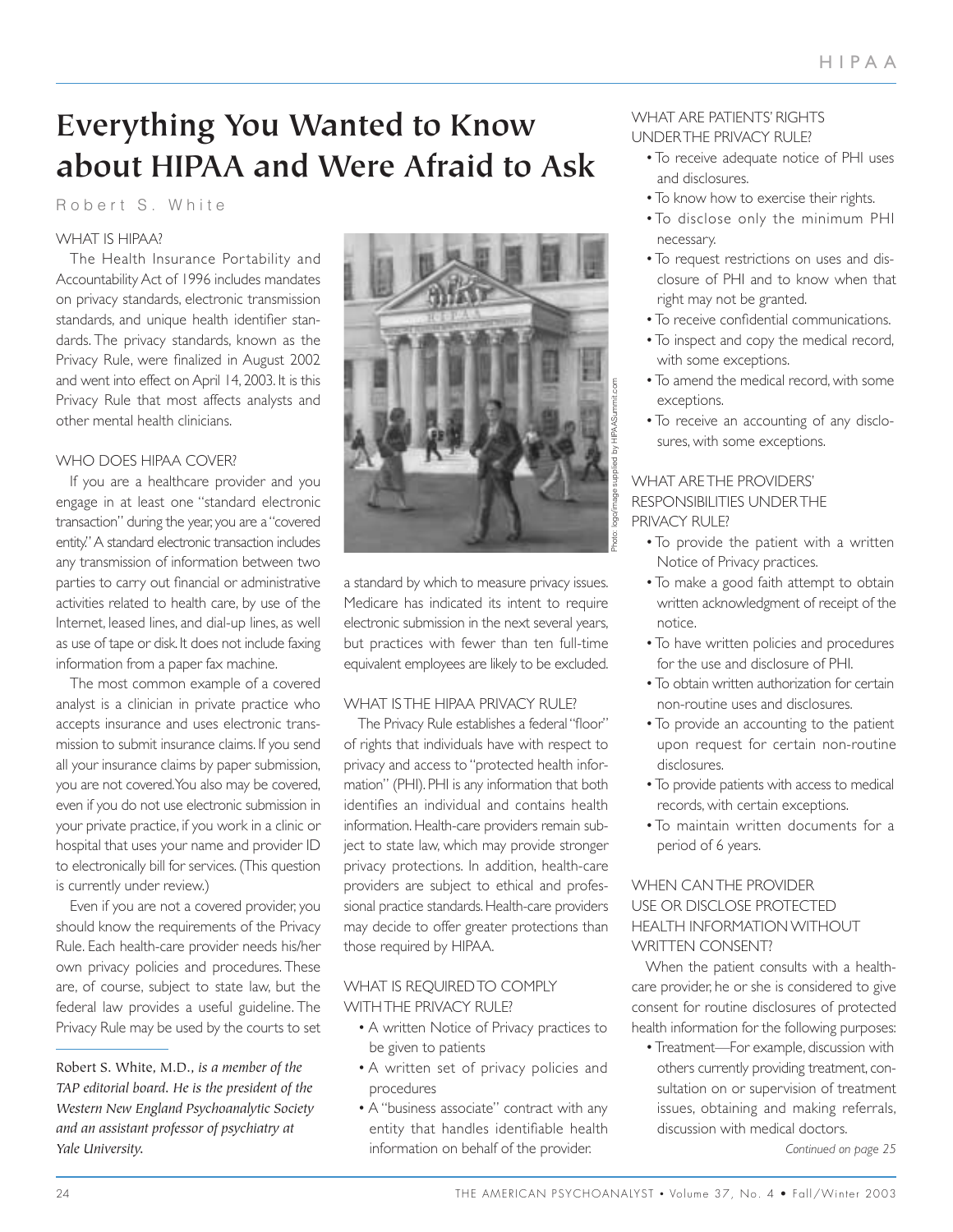# **Everything You Wanted to Know about HIPAA and Were Afraid to Ask**

#### Robert S. White

#### WHAT IS HIPAA?

The Health Insurance Portability and Accountability Act of 1996 includes mandates on privacy standards, electronic transmission standards, and unique health identifier standards. The privacy standards, known as the Privacy Rule, were finalized in August 2002 and went into effect on April 14, 2003. It is this Privacy Rule that most affects analysts and other mental health clinicians.

#### WHO DOES HIPAA COVER?

If you are a healthcare provider and you engage in at least one "standard electronic transaction" during the year, you are a "covered entity." A standard electronic transaction includes any transmission of information between two parties to carry out financial or administrative activities related to health care, by use of the Internet, leased lines, and dial-up lines, as well as use of tape or disk. It does not include faxing information from a paper fax machine.

The most common example of a covered analyst is a clinician in private practice who accepts insurance and uses electronic transmission to submit insurance claims. If you send all your insurance claims by paper submission, you are not covered.You also may be covered, even if you do not use electronic submission in your private practice, if you work in a clinic or hospital that uses your name and provider ID to electronically bill for services. (This question is currently under review.)

Even if you are not a covered provider, you should know the requirements of the Privacy Rule. Each health-care provider needs his/her own privacy policies and procedures. These are, of course, subject to state law, but the federal law provides a useful guideline. The Privacy Rule may be used by the courts to set

Robert S. White, M.D., *is a member of the TAP editorial board. He is the president of the Western New England Psychoanalytic Society and an assistant professor of psychiatry at Yale University.*



a standard by which to measure privacy issues. Medicare has indicated its intent to require electronic submission in the next several years, but practices with fewer than ten full-time equivalent employees are likely to be excluded.

#### WHAT IS THE HIPAA PRIVACY RULE?

The Privacy Rule establishes a federal "floor" of rights that individuals have with respect to privacy and access to "protected health information" (PHI). PHI is any information that both identifies an individual and contains health information. Health-care providers remain subject to state law, which may provide stronger privacy protections. In addition, health-care providers are subject to ethical and professional practice standards. Health-care providers may decide to offer greater protections than those required by HIPAA.

#### WHAT IS REQUIRED TO COMPLY WITH THE PRIVACY RULE?

- A written Notice of Privacy practices to be given to patients
- A written set of privacy policies and procedures
- A "business associate" contract with any entity that handles identifiable health information on behalf of the provider.

#### WHAT ARE PATIENTS' RIGHTS UNDER THE PRIVACY RULE?

- To receive adequate notice of PHI uses and disclosures.
- To know how to exercise their rights.
- To disclose only the minimum PHI necessary.
- To request restrictions on uses and disclosure of PHI and to know when that right may not be granted.
- To receive confidential communications.
- To inspect and copy the medical record, with some exceptions.
- To amend the medical record, with some exceptions.
- To receive an accounting of any disclosures, with some exceptions.

#### WHAT ARE THE PROVIDERS' RESPONSIBILITIES UNDER THE PRIVACY RULE?

- To provide the patient with a written Notice of Privacy practices.
- To make a good faith attempt to obtain written acknowledgment of receipt of the notice.
- To have written policies and procedures for the use and disclosure of PHI.
- To obtain written authorization for certain non-routine uses and disclosures.
- To provide an accounting to the patient upon request for certain non-routine disclosures.
- To provide patients with access to medical records, with certain exceptions.
- To maintain written documents for a period of 6 years.

#### WHEN CAN THE PROVIDER USE OR DISCLOSE PROTECTED HEALTH INFORMATION WITHOUT WRITTEN CONSENT?

When the patient consults with a healthcare provider, he or she is considered to give consent for routine disclosures of protected health information for the following purposes:

• Treatment—For example, discussion with others currently providing treatment, consultation on or supervision of treatment issues, obtaining and making referrals, discussion with medical doctors.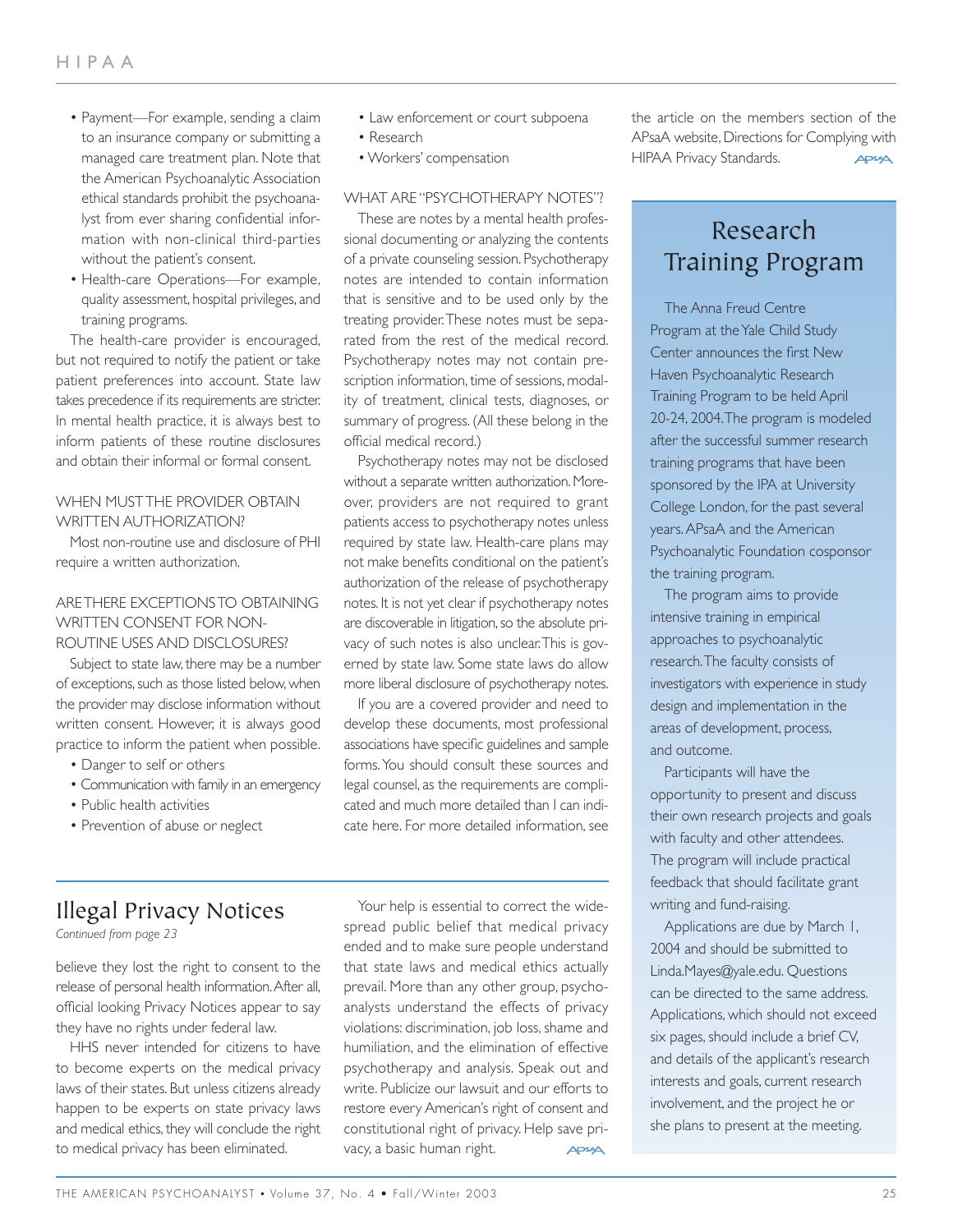- Payment—For example, sending a claim to an insurance company or submitting a managed care treatment plan. Note that the American Psychoanalytic Association ethical standards prohibit the psychoanalyst from ever sharing confidential information with non-clinical third-parties without the patient's consent.
- Health-care Operations—For example, quality assessment, hospital privileges, and training programs.

The health-care provider is encouraged, but not required to notify the patient or take patient preferences into account. State law takes precedence if its requirements are stricter. In mental health practice, it is always best to inform patients of these routine disclosures and obtain their informal or formal consent.

#### WHEN MUST THE PROVIDER OBTAIN WRITTEN AUTHORIZATION?

Most non-routine use and disclosure of PHI require a written authorization.

#### ARE THERE EXCEPTIONS TO OBTAINING WRITTEN CONSENT FOR NON-ROUTINE USES AND DISCLOSURES?

Subject to state law, there may be a number of exceptions, such as those listed below, when the provider may disclose information without written consent. However, it is always good practice to inform the patient when possible.

- Danger to self or others
- Communication with family in an emergency
- Public health activities
- Prevention of abuse or neglect
- Law enforcement or court subpoena
- Research
- Workers' compensation

#### WHAT ARE "PSYCHOTHERAPY NOTES"?

These are notes by a mental health professional documenting or analyzing the contents of a private counseling session. Psychotherapy notes are intended to contain information that is sensitive and to be used only by the treating provider.These notes must be separated from the rest of the medical record. Psychotherapy notes may not contain prescription information, time of sessions, modality of treatment, clinical tests, diagnoses, or summary of progress. (All these belong in the official medical record.)

Psychotherapy notes may not be disclosed without a separate written authorization. Moreover, providers are not required to grant patients access to psychotherapy notes unless required by state law. Health-care plans may not make benefits conditional on the patient's authorization of the release of psychotherapy notes. It is not yet clear if psychotherapy notes are discoverable in litigation, so the absolute privacy of such notes is also unclear.This is governed by state law. Some state laws do allow more liberal disclosure of psychotherapy notes.

If you are a covered provider and need to develop these documents, most professional associations have specific guidelines and sample forms.You should consult these sources and legal counsel, as the requirements are complicated and much more detailed than I can indicate here. For more detailed information, see

Illegal Privacy Notices

*Continued from page 23*

believe they lost the right to consent to the release of personal health information.After all, official looking Privacy Notices appear to say they have no rights under federal law.

HHS never intended for citizens to have to become experts on the medical privacy laws of their states. But unless citizens already happen to be experts on state privacy laws and medical ethics, they will conclude the right to medical privacy has been eliminated.

Your help is essential to correct the widespread public belief that medical privacy ended and to make sure people understand that state laws and medical ethics actually prevail. More than any other group, psychoanalysts understand the effects of privacy violations: discrimination, job loss, shame and humiliation, and the elimination of effective psychotherapy and analysis. Speak out and write. Publicize our lawsuit and our efforts to restore every American's right of consent and constitutional right of privacy. Help save privacy, a basic human right. APSA

the article on the members section of the APsaA website, Directions for Complying with HIPAA Privacy Standards. **APSAA** 

## Research Training Program

The Anna Freud Centre Program at the Yale Child Study Center announces the first New Haven Psychoanalytic Research Training Program to be held April 20-24, 2004.The program is modeled after the successful summer research training programs that have been sponsored by the IPA at University College London, for the past several years.APsaA and the American Psychoanalytic Foundation cosponsor the training program.

The program aims to provide intensive training in empirical approaches to psychoanalytic research.The faculty consists of investigators with experience in study design and implementation in the areas of development, process, and outcome.

Participants will have the opportunity to present and discuss their own research projects and goals with faculty and other attendees. The program will include practical feedback that should facilitate grant writing and fund-raising.

Applications are due by March 1, 2004 and should be submitted to Linda.Mayes@yale.edu. Questions can be directed to the same address. Applications, which should not exceed six pages, should include a brief CV, and details of the applicant's research interests and goals, current research involvement, and the project he or she plans to present at the meeting.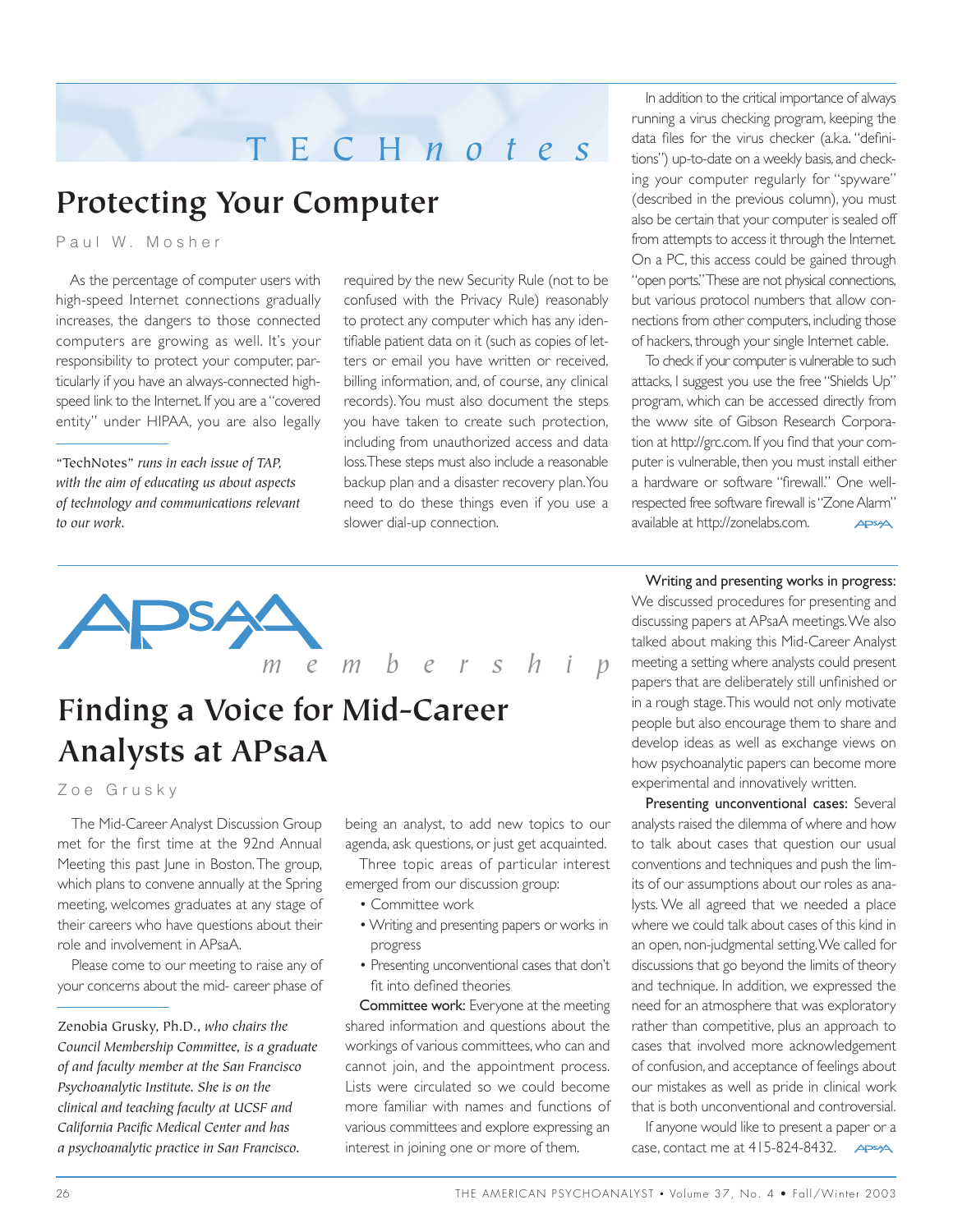## TECH *notes*

# **Protecting Your Computer**

Paul W. Mosher

As the percentage of computer users with high-speed Internet connections gradually increases, the dangers to those connected computers are growing as well. It's your responsibility to protect your computer, particularly if you have an always-connected highspeed link to the Internet. If you are a "covered entity" under HIPAA, you are also legally

"TechNotes" *runs in each issue of TAP, with the aim of educating us about aspects of technology and communications relevant to our work.*

required by the new Security Rule (not to be confused with the Privacy Rule) reasonably to protect any computer which has any identifiable patient data on it (such as copies of letters or email you have written or received, billing information, and, of course, any clinical records).You must also document the steps you have taken to create such protection, including from unauthorized access and data loss.These steps must also include a reasonable backup plan and a disaster recovery plan.You need to do these things even if you use a slower dial-up connection.

In addition to the critical importance of always running a virus checking program, keeping the data files for the virus checker (a.k.a. "definitions") up-to-date on a weekly basis,and checking your computer regularly for "spyware" (described in the previous column), you must also be certain that your computer is sealed off from attempts to access it through the Internet. On a PC, this access could be gained through "open ports." These are not physical connections, but various protocol numbers that allow connections from other computers, including those of hackers, through your single Internet cable.

To check if your computer is vulnerable to such attacks, I suggest you use the free "Shields Up" program, which can be accessed directly from the www site of Gibson Research Corporation at http://grc.com.If you find that your computer is vulnerable, then you must install either a hardware or software "firewall." One wellrespected free software firewall is "Zone Alarm" available at http://zonelabs.com. **APSAA** 

Writing and presenting works in progress: We discussed procedures for presenting and discussing papers at APsaA meetings.We also talked about making this Mid-Career Analyst meeting a setting where analysts could present papers that are deliberately still unfinished or in a rough stage.This would not only motivate people but also encourage them to share and develop ideas as well as exchange views on how psychoanalytic papers can become more experimental and innovatively written.

Presenting unconventional cases: Several analysts raised the dilemma of where and how to talk about cases that question our usual conventions and techniques and push the limits of our assumptions about our roles as analysts. We all agreed that we needed a place where we could talk about cases of this kind in an open, non-judgmental setting.We called for discussions that go beyond the limits of theory and technique. In addition, we expressed the need for an atmosphere that was exploratory rather than competitive, plus an approach to cases that involved more acknowledgement of confusion, and acceptance of feelings about our mistakes as well as pride in clinical work that is both unconventional and controversial.

If anyone would like to present a paper or a case, contact me at 415-824-8432. **APSA** 



# *membership*

# **Finding a Voice for Mid-Career Analysts at APsaA**

Zoe Grusky

The Mid-Career Analyst Discussion Group met for the first time at the 92nd Annual Meeting this past June in Boston.The group, which plans to convene annually at the Spring meeting, welcomes graduates at any stage of their careers who have questions about their role and involvement in APsaA.

Please come to our meeting to raise any of your concerns about the mid- career phase of

being an analyst, to add new topics to our agenda, ask questions, or just get acquainted.

Three topic areas of particular interest emerged from our discussion group:

- Committee work
- Writing and presenting papers or works in progress
- Presenting unconventional cases that don't fit into defined theories

Committee work: Everyone at the meeting shared information and questions about the workings of various committees, who can and cannot join, and the appointment process. Lists were circulated so we could become more familiar with names and functions of various committees and explore expressing an interest in joining one or more of them.

Zenobia Grusky, Ph.D., *who chairs the Council Membership Committee, is a graduate of and faculty member at the San Francisco Psychoanalytic Institute. She is on the clinical and teaching faculty at UCSF and California Pacific Medical Center and has a psychoanalytic practice in San Francisco.*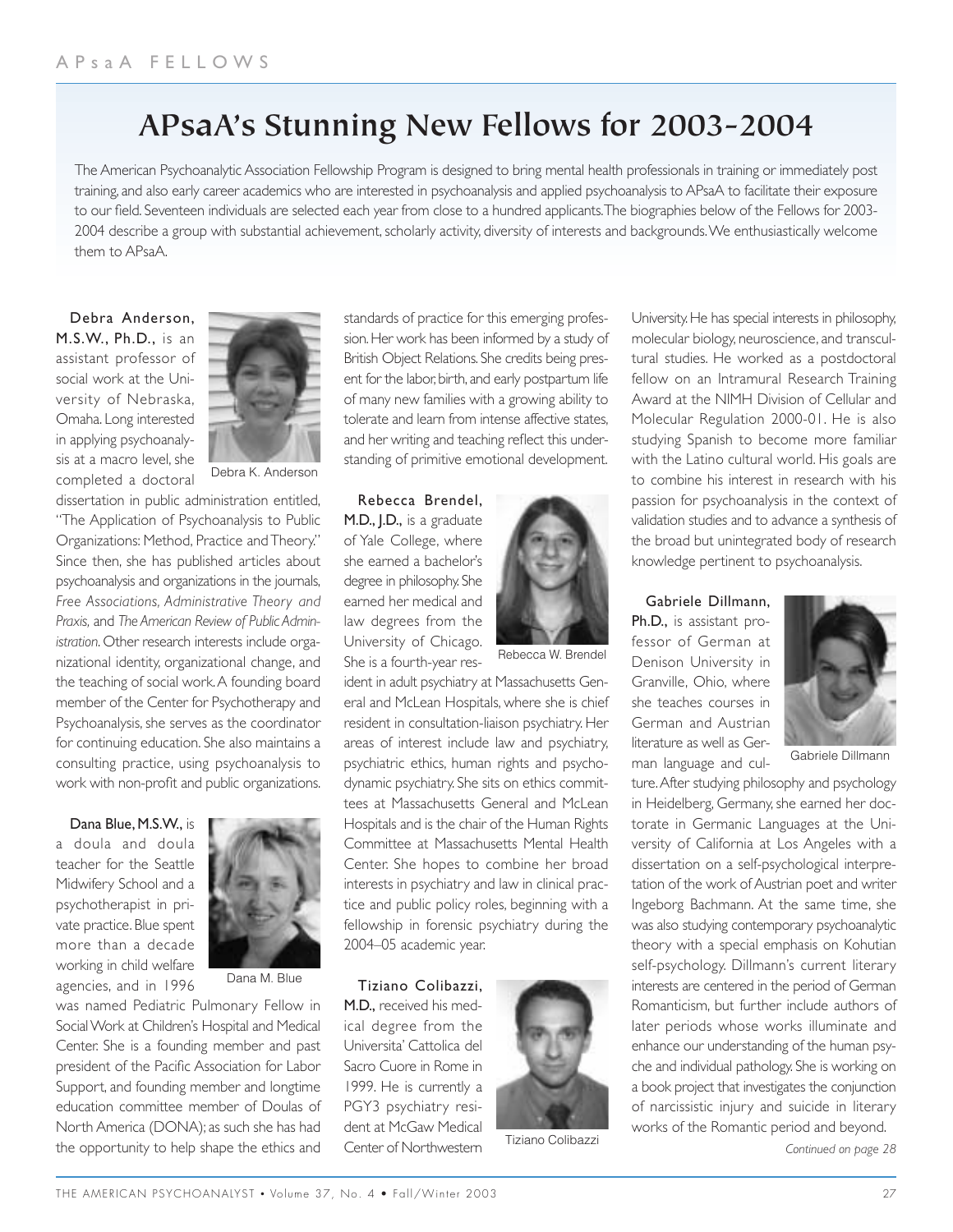## **APsaA's Stunning New Fellows for 2003-2004**

The American Psychoanalytic Association Fellowship Program is designed to bring mental health professionals in training or immediately post training, and also early career academics who are interested in psychoanalysis and applied psychoanalysis to APsaA to facilitate their exposure to our field. Seventeen individuals are selected each year from close to a hundred applicants.The biographies below of the Fellows for 2003- 2004 describe a group with substantial achievement, scholarly activity, diversity of interests and backgrounds.We enthusiastically welcome them to APsaA.

Debra Anderson, M.S.W., Ph.D., is an assistant professor of social work at the University of Nebraska, Omaha. Long interested in applying psychoanalysis at a macro level, she completed a doctoral



Debra K. Anderson

dissertation in public administration entitled, "The Application of Psychoanalysis to Public Organizations: Method, Practice and Theory." Since then, she has published articles about psychoanalysis and organizations in the journals, *Free Associations, Administrative Theory and Praxis,* and *The American Review of Public Administration*. Other research interests include organizational identity, organizational change, and the teaching of social work.A founding board member of the Center for Psychotherapy and Psychoanalysis, she serves as the coordinator for continuing education. She also maintains a consulting practice, using psychoanalysis to work with non-profit and public organizations.

Dana Blue, M.S.W., is a doula and doula teacher for the Seattle Midwifery School and a psychotherapist in private practice. Blue spent more than a decade working in child welfare agencies, and in 1996



Dana M. Blue

was named Pediatric Pulmonary Fellow in Social Work at Children's Hospital and Medical Center. She is a founding member and past president of the Pacific Association for Labor Support, and founding member and longtime education committee member of Doulas of North America (DONA); as such she has had the opportunity to help shape the ethics and standards of practice for this emerging profession. Her work has been informed by a study of British Object Relations. She credits being present for the labor, birth, and early postpartum life of many new families with a growing ability to tolerate and learn from intense affective states, and her writing and teaching reflect this understanding of primitive emotional development.

Rebecca Brendel, M.D., J.D., is a graduate of Yale College, where she earned a bachelor's degree in philosophy. She earned her medical and law degrees from the University of Chicago. She is a fourth-year res-



Rebecca W. Brendel

ident in adult psychiatry at Massachusetts General and McLean Hospitals, where she is chief resident in consultation-liaison psychiatry. Her areas of interest include law and psychiatry, psychiatric ethics, human rights and psychodynamic psychiatry. She sits on ethics committees at Massachusetts General and McLean Hospitals and is the chair of the Human Rights Committee at Massachusetts Mental Health Center. She hopes to combine her broad interests in psychiatry and law in clinical practice and public policy roles, beginning with a fellowship in forensic psychiatry during the 2004–05 academic year.

Tiziano Colibazzi,

M.D., received his medical degree from the Universita' Cattolica del Sacro Cuore in Rome in 1999. He is currently a PGY3 psychiatry resident at McGaw Medical Center of Northwestern



Tiziano Colibazzi

University. He has special interests in philosophy, molecular biology, neuroscience, and transcultural studies. He worked as a postdoctoral fellow on an Intramural Research Training Award at the NIMH Division of Cellular and Molecular Regulation 2000-01. He is also studying Spanish to become more familiar with the Latino cultural world. His goals are to combine his interest in research with his passion for psychoanalysis in the context of validation studies and to advance a synthesis of the broad but unintegrated body of research knowledge pertinent to psychoanalysis.

#### Gabriele Dillmann,

Ph.D., is assistant professor of German at Denison University in Granville, Ohio, where she teaches courses in German and Austrian literature as well as German language and cul-



Gabriele Dillmann

ture.After studying philosophy and psychology in Heidelberg, Germany, she earned her doctorate in Germanic Languages at the University of California at Los Angeles with a dissertation on a self-psychological interpretation of the work of Austrian poet and writer Ingeborg Bachmann. At the same time, she was also studying contemporary psychoanalytic theory with a special emphasis on Kohutian self-psychology. Dillmann's current literary interests are centered in the period of German Romanticism, but further include authors of later periods whose works illuminate and enhance our understanding of the human psyche and individual pathology. She is working on a book project that investigates the conjunction of narcissistic injury and suicide in literary works of the Romantic period and beyond.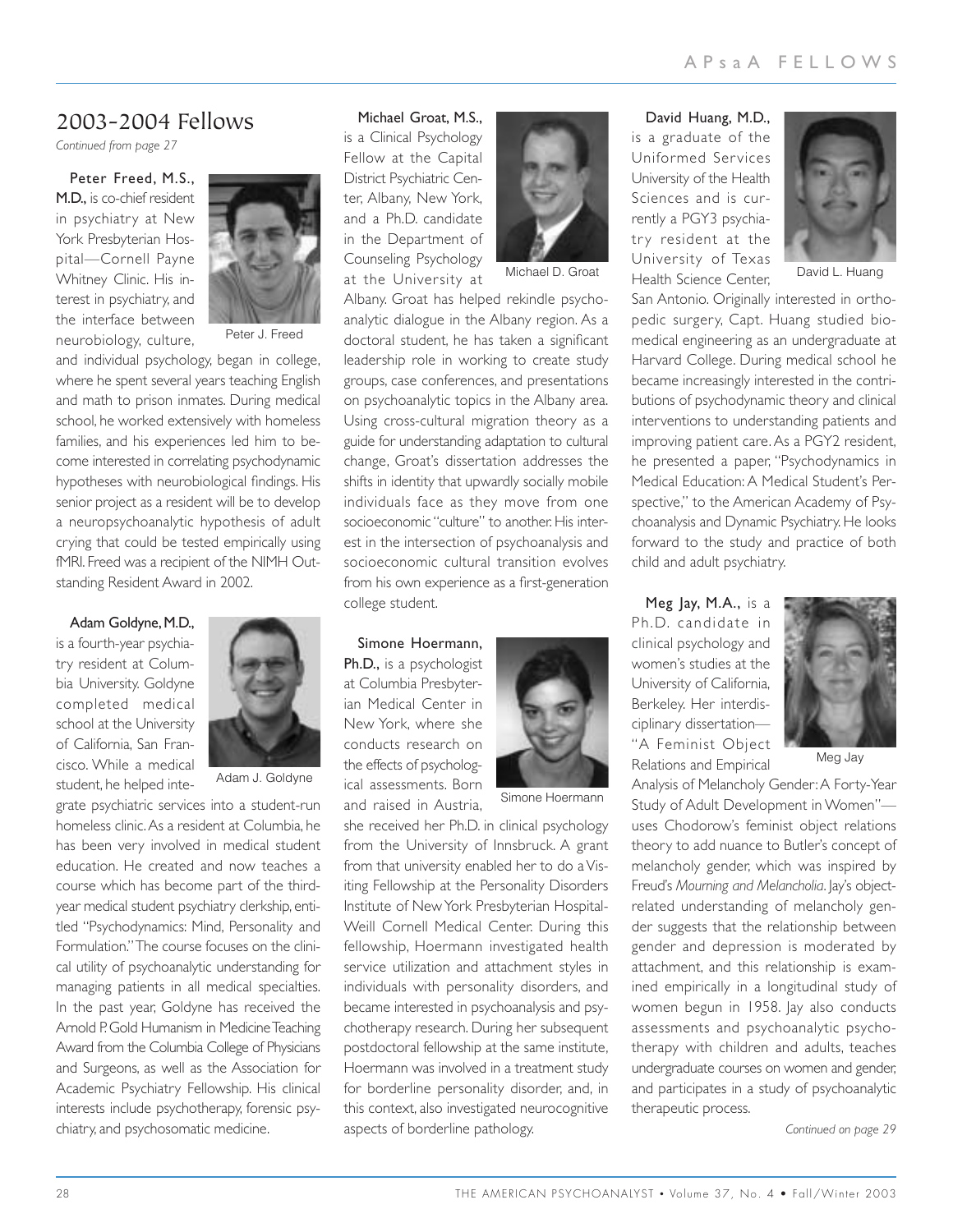#### 2003-2004 Fellows

*Continued from page 27*

Peter Freed, M.S., M.D., is co-chief resident in psychiatry at New York Presbyterian Hospital—Cornell Payne Whitney Clinic. His interest in psychiatry, and the interface between neurobiology, culture,



Peter J. Freed

and individual psychology, began in college, where he spent several years teaching English and math to prison inmates. During medical school, he worked extensively with homeless families, and his experiences led him to become interested in correlating psychodynamic hypotheses with neurobiological findings. His senior project as a resident will be to develop a neuropsychoanalytic hypothesis of adult crying that could be tested empirically using fMRI. Freed was a recipient of the NIMH Outstanding Resident Award in 2002.

Adam Goldyne, M.D., is a fourth-year psychiatry resident at Columbia University. Goldyne completed medical school at the University of California, San Francisco. While a medical student, he helped inte-



Adam J. Goldyne

grate psychiatric services into a student-run homeless clinic.As a resident at Columbia, he has been very involved in medical student education. He created and now teaches a course which has become part of the thirdyear medical student psychiatry clerkship, entitled "Psychodynamics: Mind, Personality and Formulation." The course focuses on the clinical utility of psychoanalytic understanding for managing patients in all medical specialties. In the past year, Goldyne has received the Arnold P. Gold Humanism in Medicine Teaching Award from the Columbia College of Physicians and Surgeons, as well as the Association for Academic Psychiatry Fellowship. His clinical interests include psychotherapy, forensic psychiatry, and psychosomatic medicine.

#### Michael Groat, M.S.,

is a Clinical Psychology Fellow at the Capital District Psychiatric Center, Albany, New York, and a Ph.D. candidate in the Department of Counseling Psychology at the University at



Michael D. Groat

Albany. Groat has helped rekindle psychoanalytic dialogue in the Albany region. As a doctoral student, he has taken a significant leadership role in working to create study groups, case conferences, and presentations on psychoanalytic topics in the Albany area. Using cross-cultural migration theory as a guide for understanding adaptation to cultural change, Groat's dissertation addresses the shifts in identity that upwardly socially mobile individuals face as they move from one socioeconomic "culture" to another. His interest in the intersection of psychoanalysis and socioeconomic cultural transition evolves from his own experience as a first-generation college student.

Simone Hoermann, Ph.D., is a psychologist at Columbia Presbyterian Medical Center in New York, where she conducts research on the effects of psychological assessments. Born and raised in Austria,



Simone Hoermann

she received her Ph.D. in clinical psychology from the University of Innsbruck. A grant from that university enabled her to do a Visiting Fellowship at the Personality Disorders Institute of New York Presbyterian Hospital-Weill Cornell Medical Center. During this fellowship, Hoermann investigated health service utilization and attachment styles in individuals with personality disorders, and became interested in psychoanalysis and psychotherapy research. During her subsequent postdoctoral fellowship at the same institute, Hoermann was involved in a treatment study for borderline personality disorder, and, in this context, also investigated neurocognitive aspects of borderline pathology.

David Huang, M.D., is a graduate of the Uniformed Services University of the Health Sciences and is currently a PGY3 psychiatry resident at the University of Texas Health Science Center,



David L. Huang

San Antonio. Originally interested in orthopedic surgery, Capt. Huang studied biomedical engineering as an undergraduate at Harvard College. During medical school he became increasingly interested in the contributions of psychodynamic theory and clinical interventions to understanding patients and improving patient care. As a PGY2 resident, he presented a paper, "Psychodynamics in Medical Education: A Medical Student's Perspective," to the American Academy of Psychoanalysis and Dynamic Psychiatry. He looks forward to the study and practice of both child and adult psychiatry.

Meg Jay, M.A., is a Ph.D. candidate in clinical psychology and women's studies at the University of California, Berkeley. Her interdisciplinary dissertation— "A Feminist Object Relations and Empirical



Meg Jay

Analysis of Melancholy Gender:A Forty-Year Study of Adult Development in Women" uses Chodorow's feminist object relations theory to add nuance to Butler's concept of melancholy gender, which was inspired by Freud's *Mourning and Melancholia*. Jay's objectrelated understanding of melancholy gender suggests that the relationship between gender and depression is moderated by attachment, and this relationship is examined empirically in a longitudinal study of women begun in 1958. Jay also conducts assessments and psychoanalytic psychotherapy with children and adults, teaches undergraduate courses on women and gender, and participates in a study of psychoanalytic therapeutic process.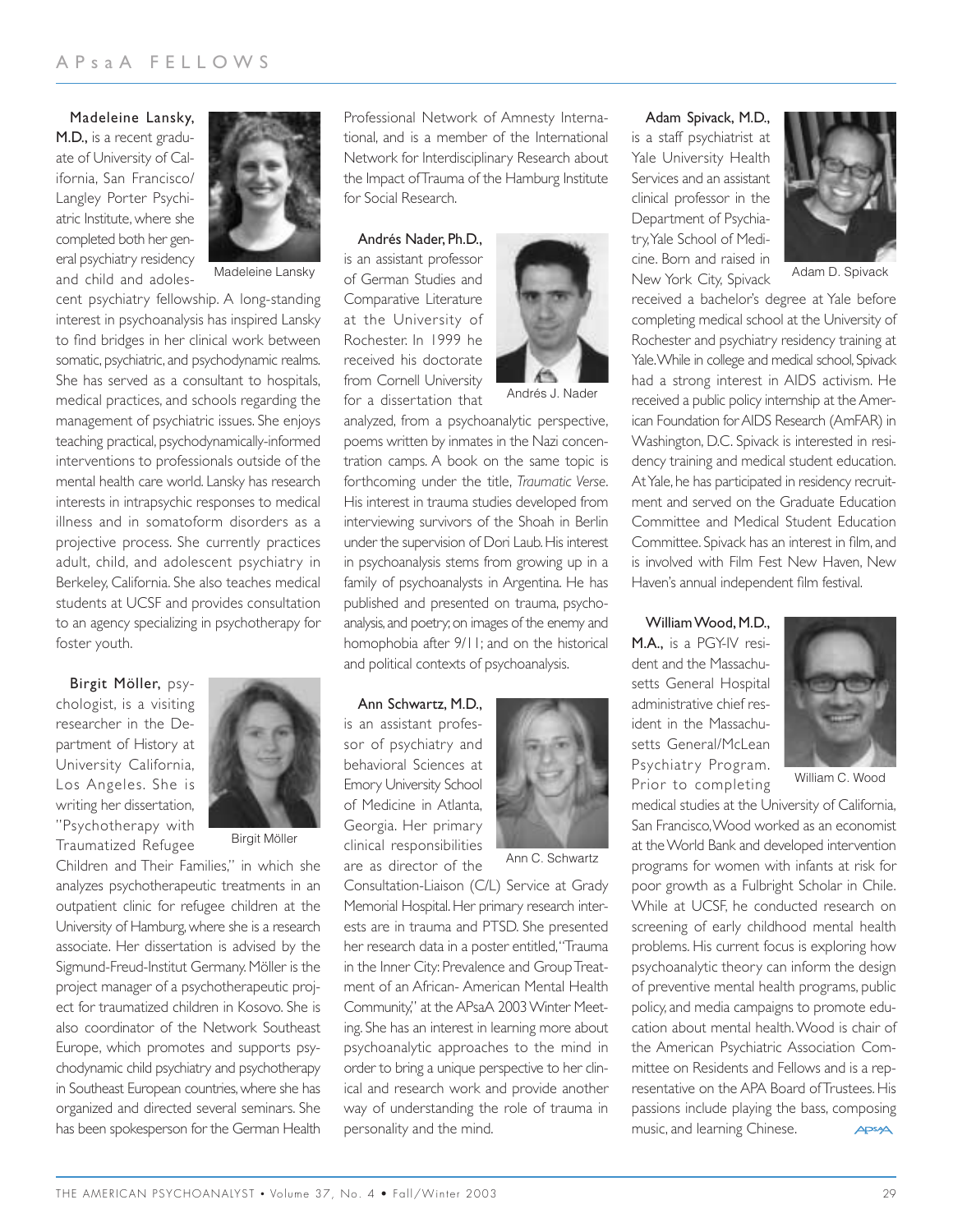Madeleine Lansky, M.D., is a recent graduate of University of California, San Francisco/ Langley Porter Psychiatric Institute, where she completed both her general psychiatry residency and child and adoles-



Madeleine Lansky

cent psychiatry fellowship. A long-standing interest in psychoanalysis has inspired Lansky to find bridges in her clinical work between somatic, psychiatric, and psychodynamic realms. She has served as a consultant to hospitals, medical practices, and schools regarding the management of psychiatric issues. She enjoys teaching practical, psychodynamically-informed interventions to professionals outside of the mental health care world. Lansky has research interests in intrapsychic responses to medical illness and in somatoform disorders as a projective process. She currently practices adult, child, and adolescent psychiatry in Berkeley, California. She also teaches medical students at UCSF and provides consultation to an agency specializing in psychotherapy for foster youth.

Birgit Möller, psychologist, is a visiting researcher in the Department of History at University California, Los Angeles. She is writing her dissertation, "Psychotherapy with Traumatized Refugee



Birgit Möller

Children and Their Families," in which she analyzes psychotherapeutic treatments in an outpatient clinic for refugee children at the University of Hamburg, where she is a research associate. Her dissertation is advised by the Sigmund-Freud-Institut Germany. Möller is the project manager of a psychotherapeutic project for traumatized children in Kosovo. She is also coordinator of the Network Southeast Europe, which promotes and supports psychodynamic child psychiatry and psychotherapy in Southeast European countries, where she has organized and directed several seminars. She has been spokesperson for the German Health Professional Network of Amnesty International, and is a member of the International Network for Interdisciplinary Research about the Impact of Trauma of the Hamburg Institute for Social Research.

Andrés Nader, Ph.D.,

is an assistant professor of German Studies and Comparative Literature at the University of Rochester. In 1999 he received his doctorate from Cornell University for a dissertation that



analyzed, from a psychoanalytic perspective, poems written by inmates in the Nazi concentration camps. A book on the same topic is forthcoming under the title, *Traumatic Verse*. His interest in trauma studies developed from interviewing survivors of the Shoah in Berlin under the supervision of Dori Laub. His interest in psychoanalysis stems from growing up in a family of psychoanalysts in Argentina. He has published and presented on trauma, psychoanalysis,and poetry;on images of the enemy and homophobia after 9/11; and on the historical and political contexts of psychoanalysis.

Ann Schwartz, M.D., is an assistant professor of psychiatry and behavioral Sciences at Emory University School of Medicine in Atlanta, Georgia. Her primary clinical responsibilities are as director of the



Ann C. Schwartz

Consultation-Liaison (C/L) Service at Grady Memorial Hospital. Her primary research interests are in trauma and PTSD. She presented her research data in a poster entitled,"Trauma in the Inner City: Prevalence and Group Treatment of an African- American Mental Health Community," at the APsaA 2003 Winter Meeting. She has an interest in learning more about psychoanalytic approaches to the mind in order to bring a unique perspective to her clinical and research work and provide another way of understanding the role of trauma in personality and the mind.

Adam Spivack, M.D., is a staff psychiatrist at Yale University Health Services and an assistant clinical professor in the Department of Psychiatry,Yale School of Medicine. Born and raised in New York City, Spivack



Adam D. Spivack

received a bachelor's degree at Yale before completing medical school at the University of Rochester and psychiatry residency training at Yale. While in college and medical school, Spivack had a strong interest in AIDS activism. He received a public policy internship at the American Foundation for AIDS Research (AmFAR) in Washington, D.C. Spivack is interested in residency training and medical student education. At Yale, he has participated in residency recruitment and served on the Graduate Education Committee and Medical Student Education Committee. Spivack has an interest in film, and is involved with Film Fest New Haven, New Haven's annual independent film festival.

#### William Wood, M.D.,

M.A., is a PGY-IV resident and the Massachusetts General Hospital administrative chief resident in the Massachusetts General/McLean Psychiatry Program. Prior to completing



William C. Wood

medical studies at the University of California, San Francisco,Wood worked as an economist at the World Bank and developed intervention programs for women with infants at risk for poor growth as a Fulbright Scholar in Chile. While at UCSF, he conducted research on screening of early childhood mental health problems. His current focus is exploring how psychoanalytic theory can inform the design of preventive mental health programs, public policy, and media campaigns to promote education about mental health.Wood is chair of the American Psychiatric Association Committee on Residents and Fellows and is a representative on the APA Board of Trustees. His passions include playing the bass, composing music, and learning Chinese. **APSA**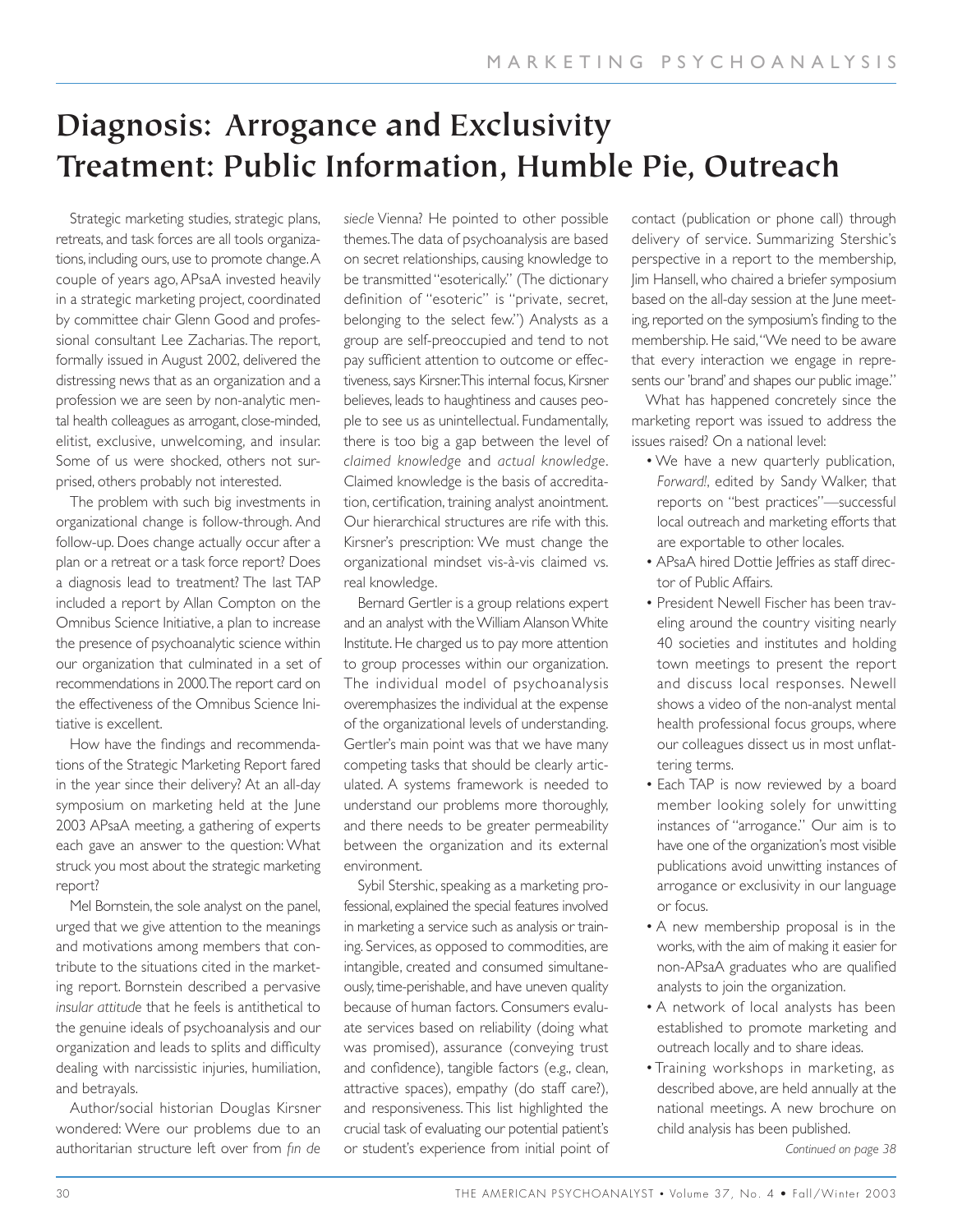# **Diagnosis: Arrogance and Exclusivity Treatment: Public Information, Humble Pie, Outreach**

Strategic marketing studies, strategic plans, retreats, and task forces are all tools organizations, including ours, use to promote change.A couple of years ago, APsaA invested heavily in a strategic marketing project, coordinated by committee chair Glenn Good and professional consultant Lee Zacharias.The report, formally issued in August 2002, delivered the distressing news that as an organization and a profession we are seen by non-analytic mental health colleagues as arrogant, close-minded, elitist, exclusive, unwelcoming, and insular. Some of us were shocked, others not surprised, others probably not interested.

The problem with such big investments in organizational change is follow-through. And follow-up. Does change actually occur after a plan or a retreat or a task force report? Does a diagnosis lead to treatment? The last TAP included a report by Allan Compton on the Omnibus Science Initiative, a plan to increase the presence of psychoanalytic science within our organization that culminated in a set of recommendations in 2000.The report card on the effectiveness of the Omnibus Science Initiative is excellent.

How have the findings and recommendations of the Strategic Marketing Report fared in the year since their delivery? At an all-day symposium on marketing held at the June 2003 APsaA meeting, a gathering of experts each gave an answer to the question: What struck you most about the strategic marketing report?

Mel Bornstein, the sole analyst on the panel, urged that we give attention to the meanings and motivations among members that contribute to the situations cited in the marketing report. Bornstein described a pervasive *insular attitude* that he feels is antithetical to the genuine ideals of psychoanalysis and our organization and leads to splits and difficulty dealing with narcissistic injuries, humiliation, and betrayals.

Author/social historian Douglas Kirsner wondered: Were our problems due to an authoritarian structure left over from *fin de*

*siecle* Vienna? He pointed to other possible themes.The data of psychoanalysis are based on secret relationships, causing knowledge to be transmitted "esoterically." (The dictionary definition of "esoteric" is "private, secret, belonging to the select few.") Analysts as a group are self-preoccupied and tend to not pay sufficient attention to outcome or effectiveness, says Kirsner.This internal focus, Kirsner believes, leads to haughtiness and causes people to see us as unintellectual. Fundamentally, there is too big a gap between the level of *claimed knowledge* and *actual knowledge*. Claimed knowledge is the basis of accreditation, certification, training analyst anointment. Our hierarchical structures are rife with this. Kirsner's prescription: We must change the organizational mindset vis-à-vis claimed vs. real knowledge.

Bernard Gertler is a group relations expert and an analyst with the William Alanson White Institute. He charged us to pay more attention to group processes within our organization. The individual model of psychoanalysis overemphasizes the individual at the expense of the organizational levels of understanding. Gertler's main point was that we have many competing tasks that should be clearly articulated. A systems framework is needed to understand our problems more thoroughly, and there needs to be greater permeability between the organization and its external environment.

Sybil Stershic, speaking as a marketing professional, explained the special features involved in marketing a service such as analysis or training. Services, as opposed to commodities, are intangible, created and consumed simultaneously, time-perishable, and have uneven quality because of human factors. Consumers evaluate services based on reliability (doing what was promised), assurance (conveying trust and confidence), tangible factors (e.g., clean, attractive spaces), empathy (do staff care?), and responsiveness. This list highlighted the crucial task of evaluating our potential patient's or student's experience from initial point of contact (publication or phone call) through delivery of service. Summarizing Stershic's perspective in a report to the membership, Jim Hansell, who chaired a briefer symposium based on the all-day session at the June meeting, reported on the symposium's finding to the membership. He said,"We need to be aware that every interaction we engage in represents our 'brand' and shapes our public image."

What has happened concretely since the marketing report was issued to address the issues raised? On a national level:

- We have a new quarterly publication, *Forward!*, edited by Sandy Walker, that reports on "best practices"—successful local outreach and marketing efforts that are exportable to other locales.
- APsaA hired Dottie Jeffries as staff director of Public Affairs.
- President Newell Fischer has been traveling around the country visiting nearly 40 societies and institutes and holding town meetings to present the report and discuss local responses. Newell shows a video of the non-analyst mental health professional focus groups, where our colleagues dissect us in most unflattering terms.
- Each TAP is now reviewed by a board member looking solely for unwitting instances of "arrogance." Our aim is to have one of the organization's most visible publications avoid unwitting instances of arrogance or exclusivity in our language or focus.
- A new membership proposal is in the works, with the aim of making it easier for non-APsaA graduates who are qualified analysts to join the organization.
- A network of local analysts has been established to promote marketing and outreach locally and to share ideas.
- Training workshops in marketing, as described above, are held annually at the national meetings. A new brochure on child analysis has been published.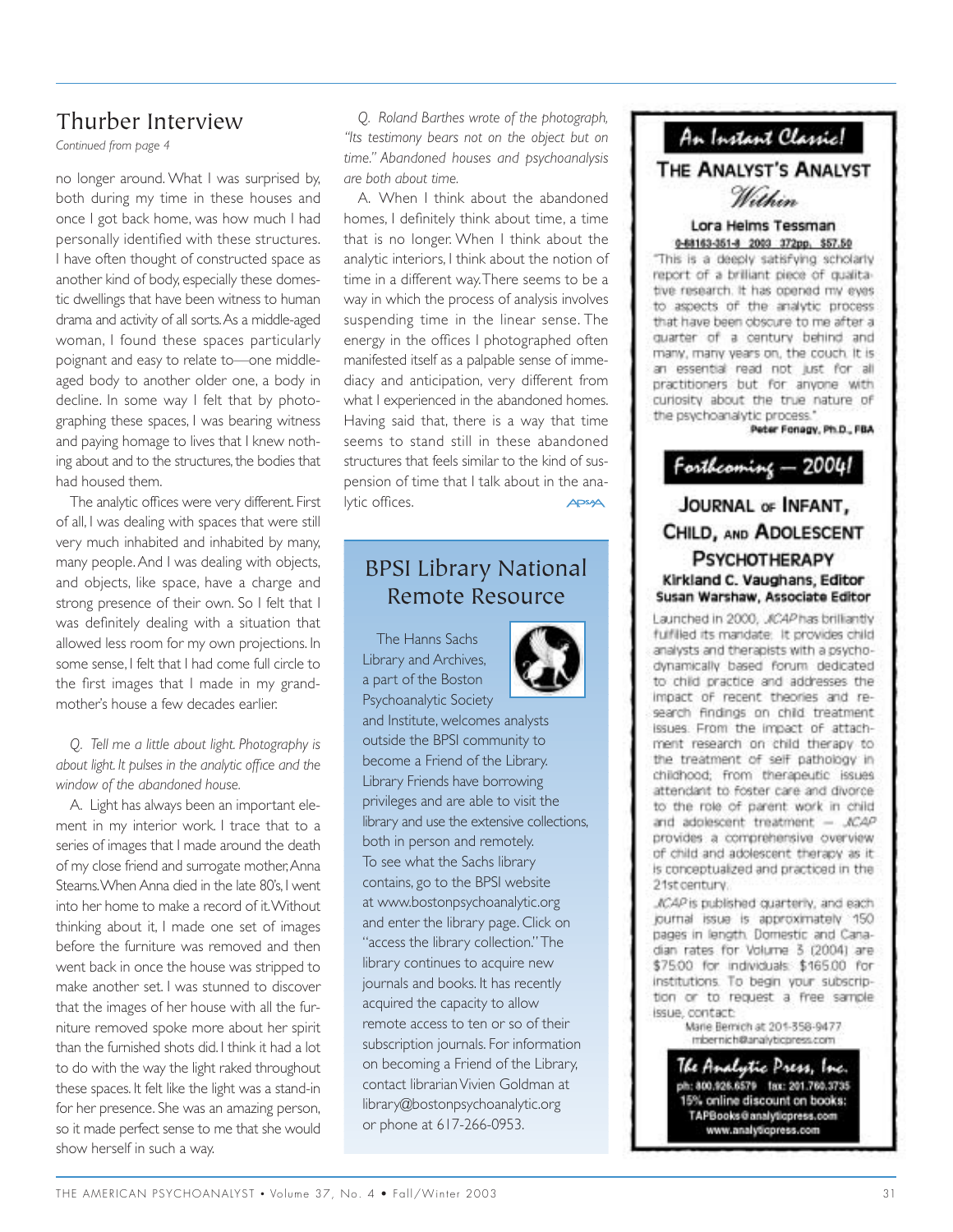### Thurber Interview

*Continued from page 4*

no longer around. What I was surprised by, both during my time in these houses and once I got back home, was how much I had personally identified with these structures. I have often thought of constructed space as another kind of body, especially these domestic dwellings that have been witness to human drama and activity of all sorts.As a middle-aged woman, I found these spaces particularly poignant and easy to relate to—one middleaged body to another older one, a body in decline. In some way I felt that by photographing these spaces, I was bearing witness and paying homage to lives that I knew nothing about and to the structures, the bodies that had housed them.

The analytic offices were very different. First of all, I was dealing with spaces that were still very much inhabited and inhabited by many, many people.And I was dealing with objects, and objects, like space, have a charge and strong presence of their own. So I felt that I was definitely dealing with a situation that allowed less room for my own projections. In some sense, I felt that I had come full circle to the first images that I made in my grandmother's house a few decades earlier.

*Q. Tell me a little about light. Photography is about light. It pulses in the analytic office and the window of the abandoned house.*

A. Light has always been an important element in my interior work. I trace that to a series of images that I made around the death of my close friend and surrogate mother, Anna Stearns.When Anna died in the late 80's, I went into her home to make a record of it.Without thinking about it, I made one set of images before the furniture was removed and then went back in once the house was stripped to make another set. I was stunned to discover that the images of her house with all the furniture removed spoke more about her spirit than the furnished shots did. I think it had a lot to do with the way the light raked throughout these spaces. It felt like the light was a stand-in for her presence. She was an amazing person, so it made perfect sense to me that she would show herself in such a way.

*Q. Roland Barthes wrote of the photograph, "Its testimony bears not on the object but on time." Abandoned houses and psychoanalysis are both about time.*

A. When I think about the abandoned homes, I definitely think about time, a time that is no longer. When I think about the analytic interiors, I think about the notion of time in a different way.There seems to be a way in which the process of analysis involves suspending time in the linear sense. The energy in the offices I photographed often manifested itself as a palpable sense of immediacy and anticipation, very different from what I experienced in the abandoned homes. Having said that, there is a way that time seems to stand still in these abandoned structures that feels similar to the kind of suspension of time that I talk about in the ana lytic offices.  $\triangle$ PSA $\triangle$ 

## BPSI Library National Remote Resource

The Hanns Sachs Library and Archives, a part of the Boston Psychoanalytic Society



and Institute, welcomes analysts outside the BPSI community to become a Friend of the Library. Library Friends have borrowing privileges and are able to visit the library and use the extensive collections, both in person and remotely. To see what the Sachs library contains, go to the BPSI website at www.bostonpsychoanalytic.org and enter the library page. Click on "access the library collection." The library continues to acquire new journals and books. It has recently acquired the capacity to allow remote access to ten or so of their subscription journals. For information on becoming a Friend of the Library, contact librarian Vivien Goldman at library@bostonpsychoanalytic.org or phone at 617-266-0953.

## An Instant Classic!

THE ANALYST'S ANALYST

Within

#### Lora Helms Tessman 0-68163-351-8 2003 372pp. \$57.50

"This is a deeply satisfying scholarly report of a brilliant piece of qualitative research. It has opened my eyes to aspects of the analytic process that have been obscure to me after a quarter of a century behind and many, many years on, the couch. It is an essential read not just for all practitioners but for anyone with curiosity about the true nature of the psychoanalytic process."

Peter Fonagy, Ph.D., FBA



### JOURNAL OF INFANT, CHILD, AND ADOLESCENT **PSYCHOTHERAPY** Kirkland C. Vaughans, Editor Susan Warshaw, Associate Editor

Launched in 2000, JCAP has brilliantly fulfilled its mandate: It provides child analysts and therapists with a psychodynamically based forum dedicated to child practice and addresses the impact of recent theories and research findings on child treatment issues. From the impact of attachment research on child therapy to the treatment of self pathology in childhood; from therapeutic issues attendant to foster care and divorce to the role of parent work in child and adolescent treatment  $-$  JCAP provides a comprehensive overview of child and adolescent therapy as it is conceptualized and practiced in the 21st century.

JCAP is published quarterly, and each journal issue is approximately 150 pages in length. Domestic and Canadian rates for Volume 3 (2004) are \$75.00 for individuals: \$165.00 for institutions. To begin your subscription or to request a free sample issue, contact:

Marie Bernich at 201-358-9477 mbernich@analyticpress.com

The Amalystic Press, Inc.<br>ph:300.328.6579 - 1ax: 201.760.3735 15% online discount on books: TAPBooks@analyticpress.com www.analyticpress.com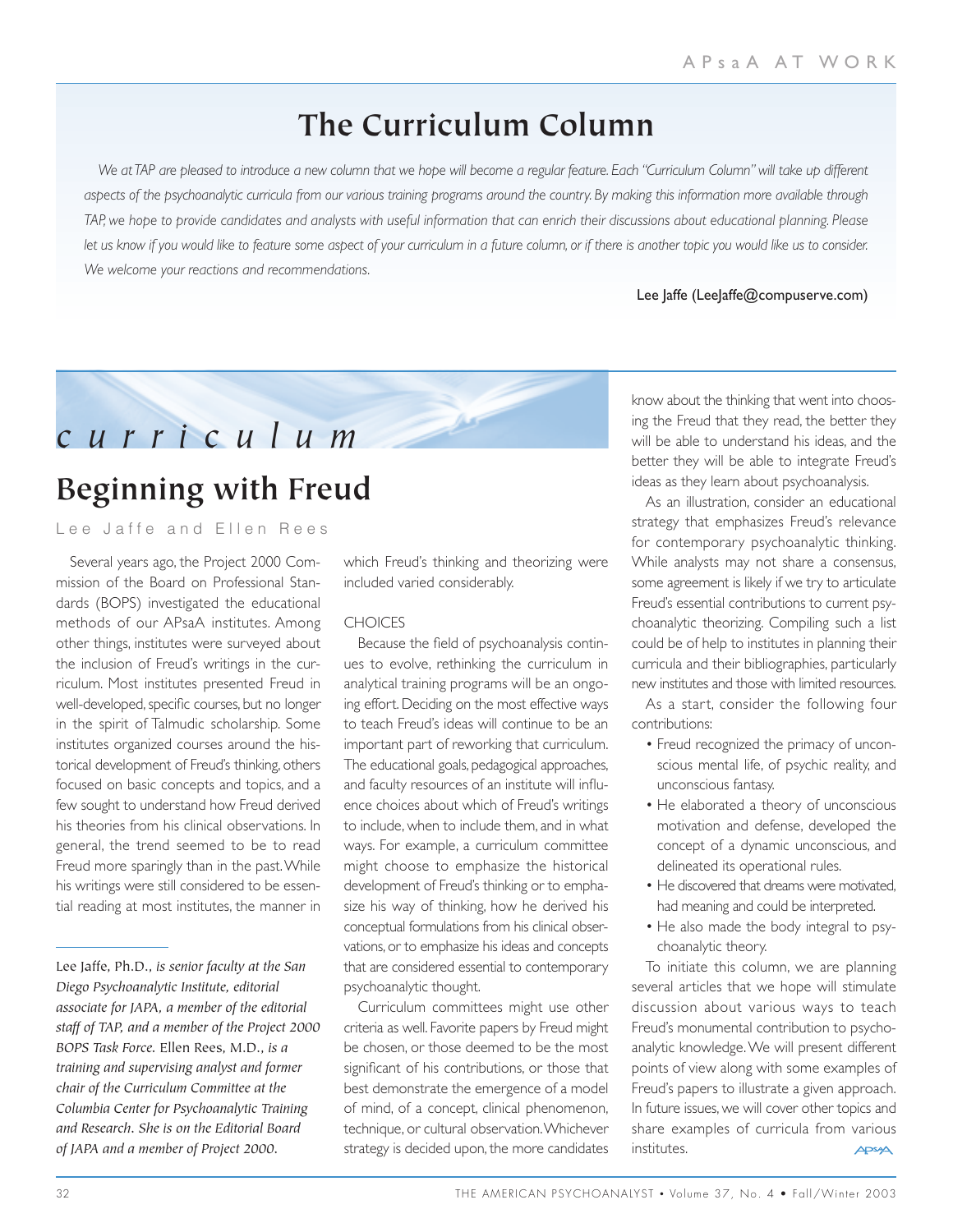# **The Curriculum Column**

*We at TAP are pleased to introduce a new column that we hope will become a regular feature. Each "Curriculum Column" will take up different aspects of the psychoanalytic curricula from our various training programs around the country. By making this information more available through TAP, we hope to provide candidates and analysts with useful information that can enrich their discussions about educational planning. Please let us know if you would like to feature some aspect of your curriculum in a future column, or if there is another topic you would like us to consider. We welcome your reactions and recommendations.*

Lee Jaffe (LeeJaffe@compuserve.com)



# **Beginning with Freud**

Lee Jaffe and Ellen Rees

Several years ago, the Project 2000 Commission of the Board on Professional Standards (BOPS) investigated the educational methods of our APsaA institutes. Among other things, institutes were surveyed about the inclusion of Freud's writings in the curriculum. Most institutes presented Freud in well-developed, specific courses, but no longer in the spirit of Talmudic scholarship. Some institutes organized courses around the historical development of Freud's thinking, others focused on basic concepts and topics, and a few sought to understand how Freud derived his theories from his clinical observations. In general, the trend seemed to be to read Freud more sparingly than in the past.While his writings were still considered to be essential reading at most institutes, the manner in

which Freud's thinking and theorizing were included varied considerably.

#### **CHOICES**

Because the field of psychoanalysis continues to evolve, rethinking the curriculum in analytical training programs will be an ongoing effort. Deciding on the most effective ways to teach Freud's ideas will continue to be an important part of reworking that curriculum. The educational goals, pedagogical approaches, and faculty resources of an institute will influence choices about which of Freud's writings to include, when to include them, and in what ways. For example, a curriculum committee might choose to emphasize the historical development of Freud's thinking or to emphasize his way of thinking, how he derived his conceptual formulations from his clinical observations, or to emphasize his ideas and concepts that are considered essential to contemporary psychoanalytic thought.

Curriculum committees might use other criteria as well. Favorite papers by Freud might be chosen, or those deemed to be the most significant of his contributions, or those that best demonstrate the emergence of a model of mind, of a concept, clinical phenomenon, technique, or cultural observation.Whichever strategy is decided upon, the more candidates know about the thinking that went into choosing the Freud that they read, the better they will be able to understand his ideas, and the better they will be able to integrate Freud's ideas as they learn about psychoanalysis.

As an illustration, consider an educational strategy that emphasizes Freud's relevance for contemporary psychoanalytic thinking. While analysts may not share a consensus, some agreement is likely if we try to articulate Freud's essential contributions to current psychoanalytic theorizing. Compiling such a list could be of help to institutes in planning their curricula and their bibliographies, particularly new institutes and those with limited resources.

As a start, consider the following four contributions:

- Freud recognized the primacy of unconscious mental life, of psychic reality, and unconscious fantasy.
- He elaborated a theory of unconscious motivation and defense, developed the concept of a dynamic unconscious, and delineated its operational rules.
- He discovered that dreams were motivated. had meaning and could be interpreted.
- He also made the body integral to psychoanalytic theory.

To initiate this column, we are planning several articles that we hope will stimulate discussion about various ways to teach Freud's monumental contribution to psychoanalytic knowledge.We will present different points of view along with some examples of Freud's papers to illustrate a given approach. In future issues, we will cover other topics and share examples of curricula from various institutes.**APSA** 

Lee Jaffe, Ph.D., *is senior faculty at the San Diego Psychoanalytic Institute, editorial associate for JAPA, a member of the editorial staff of TAP, and a member of the Project 2000 BOPS Task Force.* Ellen Rees, M.D., *is a training and supervising analyst and former chair of the Curriculum Committee at the Columbia Center for Psychoanalytic Training and Research. She is on the Editorial Board of JAPA and a member of Project 2000.*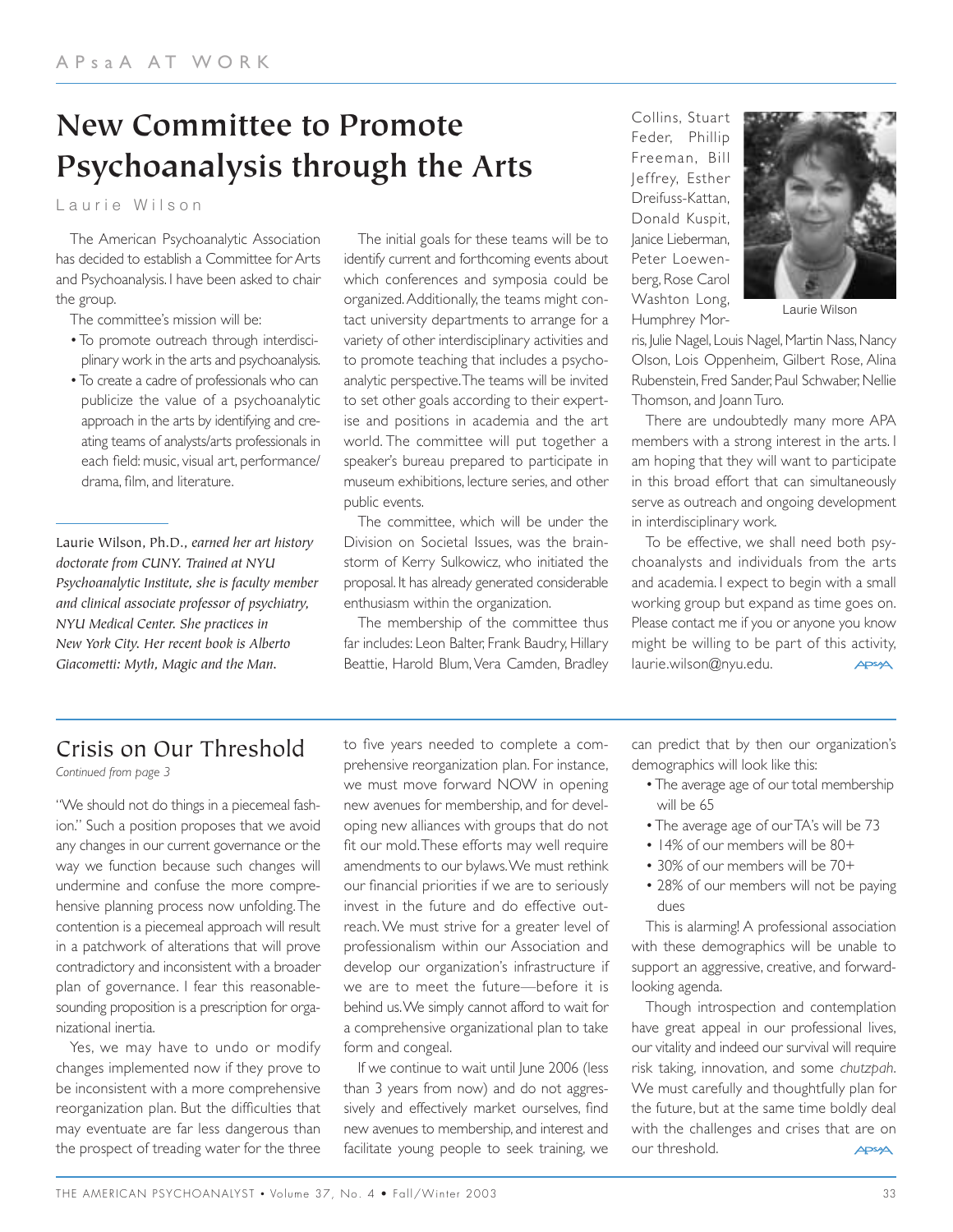# **New Committee to Promote Psychoanalysis through the Arts**

Laurie Wilson

The American Psychoanalytic Association has decided to establish a Committee for Arts and Psychoanalysis. I have been asked to chair the group.

The committee's mission will be:

- To promote outreach through interdisciplinary work in the arts and psychoanalysis.
- To create a cadre of professionals who can publicize the value of a psychoanalytic approach in the arts by identifying and creating teams of analysts/arts professionals in each field: music, visual art, performance/ drama, film, and literature.

Laurie Wilson, Ph.D., *earned her art history doctorate from CUNY. Trained at NYU Psychoanalytic Institute, she is faculty member and clinical associate professor of psychiatry, NYU Medical Center. She practices in New York City. Her recent book is Alberto Giacometti: Myth, Magic and the Man.*

The initial goals for these teams will be to identify current and forthcoming events about which conferences and symposia could be organized.Additionally, the teams might contact university departments to arrange for a variety of other interdisciplinary activities and to promote teaching that includes a psychoanalytic perspective.The teams will be invited to set other goals according to their expertise and positions in academia and the art world. The committee will put together a speaker's bureau prepared to participate in museum exhibitions, lecture series, and other public events.

The committee, which will be under the Division on Societal Issues, was the brainstorm of Kerry Sulkowicz, who initiated the proposal. It has already generated considerable enthusiasm within the organization.

The membership of the committee thus far includes: Leon Balter, Frank Baudry, Hillary Beattie, Harold Blum, Vera Camden, Bradley Collins, Stuart Feder, Phillip Freeman, Bill Jeffrey, Esther Dreifuss-Kattan, Donald Kuspit, Janice Lieberman, Peter Loewenberg, Rose Carol Washton Long, Humphrey Mor-



Laurie Wilson

ris, Julie Nagel, Louis Nagel, Martin Nass, Nancy Olson, Lois Oppenheim, Gilbert Rose, Alina Rubenstein, Fred Sander, Paul Schwaber, Nellie Thomson, and Joann Turo.

There are undoubtedly many more APA members with a strong interest in the arts. I am hoping that they will want to participate in this broad effort that can simultaneously serve as outreach and ongoing development in interdisciplinary work.

To be effective, we shall need both psychoanalysts and individuals from the arts and academia. I expect to begin with a small working group but expand as time goes on. Please contact me if you or anyone you know might be willing to be part of this activity, laurie.wilson@nyu.edu. **APSAA** 

## Crisis on Our Threshold

*Continued from page 3*

"We should not do things in a piecemeal fashion." Such a position proposes that we avoid any changes in our current governance or the way we function because such changes will undermine and confuse the more comprehensive planning process now unfolding.The contention is a piecemeal approach will result in a patchwork of alterations that will prove contradictory and inconsistent with a broader plan of governance. I fear this reasonablesounding proposition is a prescription for organizational inertia.

Yes, we may have to undo or modify changes implemented now if they prove to be inconsistent with a more comprehensive reorganization plan. But the difficulties that may eventuate are far less dangerous than the prospect of treading water for the three to five years needed to complete a comprehensive reorganization plan. For instance, we must move forward NOW in opening new avenues for membership, and for developing new alliances with groups that do not fit our mold.These efforts may well require amendments to our bylaws.We must rethink our financial priorities if we are to seriously invest in the future and do effective outreach. We must strive for a greater level of professionalism within our Association and develop our organization's infrastructure if we are to meet the future—before it is behind us.We simply cannot afford to wait for a comprehensive organizational plan to take form and congeal.

If we continue to wait until June 2006 (less than 3 years from now) and do not aggressively and effectively market ourselves, find new avenues to membership, and interest and facilitate young people to seek training, we

can predict that by then our organization's demographics will look like this:

- The average age of our total membership will be 65
- The average age of our TA's will be 73
- 14% of our members will be 80+
- 30% of our members will be 70+
- 28% of our members will not be paying dues

This is alarming! A professional association with these demographics will be unable to support an aggressive, creative, and forwardlooking agenda.

Though introspection and contemplation have great appeal in our professional lives, our vitality and indeed our survival will require risk taking, innovation, and some *chutzpah*. We must carefully and thoughtfully plan for the future, but at the same time boldly deal with the challenges and crises that are on our threshold. **APSAA**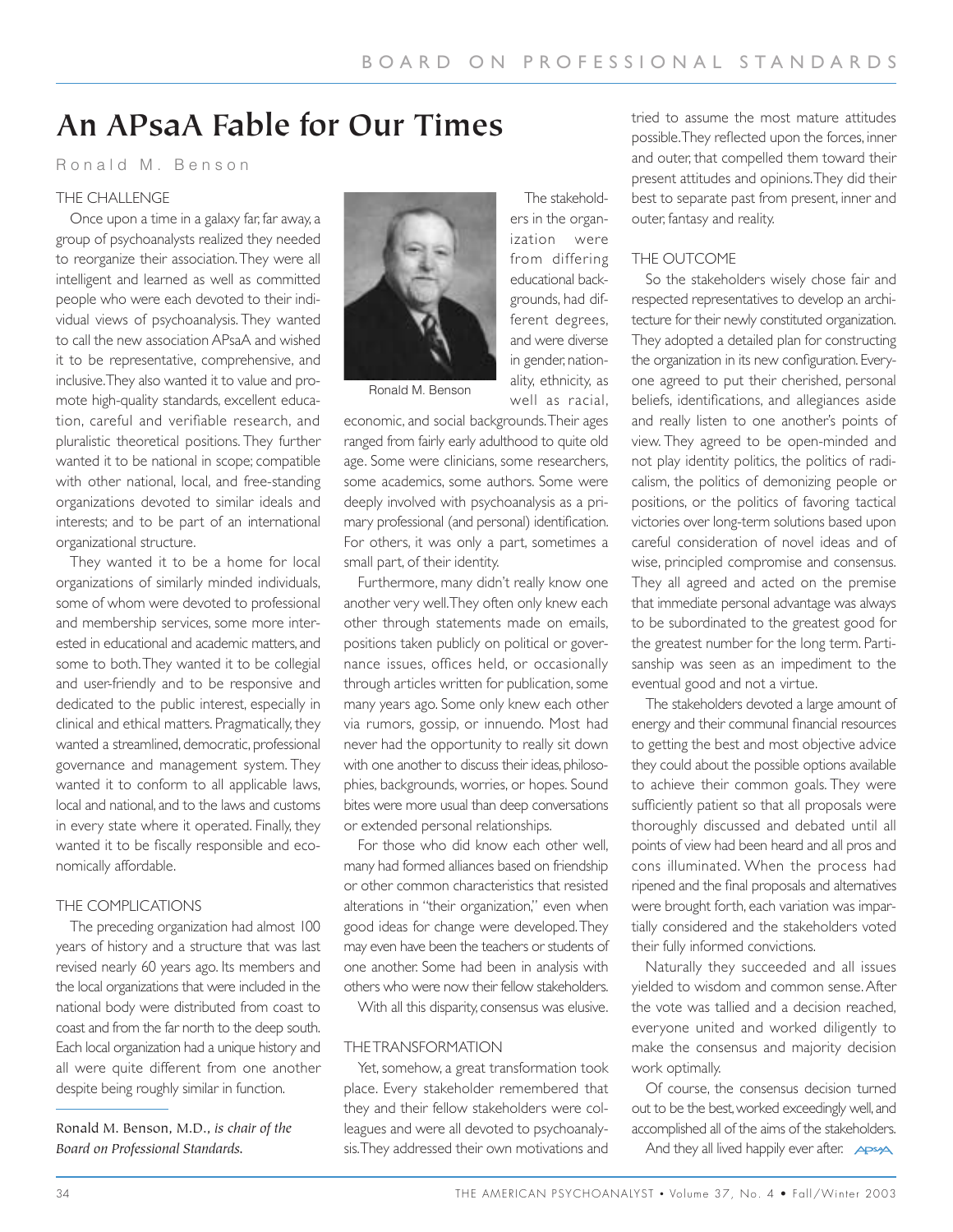The stakeholders in the organization were from differing educational backgrounds, had different degrees, and were diverse in gender, nationality, ethnicity, as well as racial,

## **An APsaA Fable for Our Times**

Ronald M. Benson

#### THE CHALLENGE

Once upon a time in a galaxy far, far away, a group of psychoanalysts realized they needed to reorganize their association.They were all intelligent and learned as well as committed people who were each devoted to their individual views of psychoanalysis. They wanted to call the new association APsaA and wished it to be representative, comprehensive, and inclusive.They also wanted it to value and promote high-quality standards, excellent education, careful and verifiable research, and pluralistic theoretical positions. They further wanted it to be national in scope; compatible with other national, local, and free-standing organizations devoted to similar ideals and interests; and to be part of an international organizational structure.

They wanted it to be a home for local organizations of similarly minded individuals, some of whom were devoted to professional and membership services, some more interested in educational and academic matters, and some to both.They wanted it to be collegial and user-friendly and to be responsive and dedicated to the public interest, especially in clinical and ethical matters. Pragmatically, they wanted a streamlined, democratic, professional governance and management system. They wanted it to conform to all applicable laws, local and national, and to the laws and customs in every state where it operated. Finally, they wanted it to be fiscally responsible and economically affordable.

#### THE COMPLICATIONS

The preceding organization had almost 100 years of history and a structure that was last revised nearly 60 years ago. Its members and the local organizations that were included in the national body were distributed from coast to coast and from the far north to the deep south. Each local organization had a unique history and all were quite different from one another despite being roughly similar in function.

Ronald M. Benson, M.D., *is chair of the Board on Professional Standards.*



Ronald M. Benson

economic, and social backgrounds.Their ages ranged from fairly early adulthood to quite old age. Some were clinicians, some researchers, some academics, some authors. Some were deeply involved with psychoanalysis as a primary professional (and personal) identification. For others, it was only a part, sometimes a small part, of their identity.

Furthermore, many didn't really know one another very well.They often only knew each other through statements made on emails, positions taken publicly on political or governance issues, offices held, or occasionally through articles written for publication, some many years ago. Some only knew each other via rumors, gossip, or innuendo. Most had never had the opportunity to really sit down with one another to discuss their ideas, philosophies, backgrounds, worries, or hopes. Sound bites were more usual than deep conversations or extended personal relationships.

For those who did know each other well, many had formed alliances based on friendship or other common characteristics that resisted alterations in "their organization," even when good ideas for change were developed.They may even have been the teachers or students of one another. Some had been in analysis with others who were now their fellow stakeholders.

With all this disparity, consensus was elusive.

#### THE TRANSFORMATION

Yet, somehow, a great transformation took place. Every stakeholder remembered that they and their fellow stakeholders were colleagues and were all devoted to psychoanalysis.They addressed their own motivations and tried to assume the most mature attitudes possible.They reflected upon the forces, inner and outer, that compelled them toward their present attitudes and opinions.They did their best to separate past from present, inner and outer, fantasy and reality.

#### THE OUTCOME

So the stakeholders wisely chose fair and respected representatives to develop an architecture for their newly constituted organization. They adopted a detailed plan for constructing the organization in its new configuration. Everyone agreed to put their cherished, personal beliefs, identifications, and allegiances aside and really listen to one another's points of view. They agreed to be open-minded and not play identity politics, the politics of radicalism, the politics of demonizing people or positions, or the politics of favoring tactical victories over long-term solutions based upon careful consideration of novel ideas and of wise, principled compromise and consensus. They all agreed and acted on the premise that immediate personal advantage was always to be subordinated to the greatest good for the greatest number for the long term. Partisanship was seen as an impediment to the eventual good and not a virtue.

The stakeholders devoted a large amount of energy and their communal financial resources to getting the best and most objective advice they could about the possible options available to achieve their common goals. They were sufficiently patient so that all proposals were thoroughly discussed and debated until all points of view had been heard and all pros and cons illuminated. When the process had ripened and the final proposals and alternatives were brought forth, each variation was impartially considered and the stakeholders voted their fully informed convictions.

Naturally they succeeded and all issues yielded to wisdom and common sense.After the vote was tallied and a decision reached, everyone united and worked diligently to make the consensus and majority decision work optimally.

Of course, the consensus decision turned out to be the best,worked exceedingly well,and accomplished all of the aims of the stakeholders.

And they all lived happily ever after. **APSA**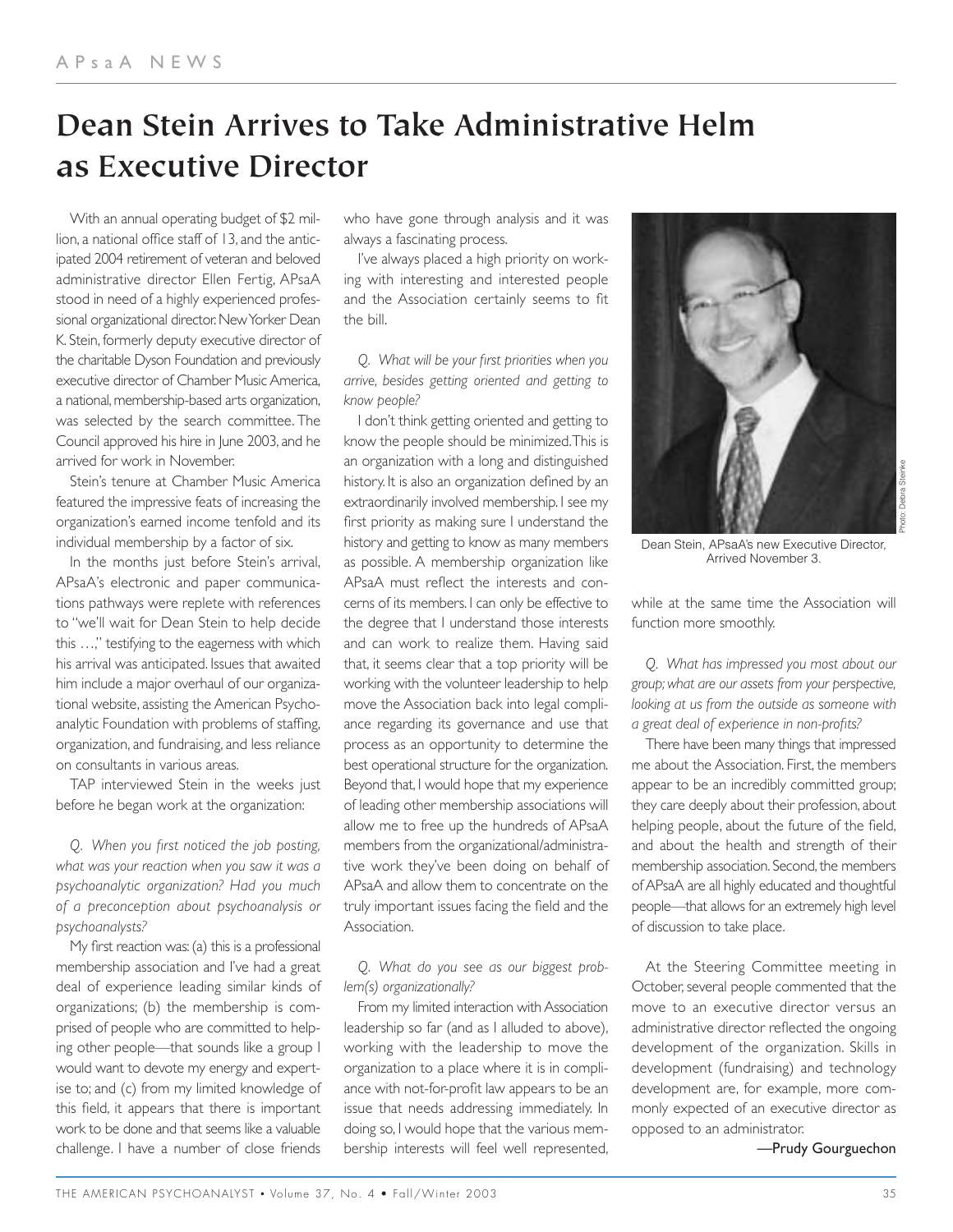# **Dean Stein Arrives to Take Administrative Helm as Executive Director**

With an annual operating budget of \$2 million, a national office staff of 13, and the anticipated 2004 retirement of veteran and beloved administrative director Ellen Fertig, APsaA stood in need of a highly experienced professional organizational director. New Yorker Dean K. Stein, formerly deputy executive director of the charitable Dyson Foundation and previously executive director of Chamber Music America, a national, membership-based arts organization, was selected by the search committee. The Council approved his hire in June 2003, and he arrived for work in November.

Stein's tenure at Chamber Music America featured the impressive feats of increasing the organization's earned income tenfold and its individual membership by a factor of six.

In the months just before Stein's arrival, APsaA's electronic and paper communications pathways were replete with references to "we'll wait for Dean Stein to help decide this …," testifying to the eagerness with which his arrival was anticipated. Issues that awaited him include a major overhaul of our organizational website, assisting the American Psychoanalytic Foundation with problems of staffing, organization, and fundraising, and less reliance on consultants in various areas.

TAP interviewed Stein in the weeks just before he began work at the organization:

*Q. When you first noticed the job posting, what was your reaction when you saw it was a psychoanalytic organization? Had you much of a preconception about psychoanalysis or psychoanalysts?*

My first reaction was: (a) this is a professional membership association and I've had a great deal of experience leading similar kinds of organizations; (b) the membership is comprised of people who are committed to helping other people—that sounds like a group I would want to devote my energy and expertise to; and (c) from my limited knowledge of this field, it appears that there is important work to be done and that seems like a valuable challenge. I have a number of close friends

who have gone through analysis and it was always a fascinating process.

I've always placed a high priority on working with interesting and interested people and the Association certainly seems to fit the bill.

*Q. What will be your first priorities when you arrive, besides getting oriented and getting to know people?*

I don't think getting oriented and getting to know the people should be minimized.This is an organization with a long and distinguished history. It is also an organization defined by an extraordinarily involved membership. I see my first priority as making sure I understand the history and getting to know as many members as possible. A membership organization like APsaA must reflect the interests and concerns of its members. I can only be effective to the degree that I understand those interests and can work to realize them. Having said that, it seems clear that a top priority will be working with the volunteer leadership to help move the Association back into legal compliance regarding its governance and use that process as an opportunity to determine the best operational structure for the organization. Beyond that, I would hope that my experience of leading other membership associations will allow me to free up the hundreds of APsaA members from the organizational/administrative work they've been doing on behalf of APsaA and allow them to concentrate on the truly important issues facing the field and the Association.

*Q. What do you see as our biggest problem(s) organizationally?*

From my limited interaction with Association leadership so far (and as I alluded to above), working with the leadership to move the organization to a place where it is in compliance with not-for-profit law appears to be an issue that needs addressing immediately. In doing so, I would hope that the various membership interests will feel well represented,



Dean Stein, APsaA's new Executive Director, Arrived November 3.

while at the same time the Association will function more smoothly.

*Q. What has impressed you most about our group; what are our assets from your perspective, looking at us from the outside as someone with a great deal of experience in non-profits?*

There have been many things that impressed me about the Association. First, the members appear to be an incredibly committed group; they care deeply about their profession, about helping people, about the future of the field, and about the health and strength of their membership association. Second, the members of APsaA are all highly educated and thoughtful people—that allows for an extremely high level of discussion to take place.

At the Steering Committee meeting in October, several people commented that the move to an executive director versus an administrative director reflected the ongoing development of the organization. Skills in development (fundraising) and technology development are, for example, more commonly expected of an executive director as opposed to an administrator.

—Prudy Gourguechon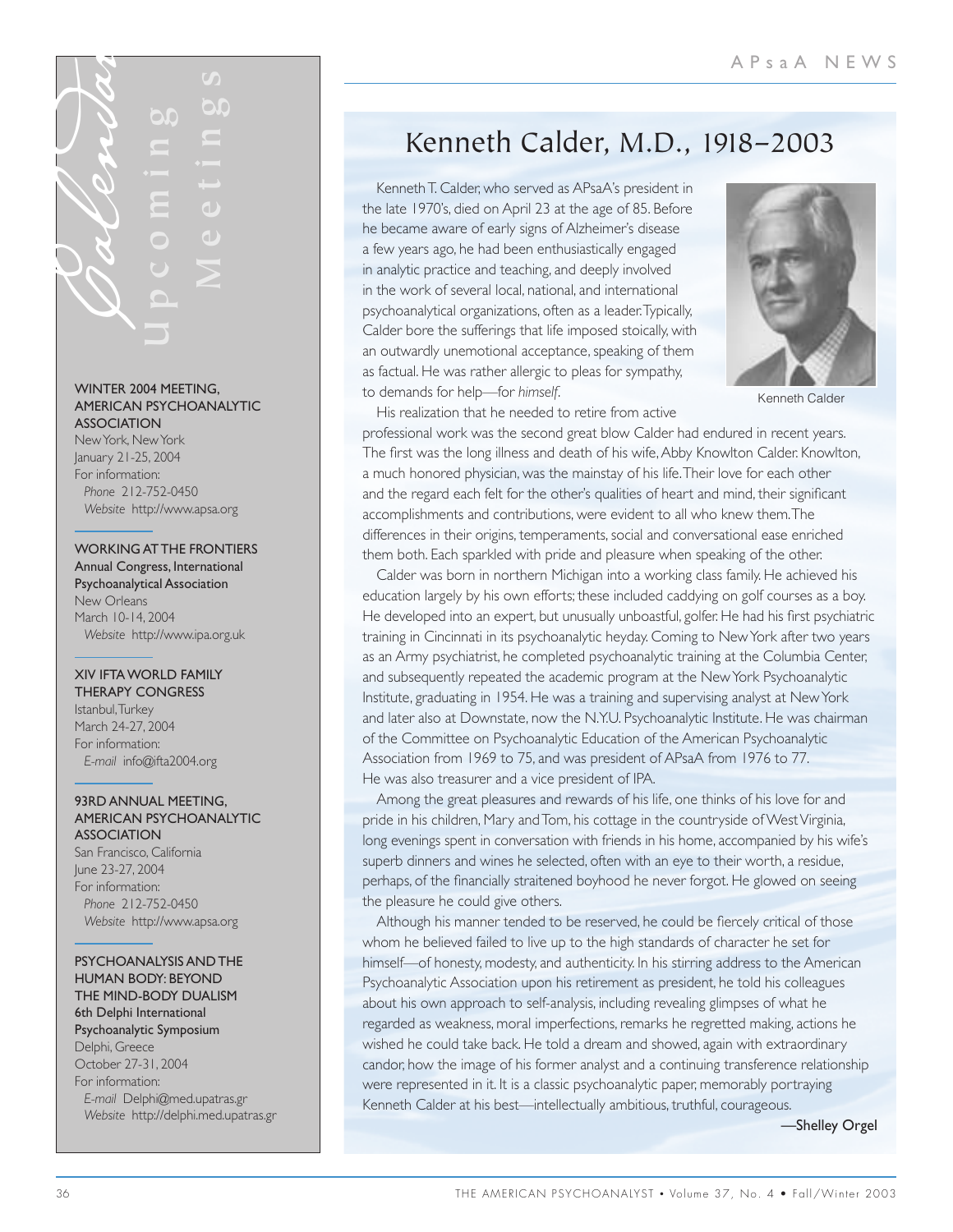#### WINTER 2004 MEETING, AMERICAN PSYCHOANALYTIC **ASSOCIATION**

New York, New York January 21-25, 2004 For information: *Phone* 212-752-0450 *Website* http://www.apsa.org

#### WORKING AT THE FRONTIERS Annual Congress, International Psychoanalytical Association

New Orleans March 10-14, 2004 *Website* http://www.ipa.org.uk

#### XIV IFTA WORLD FAMILY

THERAPY CONGRESS Istanbul,Turkey March 24-27, 2004 For information: *E-mail* info@ifta2004.org

#### 93RD ANNUAL MEETING, AMERICAN PSYCHOANALYTIC ASSOCIATION

San Francisco, California June 23-27, 2004 For information: *Phone* 212-752-0450 *Website* http://www.apsa.org

#### PSYCHOANALYSIS AND THE HUMAN BODY: BEYOND THE MIND-BODY DUALISM 6th Delphi International Psychoanalytic Symposium Delphi, Greece October 27-31, 2004 For information: *E-mail* Delphi@med.upatras.gr *Website* http://delphi.med.upatras.gr

## Kenneth Calder, M.D., 1918–2003

Kenneth T. Calder, who served as APsaA's president in the late 1970's, died on April 23 at the age of 85. Before he became aware of early signs of Alzheimer's disease a few years ago, he had been enthusiastically engaged in analytic practice and teaching, and deeply involved in the work of several local, national, and international psychoanalytical organizations, often as a leader.Typically, Calder bore the sufferings that life imposed stoically, with an outwardly unemotional acceptance, speaking of them as factual. He was rather allergic to pleas for sympathy, to demands for help—for *himself*.



Kenneth Calder

His realization that he needed to retire from active

professional work was the second great blow Calder had endured in recent years. The first was the long illness and death of his wife,Abby Knowlton Calder. Knowlton, a much honored physician, was the mainstay of his life.Their love for each other and the regard each felt for the other's qualities of heart and mind, their significant accomplishments and contributions, were evident to all who knew them.The differences in their origins, temperaments, social and conversational ease enriched them both. Each sparkled with pride and pleasure when speaking of the other.

38 THE AMERICAN PROPERTY AND THE CONSULTER CONTRACT CONTRACT CONTRACT CONTRACT CONTRACT CONTRACT CONTRACT CONTRACT CONTRACT CONTRACT CONTRACT CONTRACT CONTRACT CONTRACT CONTRACT CONTRACT CONTRACT CONTRACT CONTRACT CONTRAC Calder was born in northern Michigan into a working class family. He achieved his education largely by his own efforts; these included caddying on golf courses as a boy. He developed into an expert, but unusually unboastful, golfer. He had his first psychiatric training in Cincinnati in its psychoanalytic heyday. Coming to New York after two years as an Army psychiatrist, he completed psychoanalytic training at the Columbia Center, and subsequently repeated the academic program at the New York Psychoanalytic Institute, graduating in 1954. He was a training and supervising analyst at New York and later also at Downstate, now the N.Y.U. Psychoanalytic Institute. He was chairman of the Committee on Psychoanalytic Education of the American Psychoanalytic Association from 1969 to 75, and was president of APsaA from 1976 to 77. He was also treasurer and a vice president of IPA.

Among the great pleasures and rewards of his life, one thinks of his love for and pride in his children, Mary and Tom, his cottage in the countryside of West Virginia, long evenings spent in conversation with friends in his home, accompanied by his wife's superb dinners and wines he selected, often with an eye to their worth, a residue, perhaps, of the financially straitened boyhood he never forgot. He glowed on seeing the pleasure he could give others.

Although his manner tended to be reserved, he could be fiercely critical of those whom he believed failed to live up to the high standards of character he set for himself—of honesty, modesty, and authenticity. In his stirring address to the American Psychoanalytic Association upon his retirement as president, he told his colleagues about his own approach to self-analysis, including revealing glimpses of what he regarded as weakness, moral imperfections, remarks he regretted making, actions he wished he could take back. He told a dream and showed, again with extraordinary candor, how the image of his former analyst and a continuing transference relationship were represented in it. It is a classic psychoanalytic paper, memorably portraying Kenneth Calder at his best—intellectually ambitious, truthful, courageous.

—Shelley Orgel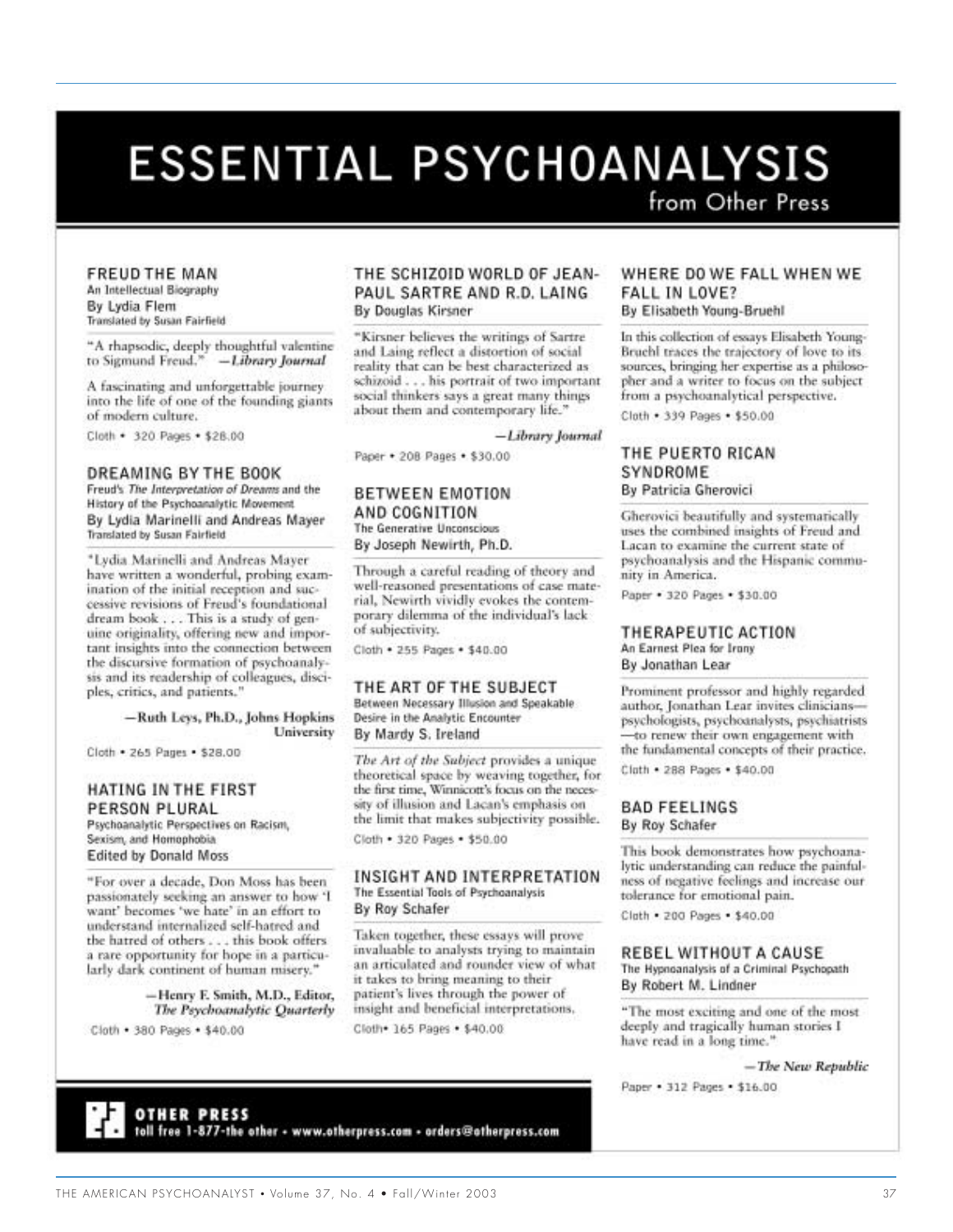# **ESSENTIAL PSYCHOANALYSIS**

from Other Press

#### **FREUD THE MAN**

An Intellectual Biography By Lydia Flem Translated by Susan Fairfield

"A rhapsodic, deeply thoughtful valentine to Sigmund Freud." -Library Journal

A fascinating and unforgettable journey. into the life of one of the founding giants of modern culture.

Cloth · 320 Pages · \$28.00

#### DREAMING BY THE BOOK

Freud's The Interpretation of Dreams and the History of the Psychoanalytic Movement By Lydia Marinelli and Andreas Mayer Translated by Susan Fairfield

\*Lydia Marinelli and Andreas Mayer have written a wonderful, probing examination of the initial reception and successive revisions of Freud's foundational dream book . . . This is a study of genuine originality, offering new and important insights into the connection between the discursive formation of psychoanalysis and its readership of colleagues, disciples, critics, and patients."

> -Ruth Leys, Ph.D., Johns Hopkins University

Cloth . 265 Pages . \$28.00

#### HATING IN THE FIRST PERSON PLURAL

Psychoanalytic Perspectives on Racism, Sexism, and Homophobia **Edited by Donald Moss** 

"For over a decade, Don Moss has been passionately seeking an answer to how 'I<br>want' becomes 'we hate' in an effort to understand internalized self-hatred and the hatred of others . . . this book offers<br>a rare opportunity for hope in a particularly dark continent of human misery.'

> -Henry F. Smith, M.D., Editor, The Psychoanalytic Quarterly

Cloth . 380 Pages . \$40.00

#### THE SCHIZOID WORLD OF JEAN-PAUL SARTRE AND R.D. LAING **By Douglas Kirsner**

"Kirsner believes the writings of Sartre and Laing reflect a distortion of social reality that can be best characterized as schizoid . . . his portrait of two important social thinkers says a great many things about them and contemporary life."

#### -Library Journal

Paper . 208 Pages . \$30.00

#### BETWEEN EMOTION AND COGNITION The Generative Unconscious

By Joseph Newirth, Ph.D.

Through a careful reading of theory and well-reasoned presentations of case material, Newirth vividly evokes the contemporary dilemma of the individual's lack of subjectivity.

Cloth . 255 Pages . \$40.00

#### THE ART OF THE SUBJECT

Between Necessary Illusion and Speakable Desire in the Analytic Encounter By Mardy S. Ireland

The Art of the Subject provides a unique theoretical space by weaving together, for the first time, Winnicott's focus on the necessity of illusion and Lacan's emphasis on the limit that makes subjectivity possible. Cloth . 320 Pages . \$50.00

#### INSIGHT AND INTERPRETATION The Essential Tools of Psychoanalysis By Roy Schafer

Taken together, these essays will prove invaluable to analysts trying to maintain an articulated and rounder view of what it takes to bring meaning to their patient's lives through the power of insight and beneficial interpretations, Cloth 165 Pages . \$40.00

#### WHERE DO WE FALL WHEN WE **FALL IN LOVE?**

By Elisabeth Young-Bruehl

In this collection of essays Elisabeth Young-Bruehl traces the trajectory of love to its sources, bringing her expertise as a philosopher and a writer to focus on the subject from a psychoanalytical perspective.

Cloth . 339 Pages . \$50.00

#### THE PUERTO RICAN SYNDROME By Patricia Gherovici

Gherovici beautifully and systematically uses the combined insights of Freud and Lacan to examine the current state of psychoanalysis and the Hispanic community in America.

Paper . 320 Pages . \$30.00

#### THERAPEUTIC ACTION An Earnest Plea for Irany

By Jonathan Lear

Prominent professor and highly regarded author, Jonathan Lear invites clinicianspsychologists, psychoanalysts, psychiatrists to renew their own engagement with the fundamental concepts of their practice.

Cluth . 288 Pages . \$40.00

**BAD FEELINGS** By Roy Schafer

This book demonstrates how psychoanalytic understanding can reduce the painfulness of negative feelings and increase our tolerance for emotional pain.

Cluth . 200 Pages . \$40.00

#### REBEL WITHOUT A CAUSE

The Hypnoanalysis of a Criminal Psychopath By Robert M. Lindner

"The most exciting and one of the most deeply and tragically human stories I have read in a long time."

- The New Republic

Paper . 312 Pages . \$16.00

**OTHER PRESS** toll free 1-877-the other - www.otherpress.com - orders@otherpress.com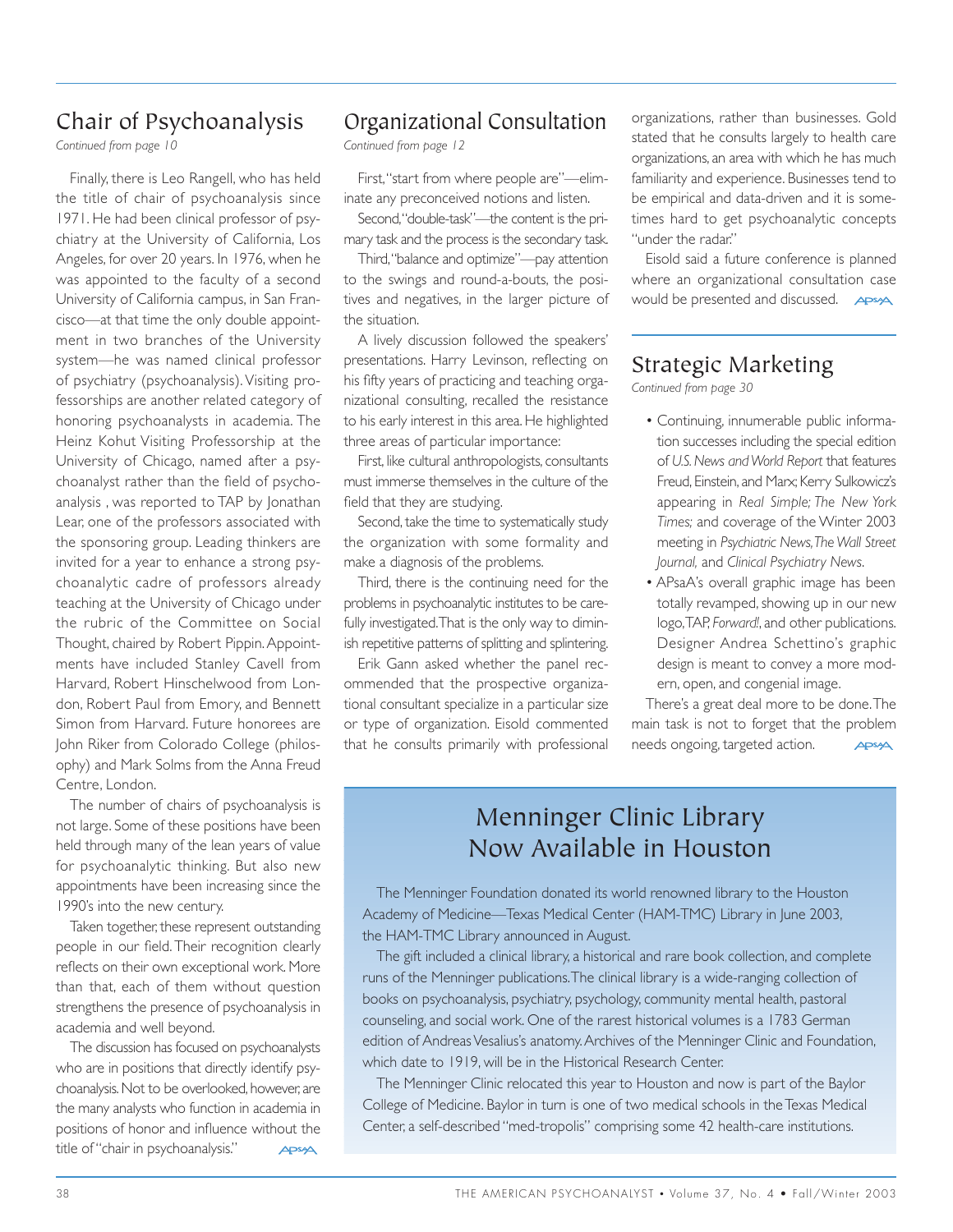## Chair of Psychoanalysis

*Continued from page 10*

Finally, there is Leo Rangell, who has held the title of chair of psychoanalysis since 1971. He had been clinical professor of psychiatry at the University of California, Los Angeles, for over 20 years. In 1976, when he was appointed to the faculty of a second University of California campus, in San Francisco—at that time the only double appointment in two branches of the University system—he was named clinical professor of psychiatry (psychoanalysis). Visiting professorships are another related category of honoring psychoanalysts in academia. The Heinz Kohut Visiting Professorship at the University of Chicago, named after a psychoanalyst rather than the field of psychoanalysis , was reported to TAP by Jonathan Lear, one of the professors associated with the sponsoring group. Leading thinkers are invited for a year to enhance a strong psychoanalytic cadre of professors already teaching at the University of Chicago under the rubric of the Committee on Social Thought, chaired by Robert Pippin. Appointments have included Stanley Cavell from Harvard, Robert Hinschelwood from London, Robert Paul from Emory, and Bennett Simon from Harvard. Future honorees are John Riker from Colorado College (philosophy) and Mark Solms from the Anna Freud Centre, London.

The number of chairs of psychoanalysis is not large. Some of these positions have been held through many of the lean years of value for psychoanalytic thinking. But also new appointments have been increasing since the 1990's into the new century.

Taken together, these represent outstanding people in our field. Their recognition clearly reflects on their own exceptional work. More than that, each of them without question strengthens the presence of psychoanalysis in academia and well beyond.

The discussion has focused on psychoanalysts who are in positions that directly identify psychoanalysis. Not to be overlooked, however, are the many analysts who function in academia in positions of honor and influence without the title of "chair in psychoanalysis." APSA

## Organizational Consultation

*Continued from page 12*

First,"start from where people are"—eliminate any preconceived notions and listen.

Second,"double-task"—the content is the primary task and the process is the secondary task.

Third,"balance and optimize"—pay attention to the swings and round-a-bouts, the positives and negatives, in the larger picture of the situation.

A lively discussion followed the speakers' presentations. Harry Levinson, reflecting on his fifty years of practicing and teaching organizational consulting, recalled the resistance to his early interest in this area. He highlighted three areas of particular importance:

First, like cultural anthropologists, consultants must immerse themselves in the culture of the field that they are studying.

Second, take the time to systematically study the organization with some formality and make a diagnosis of the problems.

Third, there is the continuing need for the problems in psychoanalytic institutes to be carefully investigated.That is the only way to diminish repetitive patterns of splitting and splintering.

Erik Gann asked whether the panel recommended that the prospective organizational consultant specialize in a particular size or type of organization. Eisold commented that he consults primarily with professional

organizations, rather than businesses. Gold stated that he consults largely to health care organizations, an area with which he has much familiarity and experience. Businesses tend to be empirical and data-driven and it is sometimes hard to get psychoanalytic concepts "under the radar."

Eisold said a future conference is planned where an organizational consultation case would be presented and discussed. **APSA** 

## Strategic Marketing

*Continued from page 30*

- Continuing, innumerable public information successes including the special edition of *U.S. News and World Report* that features Freud, Einstein, and Marx; Kerry Sulkowicz's appearing in *Real Simple; The New York Times;* and coverage of the Winter 2003 meeting in *Psychiatric News,The Wall Street Journal,* and *Clinical Psychiatry News*.
- APsaA's overall graphic image has been totally revamped, showing up in our new logo,TAP, *Forward!*, and other publications. Designer Andrea Schettino's graphic design is meant to convey a more modern, open, and congenial image.

There's a great deal more to be done.The main task is not to forget that the problem needs ongoing, targeted action. APSA

## Menninger Clinic Library Now Available in Houston

The Menninger Foundation donated its world renowned library to the Houston Academy of Medicine—Texas Medical Center (HAM-TMC) Library in June 2003, the HAM-TMC Library announced in August.

The gift included a clinical library, a historical and rare book collection, and complete runs of the Menninger publications.The clinical library is a wide-ranging collection of books on psychoanalysis, psychiatry, psychology, community mental health, pastoral counseling, and social work. One of the rarest historical volumes is a 1783 German edition of Andreas Vesalius's anatomy.Archives of the Menninger Clinic and Foundation, which date to 1919, will be in the Historical Research Center.

The Menninger Clinic relocated this year to Houston and now is part of the Baylor College of Medicine. Baylor in turn is one of two medical schools in the Texas Medical Center, a self-described "med-tropolis" comprising some 42 health-care institutions.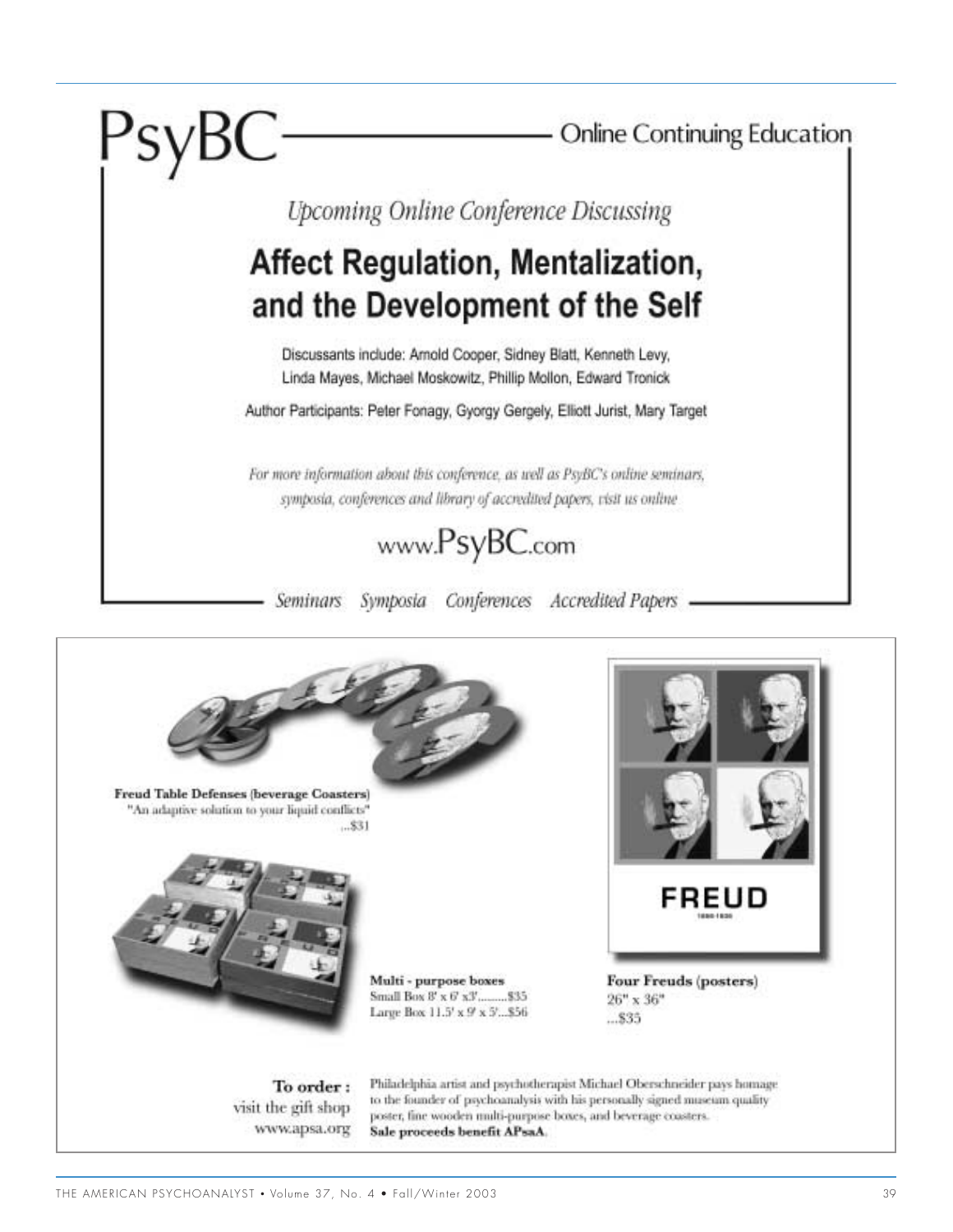